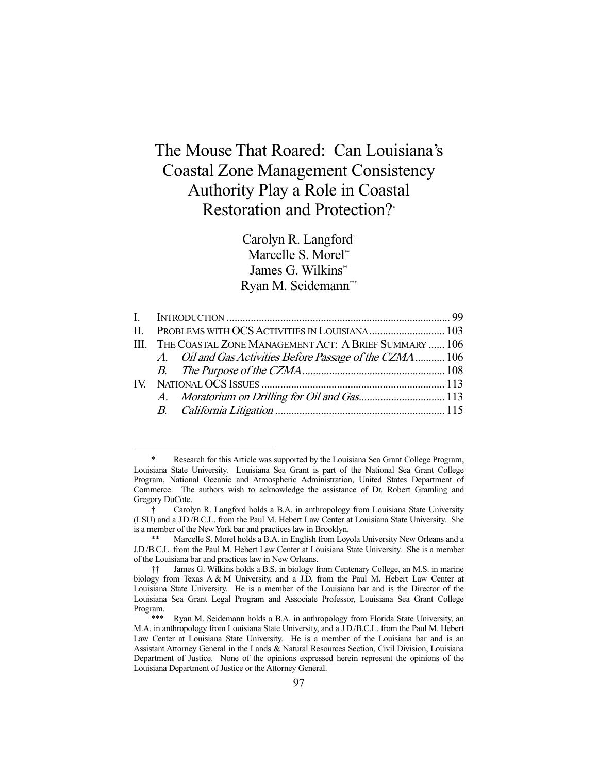# The Mouse That Roared: Can Louisiana's Coastal Zone Management Consistency Authority Play a Role in Coastal Restoration and Protection?\*

Carolyn R. Langford† Marcelle S. Morel<sup>\*\*</sup> James G. Wilkins<sup>††</sup> Ryan M. Seidemann\*\*\*

|  | III. THE COASTAL ZONE MANAGEMENT ACT: A BRIEF SUMMARY  106 |  |
|--|------------------------------------------------------------|--|
|  | A. Oil and Gas Activities Before Passage of the CZMA  106  |  |
|  |                                                            |  |
|  |                                                            |  |
|  |                                                            |  |
|  |                                                            |  |

 <sup>\*</sup> Research for this Article was supported by the Louisiana Sea Grant College Program, Louisiana State University. Louisiana Sea Grant is part of the National Sea Grant College Program, National Oceanic and Atmospheric Administration, United States Department of Commerce. The authors wish to acknowledge the assistance of Dr. Robert Gramling and Gregory DuCote.

 <sup>†</sup> Carolyn R. Langford holds a B.A. in anthropology from Louisiana State University (LSU) and a J.D./B.C.L. from the Paul M. Hebert Law Center at Louisiana State University. She is a member of the New York bar and practices law in Brooklyn.

Marcelle S. Morel holds a B.A. in English from Loyola University New Orleans and a J.D./B.C.L. from the Paul M. Hebert Law Center at Louisiana State University. She is a member of the Louisiana bar and practices law in New Orleans.

 <sup>††</sup> James G. Wilkins holds a B.S. in biology from Centenary College, an M.S. in marine biology from Texas A & M University, and a J.D. from the Paul M. Hebert Law Center at Louisiana State University. He is a member of the Louisiana bar and is the Director of the Louisiana Sea Grant Legal Program and Associate Professor, Louisiana Sea Grant College Program.

Ryan M. Seidemann holds a B.A. in anthropology from Florida State University, an M.A. in anthropology from Louisiana State University, and a J.D./B.C.L. from the Paul M. Hebert Law Center at Louisiana State University. He is a member of the Louisiana bar and is an Assistant Attorney General in the Lands & Natural Resources Section, Civil Division, Louisiana Department of Justice. None of the opinions expressed herein represent the opinions of the Louisiana Department of Justice or the Attorney General.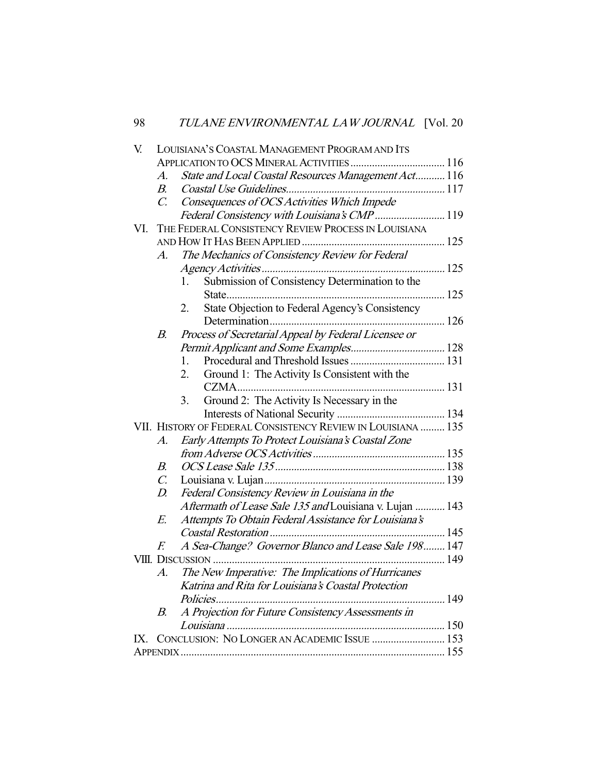| V.  | LOUISIANA'S COASTAL MANAGEMENT PROGRAM AND ITS |                                                              |     |  |  |  |  |
|-----|------------------------------------------------|--------------------------------------------------------------|-----|--|--|--|--|
|     |                                                |                                                              |     |  |  |  |  |
|     | A.                                             | State and Local Coastal Resources Management Act 116         |     |  |  |  |  |
|     | $B_{\cdot}$                                    |                                                              |     |  |  |  |  |
|     | $\mathcal{C}$ .                                | Consequences of OCS Activities Which Impede                  |     |  |  |  |  |
|     |                                                | Federal Consistency with Louisiana's CMP  119                |     |  |  |  |  |
| VI. |                                                | THE FEDERAL CONSISTENCY REVIEW PROCESS IN LOUISIANA          |     |  |  |  |  |
|     |                                                |                                                              |     |  |  |  |  |
|     | A.                                             | The Mechanics of Consistency Review for Federal              |     |  |  |  |  |
|     |                                                |                                                              |     |  |  |  |  |
|     |                                                | Submission of Consistency Determination to the<br>1.         |     |  |  |  |  |
|     |                                                |                                                              |     |  |  |  |  |
|     |                                                | State Objection to Federal Agency's Consistency<br>2.        |     |  |  |  |  |
|     |                                                |                                                              |     |  |  |  |  |
|     | В.                                             | Process of Secretarial Appeal by Federal Licensee or         |     |  |  |  |  |
|     |                                                |                                                              |     |  |  |  |  |
|     |                                                | 1.                                                           |     |  |  |  |  |
|     |                                                | Ground 1: The Activity Is Consistent with the<br>2.          |     |  |  |  |  |
|     |                                                |                                                              |     |  |  |  |  |
|     |                                                | Ground 2: The Activity Is Necessary in the<br>3.             |     |  |  |  |  |
|     |                                                |                                                              |     |  |  |  |  |
|     |                                                | VII. HISTORY OF FEDERAL CONSISTENCY REVIEW IN LOUISIANA  135 |     |  |  |  |  |
|     | $A$ .                                          | Early Attempts To Protect Louisiana's Coastal Zone           |     |  |  |  |  |
|     |                                                |                                                              |     |  |  |  |  |
|     | $B_{\cdot}$                                    |                                                              |     |  |  |  |  |
|     | $\mathcal{C}$ .                                |                                                              |     |  |  |  |  |
|     | D.                                             | Federal Consistency Review in Louisiana in the               |     |  |  |  |  |
|     |                                                | Aftermath of Lease Sale 135 and Louisiana v. Lujan  143      |     |  |  |  |  |
|     | E.                                             | Attempts To Obtain Federal Assistance for Louisiana's        |     |  |  |  |  |
|     |                                                |                                                              |     |  |  |  |  |
|     | F.                                             | A Sea-Change? Governor Blanco and Lease Sale 198 147         |     |  |  |  |  |
|     |                                                | VIII. DISCUSSION                                             | 149 |  |  |  |  |
|     | A.                                             | The New Imperative: The Implications of Hurricanes           |     |  |  |  |  |
|     |                                                | Katrina and Rita for Louisiana's Coastal Protection          |     |  |  |  |  |
|     |                                                | Policies.                                                    |     |  |  |  |  |
|     | В.                                             | A Projection for Future Consistency Assessments in           |     |  |  |  |  |
|     |                                                |                                                              |     |  |  |  |  |
| IX. |                                                | CONCLUSION: NO LONGER AN ACADEMIC ISSUE  153                 |     |  |  |  |  |
|     |                                                |                                                              |     |  |  |  |  |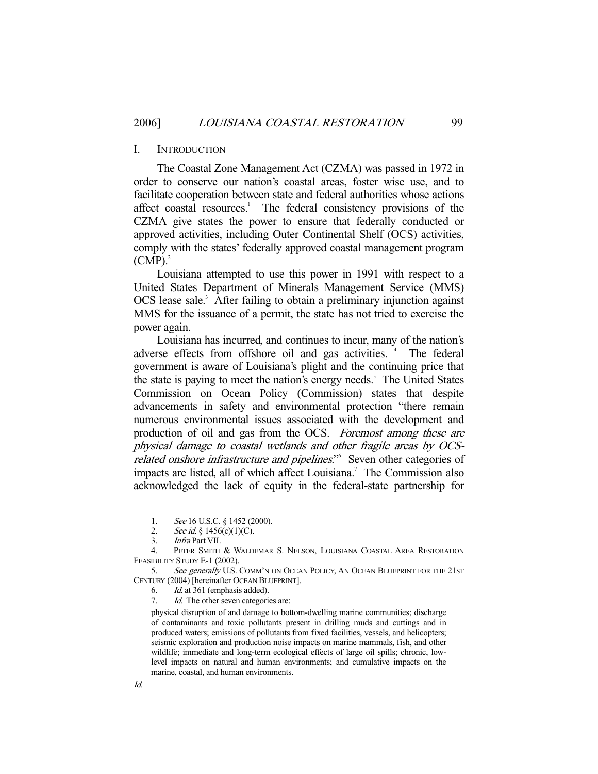# I. INTRODUCTION

 The Coastal Zone Management Act (CZMA) was passed in 1972 in order to conserve our nation's coastal areas, foster wise use, and to facilitate cooperation between state and federal authorities whose actions affect coastal resources.<sup>1</sup> The federal consistency provisions of the CZMA give states the power to ensure that federally conducted or approved activities, including Outer Continental Shelf (OCS) activities, comply with the states' federally approved coastal management program  $(CMP)<sup>2</sup>$ 

 Louisiana attempted to use this power in 1991 with respect to a United States Department of Minerals Management Service (MMS) OCS lease sale.<sup>3</sup> After failing to obtain a preliminary injunction against MMS for the issuance of a permit, the state has not tried to exercise the power again.

 Louisiana has incurred, and continues to incur, many of the nation's adverse effects from offshore oil and gas activities.<sup>4</sup> The federal government is aware of Louisiana's plight and the continuing price that the state is paying to meet the nation's energy needs.<sup>5</sup> The United States Commission on Ocean Policy (Commission) states that despite advancements in safety and environmental protection "there remain numerous environmental issues associated with the development and production of oil and gas from the OCS. Foremost among these are physical damage to coastal wetlands and other fragile areas by OCSrelated onshore infrastructure and pipelines."<sup>6</sup> Seven other categories of impacts are listed, all of which affect Louisiana.<sup>7</sup> The Commission also acknowledged the lack of equity in the federal-state partnership for

<sup>1.</sup> See 16 U.S.C. § 1452 (2000).

<sup>2.</sup> See id.  $\S$  1456(c)(1)(C).

 <sup>3.</sup> Infra Part VII.

 <sup>4.</sup> PETER SMITH & WALDEMAR S. NELSON, LOUISIANA COASTAL AREA RESTORATION FEASIBILITY STUDY E-1 (2002).

<sup>5.</sup> See generally U.S. COMM'N ON OCEAN POLICY, AN OCEAN BLUEPRINT FOR THE 21ST CENTURY (2004) [hereinafter OCEAN BLUEPRINT].

 <sup>6.</sup> Id. at 361 (emphasis added).

<sup>7.</sup> *Id.* The other seven categories are:

physical disruption of and damage to bottom-dwelling marine communities; discharge of contaminants and toxic pollutants present in drilling muds and cuttings and in produced waters; emissions of pollutants from fixed facilities, vessels, and helicopters; seismic exploration and production noise impacts on marine mammals, fish, and other wildlife; immediate and long-term ecological effects of large oil spills; chronic, lowlevel impacts on natural and human environments; and cumulative impacts on the marine, coastal, and human environments.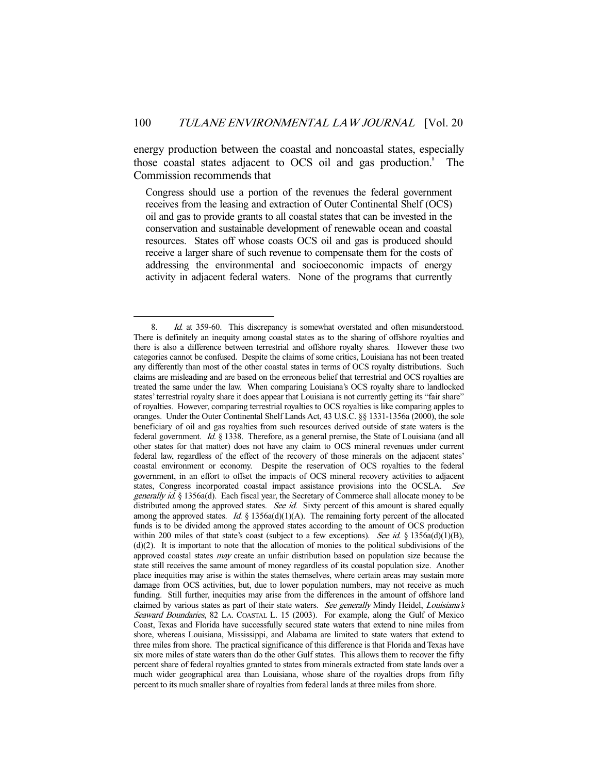energy production between the coastal and noncoastal states, especially those coastal states adjacent to OCS oil and gas production.<sup>8</sup> The Commission recommends that

Congress should use a portion of the revenues the federal government receives from the leasing and extraction of Outer Continental Shelf (OCS) oil and gas to provide grants to all coastal states that can be invested in the conservation and sustainable development of renewable ocean and coastal resources. States off whose coasts OCS oil and gas is produced should receive a larger share of such revenue to compensate them for the costs of addressing the environmental and socioeconomic impacts of energy activity in adjacent federal waters. None of the programs that currently

<sup>-</sup>8. Id. at 359-60. This discrepancy is somewhat overstated and often misunderstood. There is definitely an inequity among coastal states as to the sharing of offshore royalties and there is also a difference between terrestrial and offshore royalty shares. However these two categories cannot be confused. Despite the claims of some critics, Louisiana has not been treated any differently than most of the other coastal states in terms of OCS royalty distributions. Such claims are misleading and are based on the erroneous belief that terrestrial and OCS royalties are treated the same under the law. When comparing Louisiana's OCS royalty share to landlocked states' terrestrial royalty share it does appear that Louisiana is not currently getting its "fair share" of royalties. However, comparing terrestrial royalties to OCS royalties is like comparing apples to oranges. Under the Outer Continental Shelf Lands Act, 43 U.S.C. §§ 1331-1356a (2000), the sole beneficiary of oil and gas royalties from such resources derived outside of state waters is the federal government. Id. § 1338. Therefore, as a general premise, the State of Louisiana (and all other states for that matter) does not have any claim to OCS mineral revenues under current federal law, regardless of the effect of the recovery of those minerals on the adjacent states' coastal environment or economy. Despite the reservation of OCS royalties to the federal government, in an effort to offset the impacts of OCS mineral recovery activities to adjacent states, Congress incorporated coastal impact assistance provisions into the OCSLA. See generally id. § 1356a(d). Each fiscal year, the Secretary of Commerce shall allocate money to be distributed among the approved states. See id. Sixty percent of this amount is shared equally among the approved states. Id. § 1356a(d)(1)(A). The remaining forty percent of the allocated funds is to be divided among the approved states according to the amount of OCS production within 200 miles of that state's coast (subject to a few exceptions). See id. § 1356a(d)(1)(B),  $(d)(2)$ . It is important to note that the allocation of monies to the political subdivisions of the approved coastal states *may* create an unfair distribution based on population size because the state still receives the same amount of money regardless of its coastal population size. Another place inequities may arise is within the states themselves, where certain areas may sustain more damage from OCS activities, but, due to lower population numbers, may not receive as much funding. Still further, inequities may arise from the differences in the amount of offshore land claimed by various states as part of their state waters. See generally Mindy Heidel, Louisiana's Seaward Boundaries, 82 LA. COASTAL L. 15 (2003). For example, along the Gulf of Mexico Coast, Texas and Florida have successfully secured state waters that extend to nine miles from shore, whereas Louisiana, Mississippi, and Alabama are limited to state waters that extend to three miles from shore. The practical significance of this difference is that Florida and Texas have six more miles of state waters than do the other Gulf states. This allows them to recover the fifty percent share of federal royalties granted to states from minerals extracted from state lands over a much wider geographical area than Louisiana, whose share of the royalties drops from fifty percent to its much smaller share of royalties from federal lands at three miles from shore.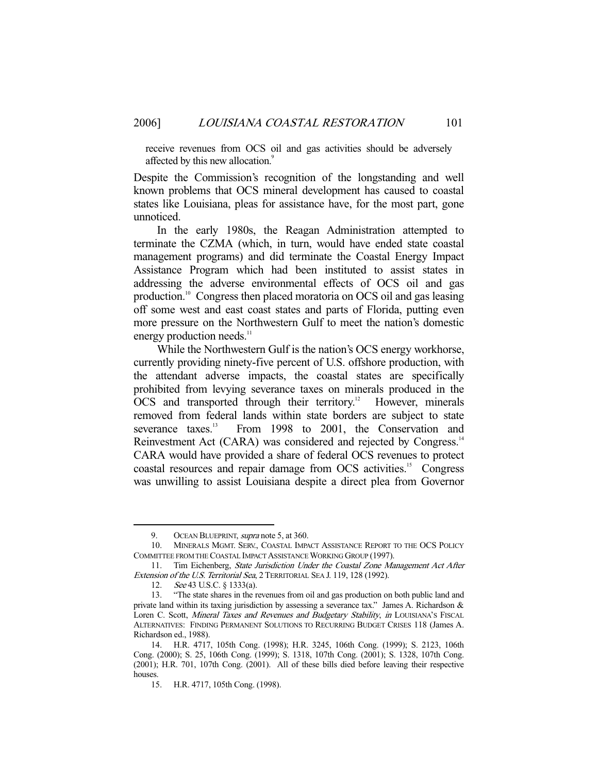receive revenues from OCS oil and gas activities should be adversely affected by this new allocation.<sup>9</sup>

Despite the Commission's recognition of the longstanding and well known problems that OCS mineral development has caused to coastal states like Louisiana, pleas for assistance have, for the most part, gone unnoticed.

 In the early 1980s, the Reagan Administration attempted to terminate the CZMA (which, in turn, would have ended state coastal management programs) and did terminate the Coastal Energy Impact Assistance Program which had been instituted to assist states in addressing the adverse environmental effects of OCS oil and gas production.10 Congress then placed moratoria on OCS oil and gas leasing off some west and east coast states and parts of Florida, putting even more pressure on the Northwestern Gulf to meet the nation's domestic energy production needs.<sup>11</sup>

 While the Northwestern Gulf is the nation's OCS energy workhorse, currently providing ninety-five percent of U.S. offshore production, with the attendant adverse impacts, the coastal states are specifically prohibited from levying severance taxes on minerals produced in the OCS and transported through their territory.<sup>12</sup> However, minerals removed from federal lands within state borders are subject to state severance taxes.<sup>13</sup> From 1998 to 2001, the Conservation and Reinvestment Act (CARA) was considered and rejected by Congress.<sup>14</sup> CARA would have provided a share of federal OCS revenues to protect coastal resources and repair damage from OCS activities.15 Congress was unwilling to assist Louisiana despite a direct plea from Governor

<sup>9.</sup> OCEAN BLUEPRINT, *supra* note 5, at 360.

 <sup>10.</sup> MINERALS MGMT. SERV., COASTAL IMPACT ASSISTANCE REPORT TO THE OCS POLICY COMMITTEE FROM THE COASTAL IMPACT ASSISTANCE WORKING GROUP (1997).

<sup>11.</sup> Tim Eichenberg, State Jurisdiction Under the Coastal Zone Management Act After Extension of the U.S. Territorial Sea, 2 TERRITORIAL SEA J. 119, 128 (1992).

 <sup>12.</sup> See 43 U.S.C. § 1333(a).

 <sup>13. &</sup>quot;The state shares in the revenues from oil and gas production on both public land and private land within its taxing jurisdiction by assessing a severance tax." James A. Richardson & Loren C. Scott, Mineral Taxes and Revenues and Budgetary Stability, in LOUISIANA'S FISCAL ALTERNATIVES: FINDING PERMANENT SOLUTIONS TO RECURRING BUDGET CRISES 118 (James A. Richardson ed., 1988).

 <sup>14.</sup> H.R. 4717, 105th Cong. (1998); H.R. 3245, 106th Cong. (1999); S. 2123, 106th Cong. (2000); S. 25, 106th Cong. (1999); S. 1318, 107th Cong. (2001); S. 1328, 107th Cong. (2001); H.R. 701, 107th Cong. (2001). All of these bills died before leaving their respective houses.

 <sup>15.</sup> H.R. 4717, 105th Cong. (1998).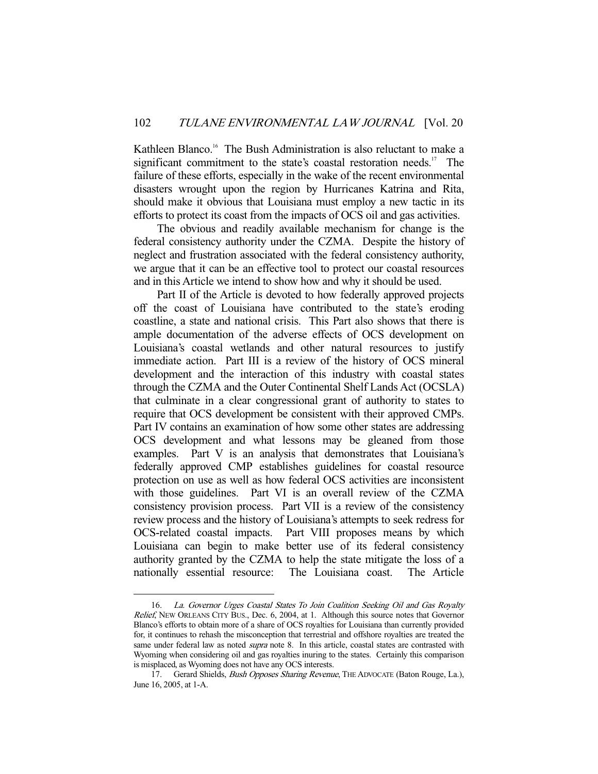Kathleen Blanco.<sup>16</sup> The Bush Administration is also reluctant to make a significant commitment to the state's coastal restoration needs.<sup>17</sup> The failure of these efforts, especially in the wake of the recent environmental disasters wrought upon the region by Hurricanes Katrina and Rita, should make it obvious that Louisiana must employ a new tactic in its efforts to protect its coast from the impacts of OCS oil and gas activities.

 The obvious and readily available mechanism for change is the federal consistency authority under the CZMA. Despite the history of neglect and frustration associated with the federal consistency authority, we argue that it can be an effective tool to protect our coastal resources and in this Article we intend to show how and why it should be used.

 Part II of the Article is devoted to how federally approved projects off the coast of Louisiana have contributed to the state's eroding coastline, a state and national crisis. This Part also shows that there is ample documentation of the adverse effects of OCS development on Louisiana's coastal wetlands and other natural resources to justify immediate action. Part III is a review of the history of OCS mineral development and the interaction of this industry with coastal states through the CZMA and the Outer Continental Shelf Lands Act (OCSLA) that culminate in a clear congressional grant of authority to states to require that OCS development be consistent with their approved CMPs. Part IV contains an examination of how some other states are addressing OCS development and what lessons may be gleaned from those examples. Part V is an analysis that demonstrates that Louisiana's federally approved CMP establishes guidelines for coastal resource protection on use as well as how federal OCS activities are inconsistent with those guidelines. Part VI is an overall review of the CZMA consistency provision process. Part VII is a review of the consistency review process and the history of Louisiana's attempts to seek redress for OCS-related coastal impacts. Part VIII proposes means by which Louisiana can begin to make better use of its federal consistency authority granted by the CZMA to help the state mitigate the loss of a nationally essential resource: The Louisiana coast. The Article

 <sup>16.</sup> La. Governor Urges Coastal States To Join Coalition Seeking Oil and Gas Royalty Relief, NEW ORLEANS CITY BUS., Dec. 6, 2004, at 1. Although this source notes that Governor Blanco's efforts to obtain more of a share of OCS royalties for Louisiana than currently provided for, it continues to rehash the misconception that terrestrial and offshore royalties are treated the same under federal law as noted *supra* note 8. In this article, coastal states are contrasted with Wyoming when considering oil and gas royalties inuring to the states. Certainly this comparison is misplaced, as Wyoming does not have any OCS interests.

<sup>17.</sup> Gerard Shields, Bush Opposes Sharing Revenue, THE ADVOCATE (Baton Rouge, La.), June 16, 2005, at 1-A.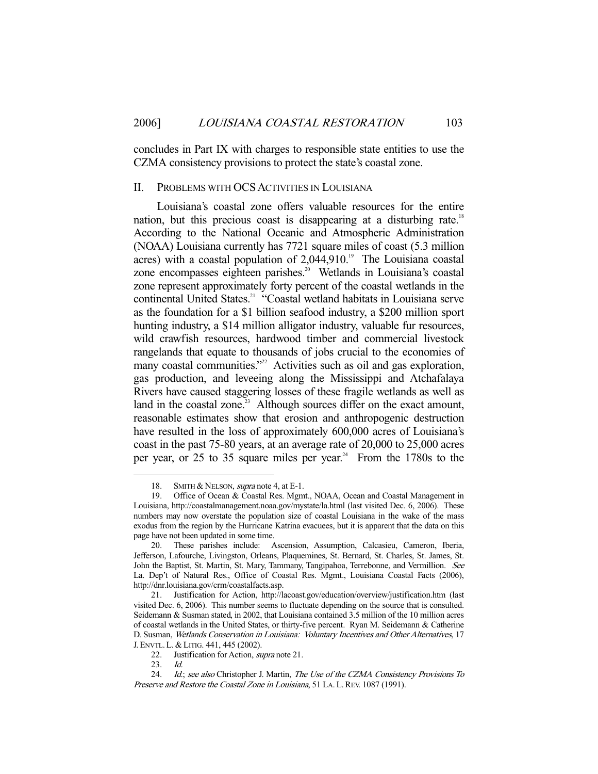concludes in Part IX with charges to responsible state entities to use the CZMA consistency provisions to protect the state's coastal zone.

# II. PROBLEMS WITH OCS ACTIVITIES IN LOUISIANA

 Louisiana's coastal zone offers valuable resources for the entire nation, but this precious coast is disappearing at a disturbing rate.<sup>18</sup> According to the National Oceanic and Atmospheric Administration (NOAA) Louisiana currently has 7721 square miles of coast (5.3 million acres) with a coastal population of  $2,044,910$ .<sup>19</sup> The Louisiana coastal zone encompasses eighteen parishes.<sup>20</sup> Wetlands in Louisiana's coastal zone represent approximately forty percent of the coastal wetlands in the continental United States.<sup>21</sup> "Coastal wetland habitats in Louisiana serve as the foundation for a \$1 billion seafood industry, a \$200 million sport hunting industry, a \$14 million alligator industry, valuable fur resources, wild crawfish resources, hardwood timber and commercial livestock rangelands that equate to thousands of jobs crucial to the economies of many coastal communities."<sup>22</sup> Activities such as oil and gas exploration, gas production, and leveeing along the Mississippi and Atchafalaya Rivers have caused staggering losses of these fragile wetlands as well as land in the coastal zone.<sup>23</sup> Although sources differ on the exact amount, reasonable estimates show that erosion and anthropogenic destruction have resulted in the loss of approximately 600,000 acres of Louisiana's coast in the past 75-80 years, at an average rate of 20,000 to 25,000 acres per year, or 25 to 35 square miles per year.<sup>24</sup> From the 1780s to the

<sup>18.</sup> SMITH & NELSON, *supra* note 4, at E-1.

 <sup>19.</sup> Office of Ocean & Coastal Res. Mgmt., NOAA, Ocean and Coastal Management in Louisiana, http://coastalmanagement.noaa.gov/mystate/la.html (last visited Dec. 6, 2006). These numbers may now overstate the population size of coastal Louisiana in the wake of the mass exodus from the region by the Hurricane Katrina evacuees, but it is apparent that the data on this page have not been updated in some time.

 <sup>20.</sup> These parishes include: Ascension, Assumption, Calcasieu, Cameron, Iberia, Jefferson, Lafourche, Livingston, Orleans, Plaquemines, St. Bernard, St. Charles, St. James, St. John the Baptist, St. Martin, St. Mary, Tammany, Tangipahoa, Terrebonne, and Vermillion. See La. Dep't of Natural Res., Office of Coastal Res. Mgmt., Louisiana Coastal Facts (2006), http://dnr.louisiana.gov/crm/coastalfacts.asp.

 <sup>21.</sup> Justification for Action, http://lacoast.gov/education/overview/justification.htm (last visited Dec. 6, 2006). This number seems to fluctuate depending on the source that is consulted. Seidemann & Susman stated, in 2002, that Louisiana contained 3.5 million of the 10 million acres of coastal wetlands in the United States, or thirty-five percent. Ryan M. Seidemann & Catherine D. Susman, Wetlands Conservation in Louisiana: Voluntary Incentives and Other Alternatives, 17 J. ENVTL.L. & LITIG. 441, 445 (2002).

<sup>22.</sup> Justification for Action, *supra* note 21.

 <sup>23.</sup> Id.

<sup>24.</sup> Id.; see also Christopher J. Martin, The Use of the CZMA Consistency Provisions To Preserve and Restore the Coastal Zone in Louisiana, 51 LA. L. REV. 1087 (1991).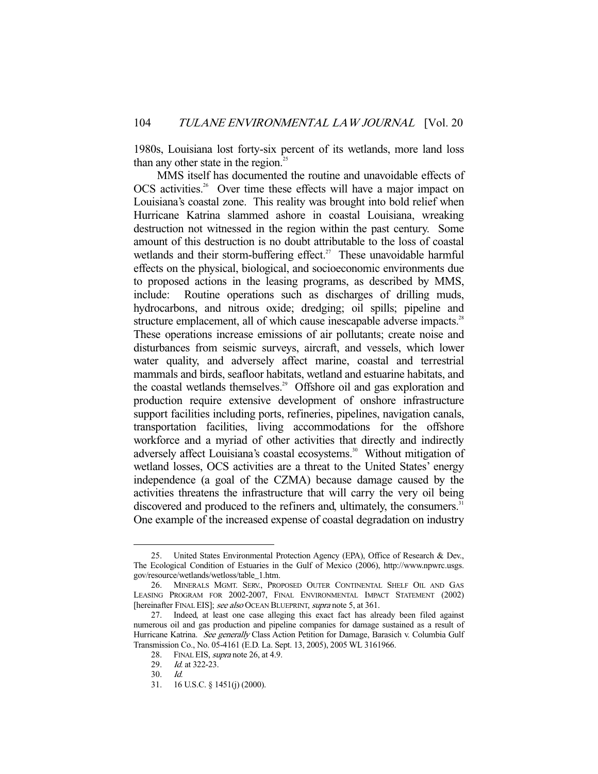1980s, Louisiana lost forty-six percent of its wetlands, more land loss than any other state in the region.<sup>25</sup>

 MMS itself has documented the routine and unavoidable effects of OCS activities.<sup>26</sup> Over time these effects will have a major impact on Louisiana's coastal zone. This reality was brought into bold relief when Hurricane Katrina slammed ashore in coastal Louisiana, wreaking destruction not witnessed in the region within the past century. Some amount of this destruction is no doubt attributable to the loss of coastal wetlands and their storm-buffering effect.<sup>27</sup> These unavoidable harmful effects on the physical, biological, and socioeconomic environments due to proposed actions in the leasing programs, as described by MMS, include: Routine operations such as discharges of drilling muds, hydrocarbons, and nitrous oxide; dredging; oil spills; pipeline and structure emplacement, all of which cause inescapable adverse impacts.<sup>28</sup> These operations increase emissions of air pollutants; create noise and disturbances from seismic surveys, aircraft, and vessels, which lower water quality, and adversely affect marine, coastal and terrestrial mammals and birds, seafloor habitats, wetland and estuarine habitats, and the coastal wetlands themselves.<sup>29</sup> Offshore oil and gas exploration and production require extensive development of onshore infrastructure support facilities including ports, refineries, pipelines, navigation canals, transportation facilities, living accommodations for the offshore workforce and a myriad of other activities that directly and indirectly adversely affect Louisiana's coastal ecosystems.<sup>30</sup> Without mitigation of wetland losses, OCS activities are a threat to the United States' energy independence (a goal of the CZMA) because damage caused by the activities threatens the infrastructure that will carry the very oil being discovered and produced to the refiners and, ultimately, the consumers.<sup>31</sup> One example of the increased expense of coastal degradation on industry

 <sup>25.</sup> United States Environmental Protection Agency (EPA), Office of Research & Dev., The Ecological Condition of Estuaries in the Gulf of Mexico (2006), http://www.npwrc.usgs. gov/resource/wetlands/wetloss/table\_1.htm.

 <sup>26.</sup> MINERALS MGMT. SERV., PROPOSED OUTER CONTINENTAL SHELF OIL AND GAS LEASING PROGRAM FOR 2002-2007, FINAL ENVIRONMENTAL IMPACT STATEMENT (2002) [hereinafter FINAL EIS]; see also OCEAN BLUEPRINT, supra note 5, at 361.

 <sup>27.</sup> Indeed, at least one case alleging this exact fact has already been filed against numerous oil and gas production and pipeline companies for damage sustained as a result of Hurricane Katrina. See generally Class Action Petition for Damage, Barasich v. Columbia Gulf Transmission Co., No. 05-4161 (E.D. La. Sept. 13, 2005), 2005 WL 3161966.

<sup>28.</sup> FINAL EIS, *supra* note 26, at 4.9.

<sup>29.</sup> *Id.* at 322-23.

 <sup>30.</sup> Id.

 <sup>31. 16</sup> U.S.C. § 1451(j) (2000).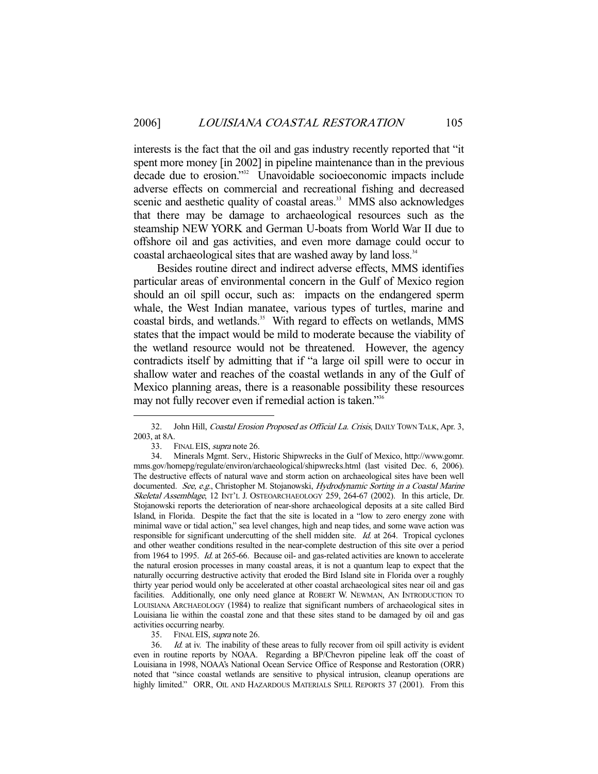interests is the fact that the oil and gas industry recently reported that "it spent more money [in 2002] in pipeline maintenance than in the previous decade due to erosion."<sup>32</sup> Unavoidable socioeconomic impacts include adverse effects on commercial and recreational fishing and decreased scenic and aesthetic quality of coastal areas.<sup>33</sup> MMS also acknowledges that there may be damage to archaeological resources such as the steamship NEW YORK and German U-boats from World War II due to offshore oil and gas activities, and even more damage could occur to coastal archaeological sites that are washed away by land loss.<sup>34</sup>

 Besides routine direct and indirect adverse effects, MMS identifies particular areas of environmental concern in the Gulf of Mexico region should an oil spill occur, such as: impacts on the endangered sperm whale, the West Indian manatee, various types of turtles, marine and coastal birds, and wetlands.<sup>35</sup> With regard to effects on wetlands, MMS states that the impact would be mild to moderate because the viability of the wetland resource would not be threatened. However, the agency contradicts itself by admitting that if "a large oil spill were to occur in shallow water and reaches of the coastal wetlands in any of the Gulf of Mexico planning areas, there is a reasonable possibility these resources may not fully recover even if remedial action is taken."<sup>356</sup>

-

35. FINAL EIS, *supra* note 26.

36. Id. at iv. The inability of these areas to fully recover from oil spill activity is evident even in routine reports by NOAA. Regarding a BP/Chevron pipeline leak off the coast of Louisiana in 1998, NOAA's National Ocean Service Office of Response and Restoration (ORR) noted that "since coastal wetlands are sensitive to physical intrusion, cleanup operations are highly limited." ORR, OIL AND HAZARDOUS MATERIALS SPILL REPORTS 37 (2001). From this

<sup>32.</sup> John Hill, *Coastal Erosion Proposed as Official La. Crisis*, DAILY TOWN TALK, Apr. 3, 2003, at 8A.

<sup>33.</sup> FINAL EIS, *supra* note 26.

 <sup>34.</sup> Minerals Mgmt. Serv., Historic Shipwrecks in the Gulf of Mexico, http://www.gomr. mms.gov/homepg/regulate/environ/archaeological/shipwrecks.html (last visited Dec. 6, 2006). The destructive effects of natural wave and storm action on archaeological sites have been well documented. See, e.g., Christopher M. Stojanowski, Hydrodynamic Sorting in a Coastal Marine Skeletal Assemblage, 12 INT'L J. OSTEOARCHAEOLOGY 259, 264-67 (2002). In this article, Dr. Stojanowski reports the deterioration of near-shore archaeological deposits at a site called Bird Island, in Florida. Despite the fact that the site is located in a "low to zero energy zone with minimal wave or tidal action," sea level changes, high and neap tides, and some wave action was responsible for significant undercutting of the shell midden site. Id. at 264. Tropical cyclones and other weather conditions resulted in the near-complete destruction of this site over a period from 1964 to 1995. Id. at 265-66. Because oil- and gas-related activities are known to accelerate the natural erosion processes in many coastal areas, it is not a quantum leap to expect that the naturally occurring destructive activity that eroded the Bird Island site in Florida over a roughly thirty year period would only be accelerated at other coastal archaeological sites near oil and gas facilities. Additionally, one only need glance at ROBERT W. NEWMAN, AN INTRODUCTION TO LOUISIANA ARCHAEOLOGY (1984) to realize that significant numbers of archaeological sites in Louisiana lie within the coastal zone and that these sites stand to be damaged by oil and gas activities occurring nearby.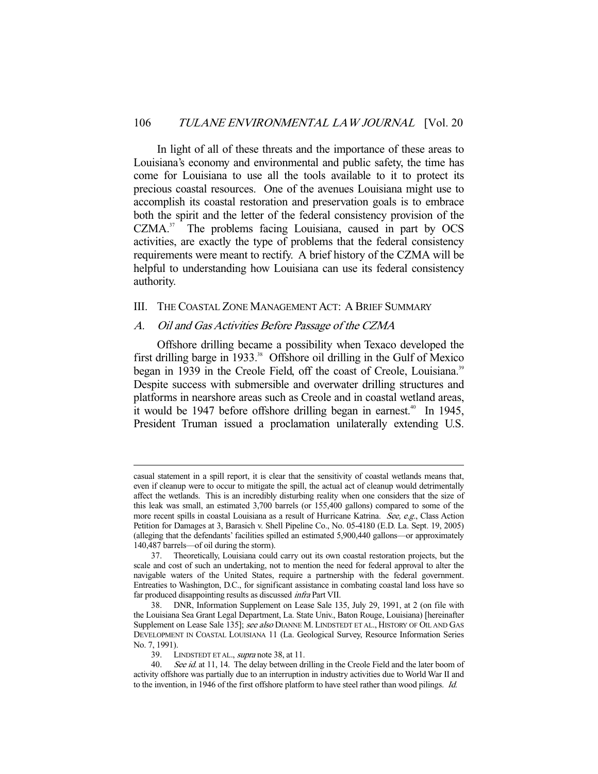In light of all of these threats and the importance of these areas to Louisiana's economy and environmental and public safety, the time has come for Louisiana to use all the tools available to it to protect its precious coastal resources. One of the avenues Louisiana might use to accomplish its coastal restoration and preservation goals is to embrace both the spirit and the letter of the federal consistency provision of the  $CZMA$ <sup>37</sup> The problems facing Louisiana, caused in part by  $OCS$ activities, are exactly the type of problems that the federal consistency requirements were meant to rectify. A brief history of the CZMA will be helpful to understanding how Louisiana can use its federal consistency authority.

# III. THE COASTAL ZONE MANAGEMENT ACT: A BRIEF SUMMARY

### A. Oil and Gas Activities Before Passage of the CZMA

 Offshore drilling became a possibility when Texaco developed the first drilling barge in  $1933$ <sup>38</sup> Offshore oil drilling in the Gulf of Mexico began in 1939 in the Creole Field, off the coast of Creole, Louisiana.<sup>39</sup> Despite success with submersible and overwater drilling structures and platforms in nearshore areas such as Creole and in coastal wetland areas, it would be 1947 before offshore drilling began in earnest.<sup>40</sup> In 1945, President Truman issued a proclamation unilaterally extending U.S.

casual statement in a spill report, it is clear that the sensitivity of coastal wetlands means that, even if cleanup were to occur to mitigate the spill, the actual act of cleanup would detrimentally affect the wetlands. This is an incredibly disturbing reality when one considers that the size of this leak was small, an estimated 3,700 barrels (or 155,400 gallons) compared to some of the more recent spills in coastal Louisiana as a result of Hurricane Katrina. See, e.g., Class Action Petition for Damages at 3, Barasich v. Shell Pipeline Co., No. 05-4180 (E.D. La. Sept. 19, 2005) (alleging that the defendants' facilities spilled an estimated 5,900,440 gallons—or approximately 140,487 barrels—of oil during the storm).

 <sup>37.</sup> Theoretically, Louisiana could carry out its own coastal restoration projects, but the scale and cost of such an undertaking, not to mention the need for federal approval to alter the navigable waters of the United States, require a partnership with the federal government. Entreaties to Washington, D.C., for significant assistance in combating coastal land loss have so far produced disappointing results as discussed infra Part VII.

 <sup>38.</sup> DNR, Information Supplement on Lease Sale 135, July 29, 1991, at 2 (on file with the Louisiana Sea Grant Legal Department, La. State Univ., Baton Rouge, Louisiana) [hereinafter Supplement on Lease Sale 135]; see also DIANNE M. LINDSTEDT ET AL., HISTORY OF OIL AND GAS DEVELOPMENT IN COASTAL LOUISIANA 11 (La. Geological Survey, Resource Information Series No. 7, 1991).

<sup>39.</sup> LINDSTEDT ET AL., *supra* note 38, at 11.

<sup>40.</sup> See id. at 11, 14. The delay between drilling in the Creole Field and the later boom of activity offshore was partially due to an interruption in industry activities due to World War II and to the invention, in 1946 of the first offshore platform to have steel rather than wood pilings. *Id.*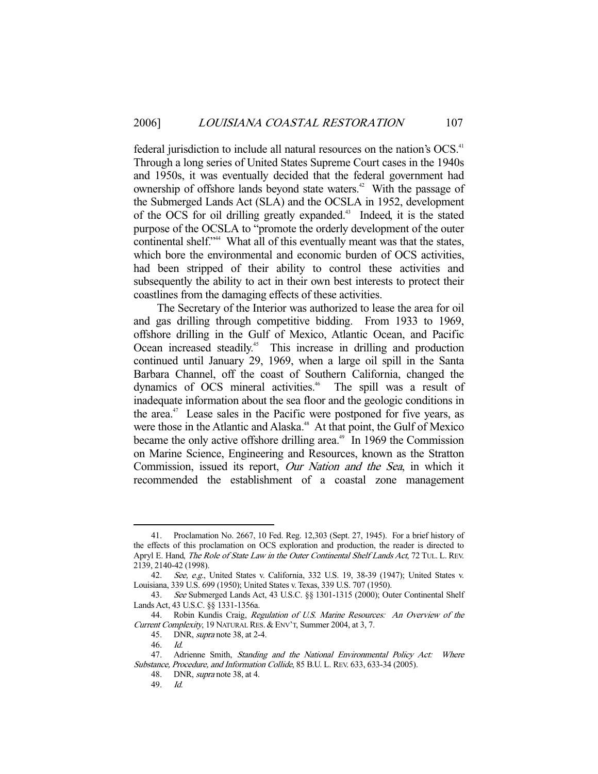federal jurisdiction to include all natural resources on the nation's OCS.<sup>41</sup> Through a long series of United States Supreme Court cases in the 1940s and 1950s, it was eventually decided that the federal government had ownership of offshore lands beyond state waters.<sup>42</sup> With the passage of the Submerged Lands Act (SLA) and the OCSLA in 1952, development of the OCS for oil drilling greatly expanded.<sup>43</sup> Indeed, it is the stated purpose of the OCSLA to "promote the orderly development of the outer continental shelf."<sup>44</sup> What all of this eventually meant was that the states, which bore the environmental and economic burden of OCS activities, had been stripped of their ability to control these activities and subsequently the ability to act in their own best interests to protect their coastlines from the damaging effects of these activities.

 The Secretary of the Interior was authorized to lease the area for oil and gas drilling through competitive bidding. From 1933 to 1969, offshore drilling in the Gulf of Mexico, Atlantic Ocean, and Pacific Ocean increased steadily.<sup>45</sup> This increase in drilling and production continued until January 29, 1969, when a large oil spill in the Santa Barbara Channel, off the coast of Southern California, changed the dynamics of OCS mineral activities.<sup>46</sup> The spill was a result of inadequate information about the sea floor and the geologic conditions in the area. $47$  Lease sales in the Pacific were postponed for five years, as were those in the Atlantic and Alaska.<sup>48</sup> At that point, the Gulf of Mexico became the only active offshore drilling area.<sup> $49$ </sup> In 1969 the Commission on Marine Science, Engineering and Resources, known as the Stratton Commission, issued its report, Our Nation and the Sea, in which it recommended the establishment of a coastal zone management

 <sup>41.</sup> Proclamation No. 2667, 10 Fed. Reg. 12,303 (Sept. 27, 1945). For a brief history of the effects of this proclamation on OCS exploration and production, the reader is directed to Apryl E. Hand, The Role of State Law in the Outer Continental Shelf Lands Act, 72 TUL. L. REV. 2139, 2140-42 (1998).

<sup>42.</sup> See, e.g., United States v. California, 332 U.S. 19, 38-39 (1947); United States v. Louisiana, 339 U.S. 699 (1950); United States v. Texas, 339 U.S. 707 (1950).

 <sup>43.</sup> See Submerged Lands Act, 43 U.S.C. §§ 1301-1315 (2000); Outer Continental Shelf Lands Act, 43 U.S.C. §§ 1331-1356a.

<sup>44.</sup> Robin Kundis Craig, Regulation of U.S. Marine Resources: An Overview of the Current Complexity, 19 NATURAL RES. & ENV'T, Summer 2004, at 3, 7.

 <sup>45.</sup> DNR, supra note 38, at 2-4.

 <sup>46.</sup> Id.

<sup>47.</sup> Adrienne Smith, Standing and the National Environmental Policy Act: Where Substance, Procedure, and Information Collide, 85 B.U. L. REV. 633, 633-34 (2005).

<sup>48.</sup> DNR, *supra* note 38, at 4.

 <sup>49.</sup> Id.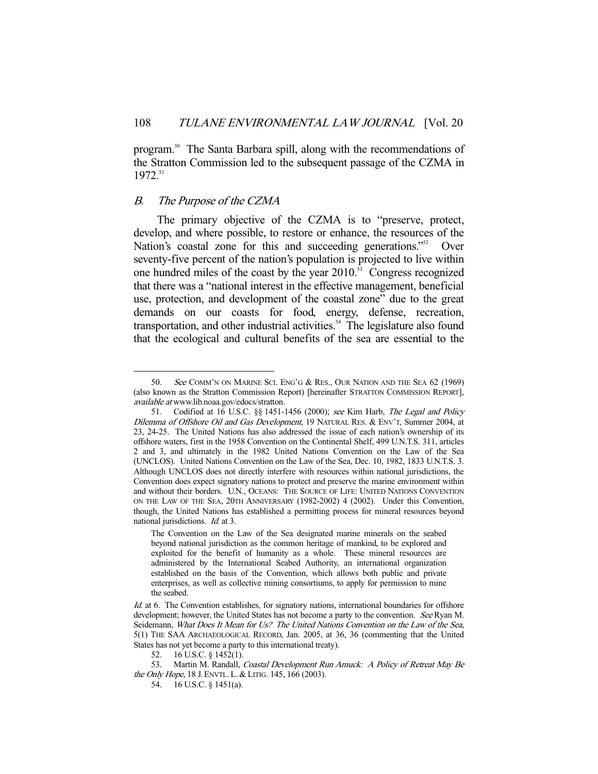program.<sup>50</sup> The Santa Barbara spill, along with the recommendations of the Stratton Commission led to the subsequent passage of the CZMA in 1972.51

## B. The Purpose of the CZMA

-

 The primary objective of the CZMA is to "preserve, protect, develop, and where possible, to restore or enhance, the resources of the Nation's coastal zone for this and succeeding generations."<sup>52</sup> Over seventy-five percent of the nation's population is projected to live within one hundred miles of the coast by the year  $2010$ .<sup>53</sup> Congress recognized that there was a "national interest in the effective management, beneficial use, protection, and development of the coastal zone" due to the great demands on our coasts for food, energy, defense, recreation, transportation, and other industrial activities. $54$  The legislature also found that the ecological and cultural benefits of the sea are essential to the

<sup>50.</sup> See COMM'N ON MARINE SCI. ENG'G & RES., OUR NATION AND THE SEA 62 (1969) (also known as the Stratton Commission Report) [hereinafter STRATTON COMMISSION REPORT], available at www.lib.noaa.gov/edocs/stratton.

 <sup>51.</sup> Codified at 16 U.S.C. §§ 1451-1456 (2000); see Kim Harb, The Legal and Policy Dilemma of Offshore Oil and Gas Development, 19 NATURAL RES. & ENV'T, Summer 2004, at 23, 24-25. The United Nations has also addressed the issue of each nation's ownership of its offshore waters, first in the 1958 Convention on the Continental Shelf, 499 U.N.T.S. 311, articles 2 and 3, and ultimately in the 1982 United Nations Convention on the Law of the Sea (UNCLOS). United Nations Convention on the Law of the Sea, Dec. 10, 1982, 1833 U.N.T.S. 3. Although UNCLOS does not directly interfere with resources within national jurisdictions, the Convention does expect signatory nations to protect and preserve the marine environment within and without their borders. U.N., OCEANS: THE SOURCE OF LIFE: UNITED NATIONS CONVENTION ON THE LAW OF THE SEA, 20TH ANNIVERSARY (1982-2002) 4 (2002). Under this Convention, though, the United Nations has established a permitting process for mineral resources beyond national jurisdictions. Id. at 3.

The Convention on the Law of the Sea designated marine minerals on the seabed beyond national jurisdiction as the common heritage of mankind, to be explored and exploited for the benefit of humanity as a whole. These mineral resources are administered by the International Seabed Authority, an international organization established on the basis of the Convention, which allows both public and private enterprises, as well as collective mining consortiums, to apply for permission to mine the seabed.

Id. at 6. The Convention establishes, for signatory nations, international boundaries for offshore development; however, the United States has not become a party to the convention. See Ryan M. Seidemann, What Does It Mean for Us? The United Nations Convention on the Law of the Sea, 5(1) THE SAA ARCHAEOLOGICAL RECORD, Jan. 2005, at 36, 36 (commenting that the United States has not yet become a party to this international treaty).

 <sup>52. 16</sup> U.S.C. § 1452(1).

<sup>53.</sup> Martin M. Randall, Coastal Development Run Amuck: A Policy of Retreat May Be the Only Hope, 18 J. ENVTL. L. & LITIG. 145, 166 (2003).

 <sup>54. 16</sup> U.S.C. § 1451(a).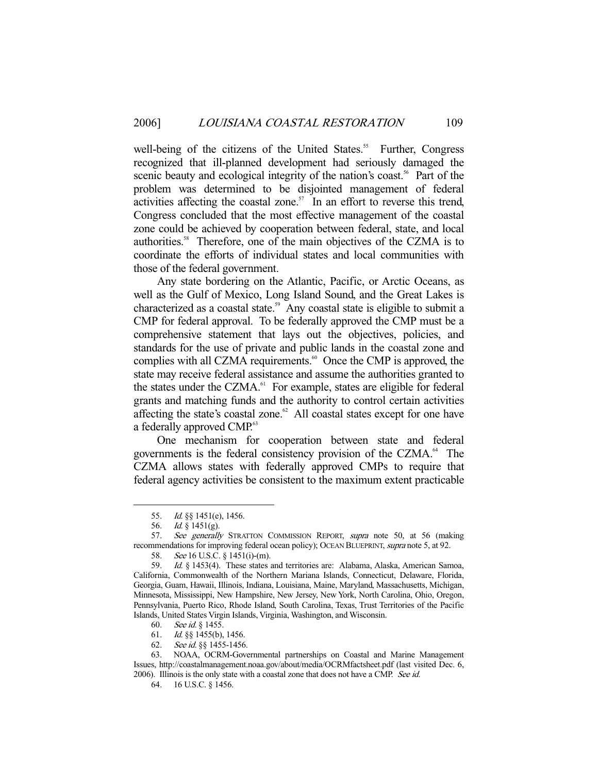well-being of the citizens of the United States.<sup>55</sup> Further, Congress recognized that ill-planned development had seriously damaged the scenic beauty and ecological integrity of the nation's coast.<sup>56</sup> Part of the problem was determined to be disjointed management of federal activities affecting the coastal zone.<sup>57</sup> In an effort to reverse this trend, Congress concluded that the most effective management of the coastal zone could be achieved by cooperation between federal, state, and local authorities.58 Therefore, one of the main objectives of the CZMA is to coordinate the efforts of individual states and local communities with those of the federal government.

 Any state bordering on the Atlantic, Pacific, or Arctic Oceans, as well as the Gulf of Mexico, Long Island Sound, and the Great Lakes is characterized as a coastal state.<sup>59</sup> Any coastal state is eligible to submit a CMP for federal approval. To be federally approved the CMP must be a comprehensive statement that lays out the objectives, policies, and standards for the use of private and public lands in the coastal zone and complies with all CZMA requirements.<sup>60</sup> Once the CMP is approved, the state may receive federal assistance and assume the authorities granted to the states under the CZMA. $^{61}$  For example, states are eligible for federal grants and matching funds and the authority to control certain activities affecting the state's coastal zone. $62$  All coastal states except for one have a federally approved CMP.<sup>63</sup>

 One mechanism for cooperation between state and federal governments is the federal consistency provision of the CZMA.<sup>64</sup> The CZMA allows states with federally approved CMPs to require that federal agency activities be consistent to the maximum extent practicable

-

62. See id. §§ 1455-1456.<br>63. NOAA, OCRM-Gove

 <sup>55.</sup> Id. §§ 1451(e), 1456.

<sup>56.</sup> *Id.*  $\frac{8}{3}$  1451(g).

<sup>57.</sup> See generally STRATTON COMMISSION REPORT, supra note 50, at 56 (making recommendations for improving federal ocean policy); OCEAN BLUEPRINT, supra note 5, at 92.

 <sup>58.</sup> See 16 U.S.C. § 1451(i)-(m).

 <sup>59.</sup> Id. § 1453(4). These states and territories are: Alabama, Alaska, American Samoa, California, Commonwealth of the Northern Mariana Islands, Connecticut, Delaware, Florida, Georgia, Guam, Hawaii, Illinois, Indiana, Louisiana, Maine, Maryland, Massachusetts, Michigan, Minnesota, Mississippi, New Hampshire, New Jersey, New York, North Carolina, Ohio, Oregon, Pennsylvania, Puerto Rico, Rhode Island, South Carolina, Texas, Trust Territories of the Pacific Islands, United States Virgin Islands, Virginia, Washington, and Wisconsin.

 <sup>60.</sup> See id. § 1455.

 <sup>61.</sup> Id. §§ 1455(b), 1456.

NOAA, OCRM-Governmental partnerships on Coastal and Marine Management Issues, http://coastalmanagement.noaa.gov/about/media/OCRMfactsheet.pdf (last visited Dec. 6, 2006). Illinois is the only state with a coastal zone that does not have a CMP. See id.

 <sup>64. 16</sup> U.S.C. § 1456.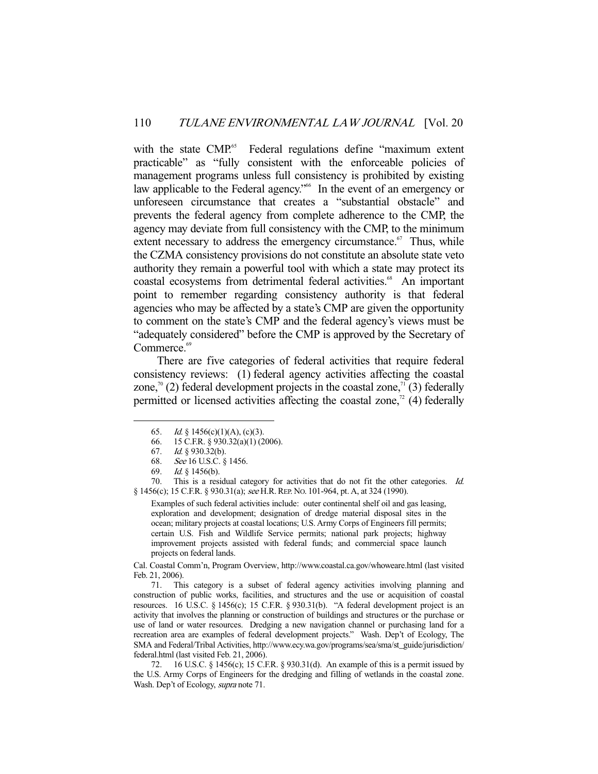with the state CMP.<sup>65</sup> Federal regulations define "maximum extent practicable" as "fully consistent with the enforceable policies of management programs unless full consistency is prohibited by existing law applicable to the Federal agency."<sup>66</sup> In the event of an emergency or unforeseen circumstance that creates a "substantial obstacle" and prevents the federal agency from complete adherence to the CMP, the agency may deviate from full consistency with the CMP, to the minimum extent necessary to address the emergency circumstance.<sup>67</sup> Thus, while the CZMA consistency provisions do not constitute an absolute state veto authority they remain a powerful tool with which a state may protect its coastal ecosystems from detrimental federal activities.<sup>68</sup> An important point to remember regarding consistency authority is that federal agencies who may be affected by a state's CMP are given the opportunity to comment on the state's CMP and the federal agency's views must be "adequately considered" before the CMP is approved by the Secretary of Commerce.<sup>69</sup>

 There are five categories of federal activities that require federal consistency reviews: (1) federal agency activities affecting the coastal zone,<sup>70</sup> (2) federal development projects in the coastal zone,<sup>71</sup> (3) federally permitted or licensed activities affecting the coastal zone,<sup> $\alpha$ </sup> (4) federally

-

 70. This is a residual category for activities that do not fit the other categories. Id. § 1456(c); 15 C.F.R. § 930.31(a); see H.R. REP. No. 101-964, pt. A, at 324 (1990).

Examples of such federal activities include: outer continental shelf oil and gas leasing, exploration and development; designation of dredge material disposal sites in the ocean; military projects at coastal locations; U.S. Army Corps of Engineers fill permits; certain U.S. Fish and Wildlife Service permits; national park projects; highway improvement projects assisted with federal funds; and commercial space launch projects on federal lands.

Cal. Coastal Comm'n, Program Overview, http://www.coastal.ca.gov/whoweare.html (last visited Feb. 21, 2006).

 71. This category is a subset of federal agency activities involving planning and construction of public works, facilities, and structures and the use or acquisition of coastal resources. 16 U.S.C. § 1456(c); 15 C.F.R. § 930.31(b). "A federal development project is an activity that involves the planning or construction of buildings and structures or the purchase or use of land or water resources. Dredging a new navigation channel or purchasing land for a recreation area are examples of federal development projects." Wash. Dep't of Ecology, The SMA and Federal/Tribal Activities, http://www.ecy.wa.gov/programs/sea/sma/st\_guide/jurisdiction/ federal.html (last visited Feb. 21, 2006).

 72. 16 U.S.C. § 1456(c); 15 C.F.R. § 930.31(d). An example of this is a permit issued by the U.S. Army Corps of Engineers for the dredging and filling of wetlands in the coastal zone. Wash. Dep't of Ecology, supra note 71.

<sup>65.</sup> *Id.* § 1456(c)(1)(A), (c)(3).

 <sup>66. 15</sup> C.F.R. § 930.32(a)(1) (2006).

 <sup>67.</sup> Id. § 930.32(b).

 <sup>68.</sup> See 16 U.S.C. § 1456.

 <sup>69.</sup> Id. § 1456(b).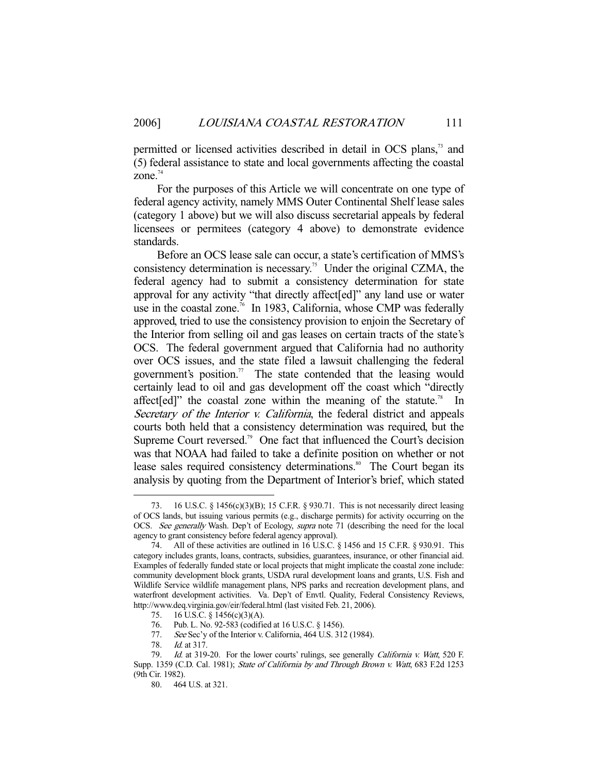permitted or licensed activities described in detail in OCS plans,<sup>73</sup> and (5) federal assistance to state and local governments affecting the coastal zone. $74$ 

 For the purposes of this Article we will concentrate on one type of federal agency activity, namely MMS Outer Continental Shelf lease sales (category 1 above) but we will also discuss secretarial appeals by federal licensees or permitees (category 4 above) to demonstrate evidence standards.

 Before an OCS lease sale can occur, a state's certification of MMS's consistency determination is necessary.<sup>75</sup> Under the original CZMA, the federal agency had to submit a consistency determination for state approval for any activity "that directly affect[ed]" any land use or water use in the coastal zone.<sup>76</sup> In 1983, California, whose CMP was federally approved, tried to use the consistency provision to enjoin the Secretary of the Interior from selling oil and gas leases on certain tracts of the state's OCS. The federal government argued that California had no authority over OCS issues, and the state filed a lawsuit challenging the federal government's position.<sup>77</sup> The state contended that the leasing would certainly lead to oil and gas development off the coast which "directly affect [ed]" the coastal zone within the meaning of the statute.<sup>78</sup> In Secretary of the Interior v. California, the federal district and appeals courts both held that a consistency determination was required, but the Supreme Court reversed.<sup>79</sup> One fact that influenced the Court's decision was that NOAA had failed to take a definite position on whether or not lease sales required consistency determinations.<sup>80</sup> The Court began its analysis by quoting from the Department of Interior's brief, which stated

 <sup>73. 16</sup> U.S.C. § 1456(c)(3)(B); 15 C.F.R. § 930.71. This is not necessarily direct leasing of OCS lands, but issuing various permits (e.g., discharge permits) for activity occurring on the OCS. See generally Wash. Dep't of Ecology, supra note 71 (describing the need for the local agency to grant consistency before federal agency approval).

 <sup>74.</sup> All of these activities are outlined in 16 U.S.C. § 1456 and 15 C.F.R. § 930.91. This category includes grants, loans, contracts, subsidies, guarantees, insurance, or other financial aid. Examples of federally funded state or local projects that might implicate the coastal zone include: community development block grants, USDA rural development loans and grants, U.S. Fish and Wildlife Service wildlife management plans, NPS parks and recreation development plans, and waterfront development activities. Va. Dep't of Envtl. Quality, Federal Consistency Reviews, http://www.deq.virginia.gov/eir/federal.html (last visited Feb. 21, 2006).

 <sup>75. 16</sup> U.S.C. § 1456(c)(3)(A).

 <sup>76.</sup> Pub. L. No. 92-583 (codified at 16 U.S.C. § 1456).

<sup>77.</sup> See Sec'y of the Interior v. California,  $464$  U.S.  $312$  (1984).

<sup>78.</sup> *Id.* at 317.

<sup>79.</sup> Id. at 319-20. For the lower courts' rulings, see generally *California v. Watt*, 520 F. Supp. 1359 (C.D. Cal. 1981); State of California by and Through Brown v. Watt, 683 F.2d 1253 (9th Cir. 1982).

 <sup>80. 464</sup> U.S. at 321.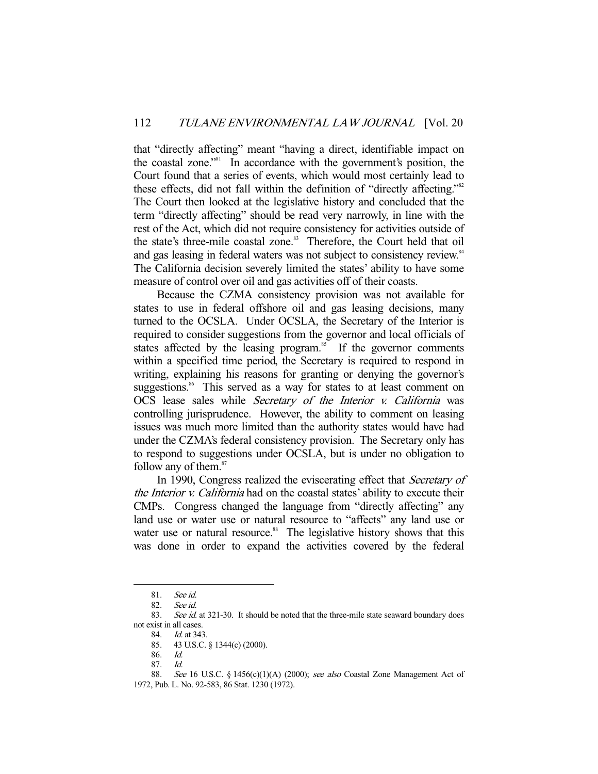that "directly affecting" meant "having a direct, identifiable impact on the coastal zone."81 In accordance with the government's position, the Court found that a series of events, which would most certainly lead to these effects, did not fall within the definition of "directly affecting."82 The Court then looked at the legislative history and concluded that the term "directly affecting" should be read very narrowly, in line with the rest of the Act, which did not require consistency for activities outside of the state's three-mile coastal zone.<sup>83</sup> Therefore, the Court held that oil and gas leasing in federal waters was not subject to consistency review.<sup>84</sup> The California decision severely limited the states' ability to have some measure of control over oil and gas activities off of their coasts.

 Because the CZMA consistency provision was not available for states to use in federal offshore oil and gas leasing decisions, many turned to the OCSLA. Under OCSLA, the Secretary of the Interior is required to consider suggestions from the governor and local officials of states affected by the leasing program.<sup>85</sup> If the governor comments within a specified time period, the Secretary is required to respond in writing, explaining his reasons for granting or denying the governor's suggestions.<sup>86</sup> This served as a way for states to at least comment on OCS lease sales while Secretary of the Interior v. California was controlling jurisprudence. However, the ability to comment on leasing issues was much more limited than the authority states would have had under the CZMA's federal consistency provision. The Secretary only has to respond to suggestions under OCSLA, but is under no obligation to follow any of them.<sup>87</sup>

In 1990, Congress realized the eviscerating effect that *Secretary of* the Interior v. California had on the coastal states' ability to execute their CMPs. Congress changed the language from "directly affecting" any land use or water use or natural resource to "affects" any land use or water use or natural resource.<sup>88</sup> The legislative history shows that this was done in order to expand the activities covered by the federal

 <sup>81.</sup> See id.

 <sup>82.</sup> See id.

<sup>83.</sup> See id. at 321-30. It should be noted that the three-mile state seaward boundary does not exist in all cases.

 <sup>84.</sup> Id. at 343.

 <sup>85. 43</sup> U.S.C. § 1344(c) (2000).

 <sup>86.</sup> Id.

 <sup>87.</sup> Id.

<sup>88.</sup> See 16 U.S.C. § 1456(c)(1)(A) (2000); see also Coastal Zone Management Act of 1972, Pub. L. No. 92-583, 86 Stat. 1230 (1972).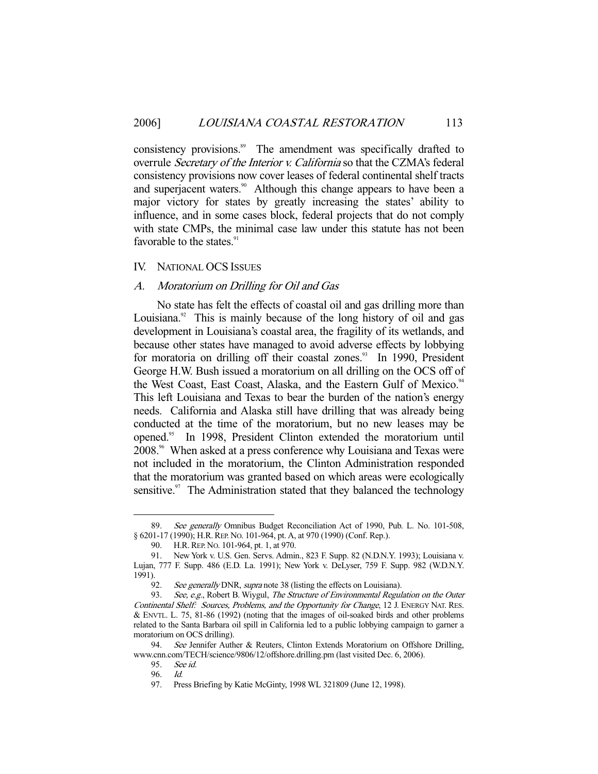consistency provisions.<sup>89</sup> The amendment was specifically drafted to overrule Secretary of the Interior v. California so that the CZMA's federal consistency provisions now cover leases of federal continental shelf tracts and superjacent waters.<sup>90</sup> Although this change appears to have been a major victory for states by greatly increasing the states' ability to influence, and in some cases block, federal projects that do not comply with state CMPs, the minimal case law under this statute has not been favorable to the states.<sup>91</sup>

# IV. NATIONAL OCS ISSUES

# A. Moratorium on Drilling for Oil and Gas

 No state has felt the effects of coastal oil and gas drilling more than Louisiana. $92$  This is mainly because of the long history of oil and gas development in Louisiana's coastal area, the fragility of its wetlands, and because other states have managed to avoid adverse effects by lobbying for moratoria on drilling off their coastal zones.<sup>93</sup> In 1990, President George H.W. Bush issued a moratorium on all drilling on the OCS off of the West Coast, East Coast, Alaska, and the Eastern Gulf of Mexico.<sup>94</sup> This left Louisiana and Texas to bear the burden of the nation's energy needs. California and Alaska still have drilling that was already being conducted at the time of the moratorium, but no new leases may be opened.95 In 1998, President Clinton extended the moratorium until 2008.<sup>96</sup> When asked at a press conference why Louisiana and Texas were not included in the moratorium, the Clinton Administration responded that the moratorium was granted based on which areas were ecologically sensitive. $\degree$  The Administration stated that they balanced the technology

<sup>89.</sup> See generally Omnibus Budget Reconciliation Act of 1990, Pub. L. No. 101-508, § 6201-17 (1990); H.R. REP. No. 101-964, pt. A, at 970 (1990) (Conf. Rep.).

 <sup>90.</sup> H.R.REP. NO. 101-964, pt. 1, at 970.

 <sup>91.</sup> New York v. U.S. Gen. Servs. Admin., 823 F. Supp. 82 (N.D.N.Y. 1993); Louisiana v. Lujan, 777 F. Supp. 486 (E.D. La. 1991); New York v. DeLyser, 759 F. Supp. 982 (W.D.N.Y. 1991).

<sup>92.</sup> See generally DNR, supra note 38 (listing the effects on Louisiana).

<sup>93.</sup> See, e.g., Robert B. Wiygul, The Structure of Environmental Regulation on the Outer Continental Shelf: Sources, Problems, and the Opportunity for Change, 12 J. ENERGY NAT. RES. & ENVTL. L. 75, 81-86 (1992) (noting that the images of oil-soaked birds and other problems related to the Santa Barbara oil spill in California led to a public lobbying campaign to garner a moratorium on OCS drilling).

<sup>94.</sup> See Jennifer Auther & Reuters, Clinton Extends Moratorium on Offshore Drilling, www.cnn.com/TECH/science/9806/12/offshore.drilling.pm (last visited Dec. 6, 2006).

 <sup>95.</sup> See id.

 <sup>96.</sup> Id.

 <sup>97.</sup> Press Briefing by Katie McGinty, 1998 WL 321809 (June 12, 1998).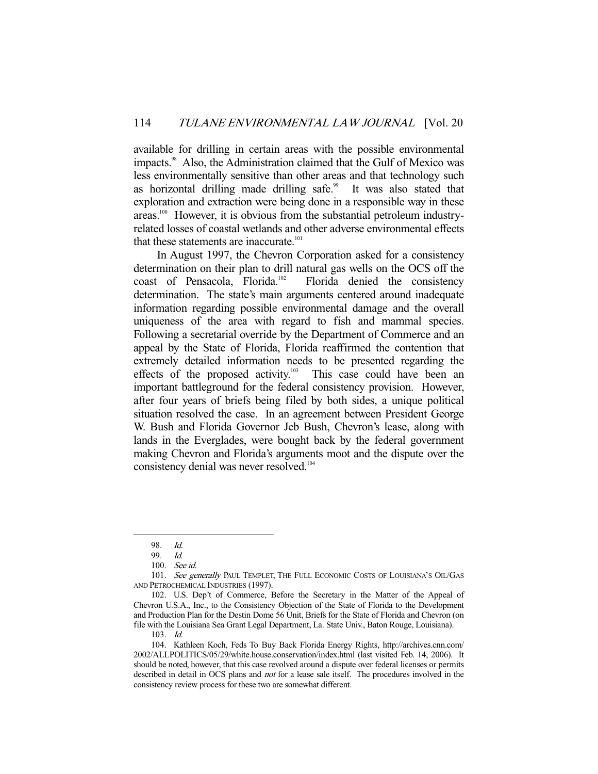available for drilling in certain areas with the possible environmental impacts.<sup>98</sup> Also, the Administration claimed that the Gulf of Mexico was less environmentally sensitive than other areas and that technology such as horizontal drilling made drilling safe.<sup>99</sup> It was also stated that exploration and extraction were being done in a responsible way in these areas.<sup>100</sup> However, it is obvious from the substantial petroleum industryrelated losses of coastal wetlands and other adverse environmental effects that these statements are inaccurate.<sup>101</sup>

 In August 1997, the Chevron Corporation asked for a consistency determination on their plan to drill natural gas wells on the OCS off the coast of Pensacola, Florida.<sup>102</sup> Florida denied the consistency determination. The state's main arguments centered around inadequate information regarding possible environmental damage and the overall uniqueness of the area with regard to fish and mammal species. Following a secretarial override by the Department of Commerce and an appeal by the State of Florida, Florida reaffirmed the contention that extremely detailed information needs to be presented regarding the effects of the proposed activity.<sup>103</sup> This case could have been an important battleground for the federal consistency provision. However, after four years of briefs being filed by both sides, a unique political situation resolved the case. In an agreement between President George W. Bush and Florida Governor Jeb Bush, Chevron's lease, along with lands in the Everglades, were bought back by the federal government making Chevron and Florida's arguments moot and the dispute over the consistency denial was never resolved.<sup>104</sup>

 <sup>98.</sup> Id.

 <sup>99.</sup> Id.

 <sup>100.</sup> See id.

<sup>101.</sup> See generally PAUL TEMPLET, THE FULL ECONOMIC COSTS OF LOUISIANA'S OIL/GAS AND PETROCHEMICAL INDUSTRIES (1997).

 <sup>102.</sup> U.S. Dep't of Commerce, Before the Secretary in the Matter of the Appeal of Chevron U.S.A., Inc., to the Consistency Objection of the State of Florida to the Development and Production Plan for the Destin Dome 56 Unit, Briefs for the State of Florida and Chevron (on file with the Louisiana Sea Grant Legal Department, La. State Univ., Baton Rouge, Louisiana).

 <sup>103.</sup> Id.

 <sup>104.</sup> Kathleen Koch, Feds To Buy Back Florida Energy Rights, http://archives.cnn.com/ 2002/ALLPOLITICS/05/29/white.house.conservation/index.html (last visited Feb. 14, 2006). It should be noted, however, that this case revolved around a dispute over federal licenses or permits described in detail in OCS plans and not for a lease sale itself. The procedures involved in the consistency review process for these two are somewhat different.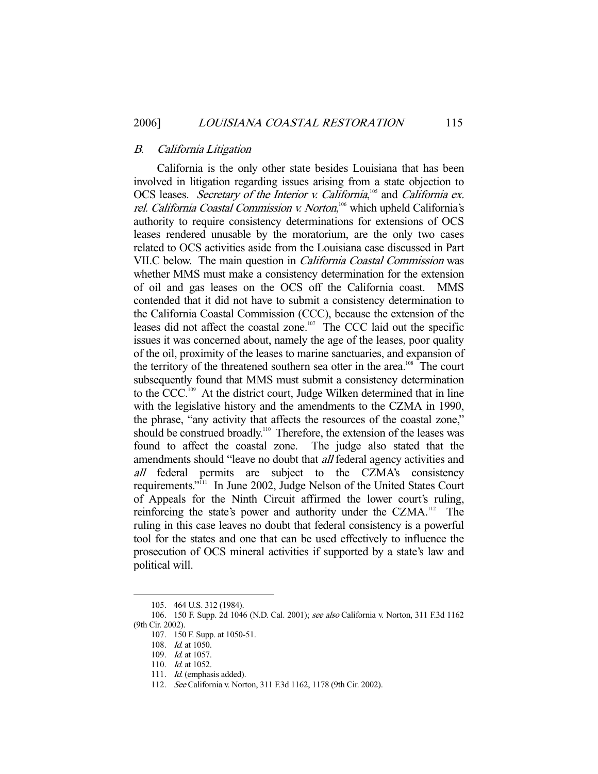## B. California Litigation

 California is the only other state besides Louisiana that has been involved in litigation regarding issues arising from a state objection to OCS leases. Secretary of the Interior v. California,<sup>105</sup> and California ex. rel. California Coastal Commission v. Norton,<sup>106</sup> which upheld California's authority to require consistency determinations for extensions of OCS leases rendered unusable by the moratorium, are the only two cases related to OCS activities aside from the Louisiana case discussed in Part VII.C below. The main question in California Coastal Commission was whether MMS must make a consistency determination for the extension of oil and gas leases on the OCS off the California coast. MMS contended that it did not have to submit a consistency determination to the California Coastal Commission (CCC), because the extension of the leases did not affect the coastal zone.<sup>107</sup> The CCC laid out the specific issues it was concerned about, namely the age of the leases, poor quality of the oil, proximity of the leases to marine sanctuaries, and expansion of the territory of the threatened southern sea otter in the area.<sup>108</sup> The court subsequently found that MMS must submit a consistency determination to the CCC.<sup>109</sup> At the district court, Judge Wilken determined that in line with the legislative history and the amendments to the CZMA in 1990, the phrase, "any activity that affects the resources of the coastal zone," should be construed broadly.<sup>110</sup> Therefore, the extension of the leases was found to affect the coastal zone. The judge also stated that the amendments should "leave no doubt that *all* federal agency activities and all federal permits are subject to the CZMA's consistency requirements."111 In June 2002, Judge Nelson of the United States Court of Appeals for the Ninth Circuit affirmed the lower court's ruling, reinforcing the state's power and authority under the CZMA.<sup>112</sup> The ruling in this case leaves no doubt that federal consistency is a powerful tool for the states and one that can be used effectively to influence the prosecution of OCS mineral activities if supported by a state's law and political will.

 <sup>105. 464</sup> U.S. 312 (1984).

 <sup>106. 150</sup> F. Supp. 2d 1046 (N.D. Cal. 2001); see also California v. Norton, 311 F.3d 1162 (9th Cir. 2002).

 <sup>107. 150</sup> F. Supp. at 1050-51.

 <sup>108.</sup> Id. at 1050.

 <sup>109.</sup> Id. at 1057.

<sup>110.</sup> *Id.* at 1052.

<sup>111.</sup> *Id.* (emphasis added).

 <sup>112.</sup> See California v. Norton, 311 F.3d 1162, 1178 (9th Cir. 2002).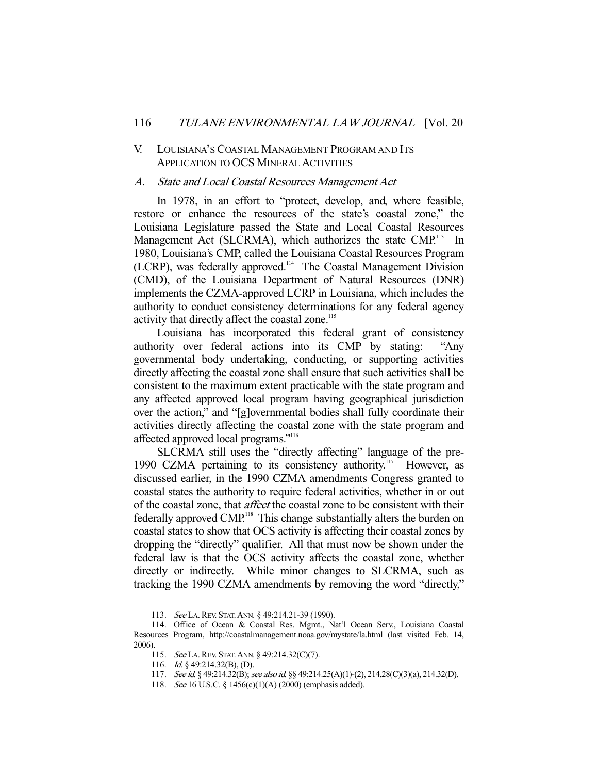# V. LOUISIANA'S COASTAL MANAGEMENT PROGRAM AND ITS APPLICATION TO OCS MINERAL ACTIVITIES

#### A. State and Local Coastal Resources Management Act

 In 1978, in an effort to "protect, develop, and, where feasible, restore or enhance the resources of the state's coastal zone," the Louisiana Legislature passed the State and Local Coastal Resources Management Act (SLCRMA), which authorizes the state CMP.<sup>113</sup> In 1980, Louisiana's CMP, called the Louisiana Coastal Resources Program (LCRP), was federally approved.114 The Coastal Management Division (CMD), of the Louisiana Department of Natural Resources (DNR) implements the CZMA-approved LCRP in Louisiana, which includes the authority to conduct consistency determinations for any federal agency activity that directly affect the coastal zone.<sup>115</sup>

 Louisiana has incorporated this federal grant of consistency authority over federal actions into its CMP by stating: "Any governmental body undertaking, conducting, or supporting activities directly affecting the coastal zone shall ensure that such activities shall be consistent to the maximum extent practicable with the state program and any affected approved local program having geographical jurisdiction over the action," and "[g]overnmental bodies shall fully coordinate their activities directly affecting the coastal zone with the state program and affected approved local programs."116

 SLCRMA still uses the "directly affecting" language of the pre-1990 CZMA pertaining to its consistency authority.<sup>117</sup> However, as discussed earlier, in the 1990 CZMA amendments Congress granted to coastal states the authority to require federal activities, whether in or out of the coastal zone, that affect the coastal zone to be consistent with their federally approved CMP<sup>118</sup>. This change substantially alters the burden on coastal states to show that OCS activity is affecting their coastal zones by dropping the "directly" qualifier. All that must now be shown under the federal law is that the OCS activity affects the coastal zone, whether directly or indirectly. While minor changes to SLCRMA, such as tracking the 1990 CZMA amendments by removing the word "directly,"

<sup>113.</sup> See LA. REV. STAT. ANN. § 49:214.21-39 (1990).

 <sup>114.</sup> Office of Ocean & Coastal Res. Mgmt., Nat'l Ocean Serv., Louisiana Coastal Resources Program, http://coastalmanagement.noaa.gov/mystate/la.html (last visited Feb. 14, 2006).

 <sup>115.</sup> See LA.REV. STAT.ANN. § 49:214.32(C)(7).

 <sup>116.</sup> Id. § 49:214.32(B), (D).

<sup>117.</sup> See id. § 49:214.32(B); see also id. §§ 49:214.25(A)(1)-(2), 214.28(C)(3)(a), 214.32(D).

 <sup>118.</sup> See 16 U.S.C. § 1456(c)(1)(A) (2000) (emphasis added).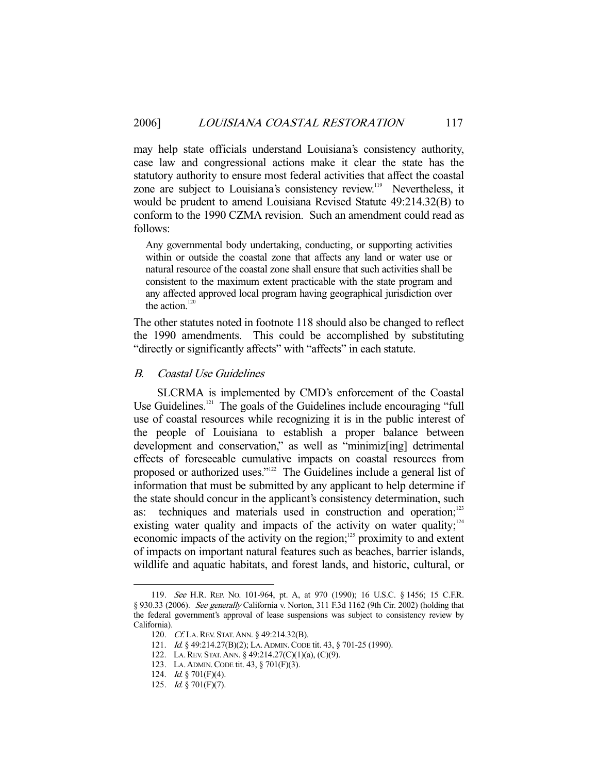may help state officials understand Louisiana's consistency authority, case law and congressional actions make it clear the state has the statutory authority to ensure most federal activities that affect the coastal zone are subject to Louisiana's consistency review.<sup>119</sup> Nevertheless, it would be prudent to amend Louisiana Revised Statute 49:214.32(B) to conform to the 1990 CZMA revision. Such an amendment could read as follows:

Any governmental body undertaking, conducting, or supporting activities within or outside the coastal zone that affects any land or water use or natural resource of the coastal zone shall ensure that such activities shall be consistent to the maximum extent practicable with the state program and any affected approved local program having geographical jurisdiction over the action.<sup>120</sup>

The other statutes noted in footnote 118 should also be changed to reflect the 1990 amendments. This could be accomplished by substituting "directly or significantly affects" with "affects" in each statute.

#### B. Coastal Use Guidelines

 SLCRMA is implemented by CMD's enforcement of the Coastal Use Guidelines.<sup>121</sup> The goals of the Guidelines include encouraging "full use of coastal resources while recognizing it is in the public interest of the people of Louisiana to establish a proper balance between development and conservation," as well as "minimiz[ing] detrimental effects of foreseeable cumulative impacts on coastal resources from proposed or authorized uses."122 The Guidelines include a general list of information that must be submitted by any applicant to help determine if the state should concur in the applicant's consistency determination, such as: techniques and materials used in construction and operation;<sup>123</sup> existing water quality and impacts of the activity on water quality; $124$ economic impacts of the activity on the region;<sup>125</sup> proximity to and extent of impacts on important natural features such as beaches, barrier islands, wildlife and aquatic habitats, and forest lands, and historic, cultural, or

<sup>119.</sup> See H.R. REP. No. 101-964, pt. A, at 970 (1990); 16 U.S.C. § 1456; 15 C.F.R. § 930.33 (2006). See generally California v. Norton, 311 F.3d 1162 (9th Cir. 2002) (holding that the federal government's approval of lease suspensions was subject to consistency review by California).

<sup>120.</sup> Cf. LA. REV. STAT. ANN. § 49:214.32(B).

<sup>121.</sup> *Id.* § 49:214.27(B)(2); LA. ADMIN. CODE tit. 43, § 701-25 (1990).

 <sup>122.</sup> LA.REV. STAT.ANN. § 49:214.27(C)(1)(a), (C)(9).

 <sup>123.</sup> LA.ADMIN.CODE tit. 43, § 701(F)(3).

 <sup>124.</sup> Id. § 701(F)(4).

 <sup>125.</sup> Id. § 701(F)(7).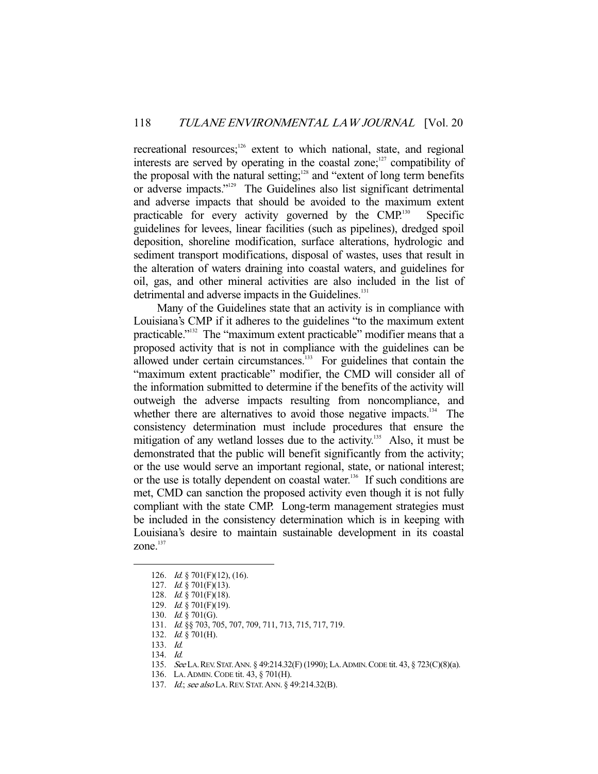recreational resources;<sup>126</sup> extent to which national, state, and regional interests are served by operating in the coastal zone; $127$  compatibility of the proposal with the natural setting;<sup>128</sup> and "extent of long term benefits or adverse impacts."129 The Guidelines also list significant detrimental and adverse impacts that should be avoided to the maximum extent practicable for every activity governed by the  $CMP<sup>130</sup>$  Specific guidelines for levees, linear facilities (such as pipelines), dredged spoil deposition, shoreline modification, surface alterations, hydrologic and sediment transport modifications, disposal of wastes, uses that result in the alteration of waters draining into coastal waters, and guidelines for oil, gas, and other mineral activities are also included in the list of detrimental and adverse impacts in the Guidelines.<sup>131</sup>

 Many of the Guidelines state that an activity is in compliance with Louisiana's CMP if it adheres to the guidelines "to the maximum extent practicable."132 The "maximum extent practicable" modifier means that a proposed activity that is not in compliance with the guidelines can be allowed under certain circumstances. $133$  For guidelines that contain the "maximum extent practicable" modifier, the CMD will consider all of the information submitted to determine if the benefits of the activity will outweigh the adverse impacts resulting from noncompliance, and whether there are alternatives to avoid those negative impacts.<sup>134</sup> The consistency determination must include procedures that ensure the mitigation of any wetland losses due to the activity.<sup>135</sup> Also, it must be demonstrated that the public will benefit significantly from the activity; or the use would serve an important regional, state, or national interest; or the use is totally dependent on coastal water.<sup>136</sup> If such conditions are met, CMD can sanction the proposed activity even though it is not fully compliant with the state CMP. Long-term management strategies must be included in the consistency determination which is in keeping with Louisiana's desire to maintain sustainable development in its coastal zone. $137$ 

 <sup>126.</sup> Id. § 701(F)(12), (16).

 <sup>127.</sup> Id. § 701(F)(13).

 <sup>128.</sup> Id. § 701(F)(18).

 <sup>129.</sup> Id. § 701(F)(19).

 <sup>130.</sup> Id. § 701(G).

 <sup>131.</sup> Id. §§ 703, 705, 707, 709, 711, 713, 715, 717, 719.

 <sup>132.</sup> Id. § 701(H).

 <sup>133.</sup> Id.

 <sup>134.</sup> Id.

 <sup>135.</sup> See LA.REV.STAT.ANN. § 49:214.32(F) (1990); LA.ADMIN.CODE tit. 43, § 723(C)(8)(a).

 <sup>136.</sup> LA.ADMIN.CODE tit. 43, § 701(H).

<sup>137.</sup> *Id.; see also* LA. REV. STAT. ANN. § 49:214.32(B).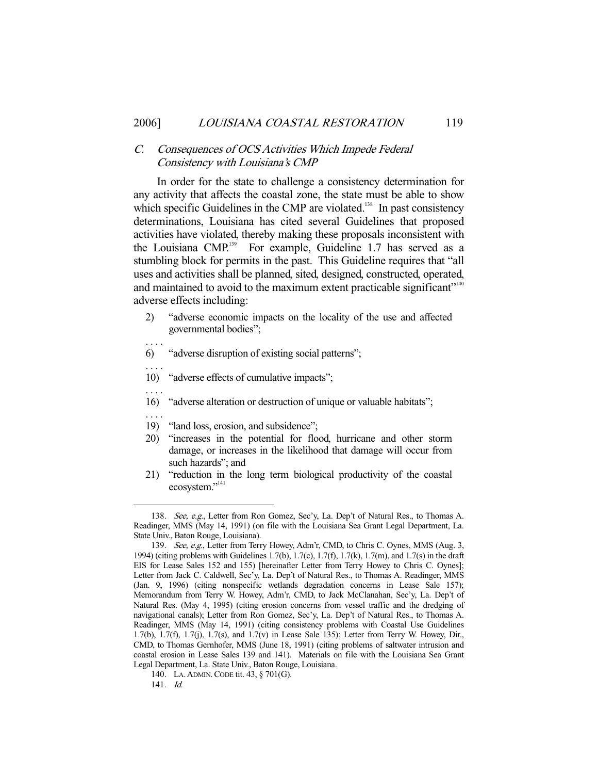# C. Consequences of OCS Activities Which Impede Federal Consistency with Louisiana's CMP

 In order for the state to challenge a consistency determination for any activity that affects the coastal zone, the state must be able to show which specific Guidelines in the CMP are violated.<sup>138</sup> In past consistency determinations, Louisiana has cited several Guidelines that proposed activities have violated, thereby making these proposals inconsistent with the Louisiana CMP.<sup>139</sup> For example, Guideline 1.7 has served as a stumbling block for permits in the past. This Guideline requires that "all uses and activities shall be planned, sited, designed, constructed, operated, and maintained to avoid to the maximum extent practicable significant"<sup>140</sup> adverse effects including:

- 2) "adverse economic impacts on the locality of the use and affected governmental bodies";
- . . . .

. . . .

- 6) "adverse disruption of existing social patterns";
- 10) "adverse effects of cumulative impacts";
- . . . .

. . . .

- 16) "adverse alteration or destruction of unique or valuable habitats";
- 19) "land loss, erosion, and subsidence";
- 20) "increases in the potential for flood, hurricane and other storm damage, or increases in the likelihood that damage will occur from such hazards"; and
- 21) "reduction in the long term biological productivity of the coastal ecosystem."<sup>141</sup>

 <sup>138.</sup> See, e.g., Letter from Ron Gomez, Sec'y, La. Dep't of Natural Res., to Thomas A. Readinger, MMS (May 14, 1991) (on file with the Louisiana Sea Grant Legal Department, La. State Univ., Baton Rouge, Louisiana).

<sup>139.</sup> See, e.g., Letter from Terry Howey, Adm'r, CMD, to Chris C. Oynes, MMS (Aug. 3, 1994) (citing problems with Guidelines 1.7(b), 1.7(c), 1.7(f), 1.7(k), 1.7(m), and 1.7(s) in the draft EIS for Lease Sales 152 and 155) [hereinafter Letter from Terry Howey to Chris C. Oynes]; Letter from Jack C. Caldwell, Sec'y, La. Dep't of Natural Res., to Thomas A. Readinger, MMS (Jan. 9, 1996) (citing nonspecific wetlands degradation concerns in Lease Sale 157); Memorandum from Terry W. Howey, Adm'r, CMD, to Jack McClanahan, Sec'y, La. Dep't of Natural Res. (May 4, 1995) (citing erosion concerns from vessel traffic and the dredging of navigational canals); Letter from Ron Gomez, Sec'y, La. Dep't of Natural Res., to Thomas A. Readinger, MMS (May 14, 1991) (citing consistency problems with Coastal Use Guidelines 1.7(b), 1.7(f), 1.7(j), 1.7(s), and 1.7(v) in Lease Sale 135); Letter from Terry W. Howey, Dir., CMD, to Thomas Gernhofer, MMS (June 18, 1991) (citing problems of saltwater intrusion and coastal erosion in Lease Sales 139 and 141). Materials on file with the Louisiana Sea Grant Legal Department, La. State Univ., Baton Rouge, Louisiana.

 <sup>140.</sup> LA.ADMIN.CODE tit. 43, § 701(G).

 <sup>141.</sup> Id.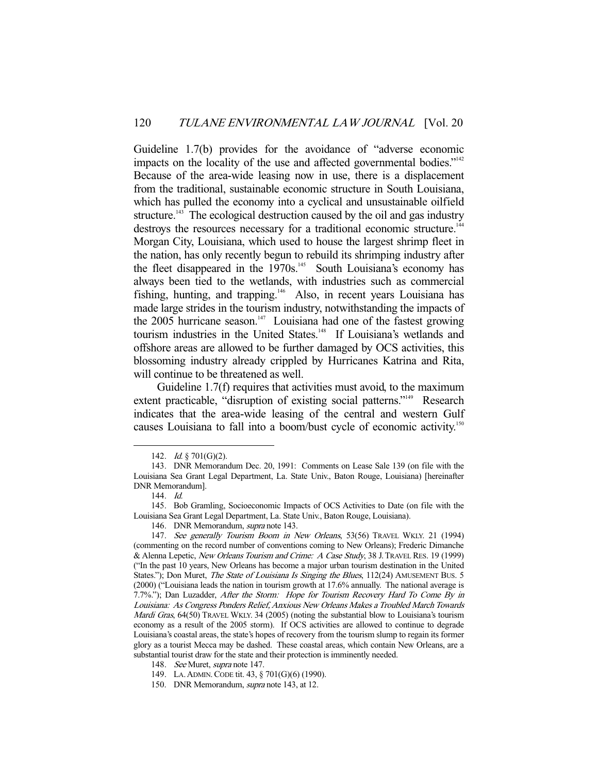Guideline 1.7(b) provides for the avoidance of "adverse economic impacts on the locality of the use and affected governmental bodies."<sup>142</sup> Because of the area-wide leasing now in use, there is a displacement from the traditional, sustainable economic structure in South Louisiana, which has pulled the economy into a cyclical and unsustainable oilfield structure.<sup>143</sup> The ecological destruction caused by the oil and gas industry destroys the resources necessary for a traditional economic structure.<sup>144</sup> Morgan City, Louisiana, which used to house the largest shrimp fleet in the nation, has only recently begun to rebuild its shrimping industry after the fleet disappeared in the 1970s.<sup>145</sup> South Louisiana's economy has always been tied to the wetlands, with industries such as commercial fishing, hunting, and trapping.<sup>146</sup> Also, in recent years Louisiana has made large strides in the tourism industry, notwithstanding the impacts of the 2005 hurricane season.<sup>147</sup> Louisiana had one of the fastest growing tourism industries in the United States.<sup>148</sup> If Louisiana's wetlands and offshore areas are allowed to be further damaged by OCS activities, this blossoming industry already crippled by Hurricanes Katrina and Rita, will continue to be threatened as well.

 Guideline 1.7(f) requires that activities must avoid, to the maximum extent practicable, "disruption of existing social patterns."<sup>149</sup> Research indicates that the area-wide leasing of the central and western Gulf causes Louisiana to fall into a boom/bust cycle of economic activity.<sup>150</sup>

<sup>142.</sup> *Id.* § 701(G)(2).

 <sup>143.</sup> DNR Memorandum Dec. 20, 1991: Comments on Lease Sale 139 (on file with the Louisiana Sea Grant Legal Department, La. State Univ., Baton Rouge, Louisiana) [hereinafter DNR Memorandum].

 <sup>144.</sup> Id.

 <sup>145.</sup> Bob Gramling, Socioeconomic Impacts of OCS Activities to Date (on file with the Louisiana Sea Grant Legal Department, La. State Univ., Baton Rouge, Louisiana).

 <sup>146.</sup> DNR Memorandum, supra note 143.

 <sup>147.</sup> See generally Tourism Boom in New Orleans, 53(56) TRAVEL WKLY. 21 (1994) (commenting on the record number of conventions coming to New Orleans); Frederic Dimanche & Alenna Lepetic, New Orleans Tourism and Crime: A Case Study, 38 J.TRAVEL RES. 19 (1999) ("In the past 10 years, New Orleans has become a major urban tourism destination in the United States."); Don Muret, *The State of Louisiana Is Singing the Blues*, 112(24) AMUSEMENT BUS. 5 (2000) ("Louisiana leads the nation in tourism growth at 17.6% annually. The national average is 7.7%."); Dan Luzadder, After the Storm: Hope for Tourism Recovery Hard To Come By in Louisiana: As Congress Ponders Relief, Anxious New Orleans Makes a Troubled March Towards Mardi Gras, 64(50) TRAVEL WKLY. 34 (2005) (noting the substantial blow to Louisiana's tourism economy as a result of the 2005 storm). If OCS activities are allowed to continue to degrade Louisiana's coastal areas, the state's hopes of recovery from the tourism slump to regain its former glory as a tourist Mecca may be dashed. These coastal areas, which contain New Orleans, are a substantial tourist draw for the state and their protection is imminently needed.

<sup>148.</sup> See Muret, *supra* note 147.

 <sup>149.</sup> LA.ADMIN.CODE tit. 43, § 701(G)(6) (1990).

 <sup>150.</sup> DNR Memorandum, supra note 143, at 12.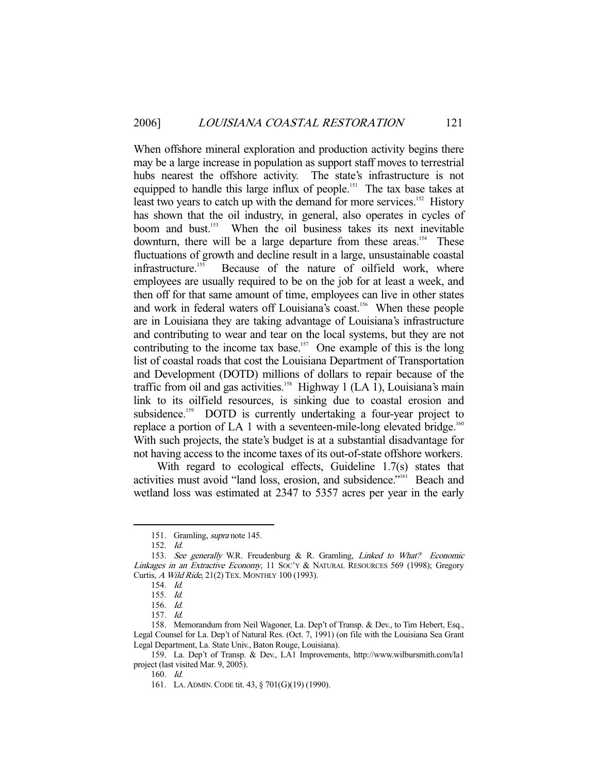When offshore mineral exploration and production activity begins there may be a large increase in population as support staff moves to terrestrial hubs nearest the offshore activity. The state's infrastructure is not equipped to handle this large influx of people.<sup>151</sup> The tax base takes at least two years to catch up with the demand for more services.<sup>152</sup> History has shown that the oil industry, in general, also operates in cycles of boom and bust.153 When the oil business takes its next inevitable downturn, there will be a large departure from these areas.<sup>154</sup> These fluctuations of growth and decline result in a large, unsustainable coastal infrastructure.<sup>155</sup> Because of the nature of oilfield work, where employees are usually required to be on the job for at least a week, and then off for that same amount of time, employees can live in other states and work in federal waters off Louisiana's coast.<sup>156</sup> When these people are in Louisiana they are taking advantage of Louisiana's infrastructure and contributing to wear and tear on the local systems, but they are not contributing to the income tax base.<sup>157</sup> One example of this is the long list of coastal roads that cost the Louisiana Department of Transportation and Development (DOTD) millions of dollars to repair because of the traffic from oil and gas activities.<sup>158</sup> Highway 1 (LA 1), Louisiana's main link to its oilfield resources, is sinking due to coastal erosion and subsidence.<sup>159</sup> DOTD is currently undertaking a four-year project to replace a portion of LA 1 with a seventeen-mile-long elevated bridge.<sup>160</sup> With such projects, the state's budget is at a substantial disadvantage for not having access to the income taxes of its out-of-state offshore workers.

 With regard to ecological effects, Guideline 1.7(s) states that activities must avoid "land loss, erosion, and subsidence."161 Beach and wetland loss was estimated at 2347 to 5357 acres per year in the early

 <sup>151.</sup> Gramling, supra note 145.

 <sup>152.</sup> Id.

<sup>153.</sup> See generally W.R. Freudenburg & R. Gramling, Linked to What? Economic Linkages in an Extractive Economy, 11 SOC'Y & NATURAL RESOURCES 569 (1998); Gregory Curtis, A Wild Ride, 21(2) TEX. MONTHLY 100 (1993).

 <sup>154.</sup> Id.

 <sup>155.</sup> Id.

 <sup>156.</sup> Id.

 <sup>157.</sup> Id.

 <sup>158.</sup> Memorandum from Neil Wagoner, La. Dep't of Transp. & Dev., to Tim Hebert, Esq., Legal Counsel for La. Dep't of Natural Res. (Oct. 7, 1991) (on file with the Louisiana Sea Grant Legal Department, La. State Univ., Baton Rouge, Louisiana).

 <sup>159.</sup> La. Dep't of Transp. & Dev., LA1 Improvements, http://www.wilbursmith.com/la1 project (last visited Mar. 9, 2005).

 <sup>160.</sup> Id.

 <sup>161.</sup> LA.ADMIN.CODE tit. 43, § 701(G)(19) (1990).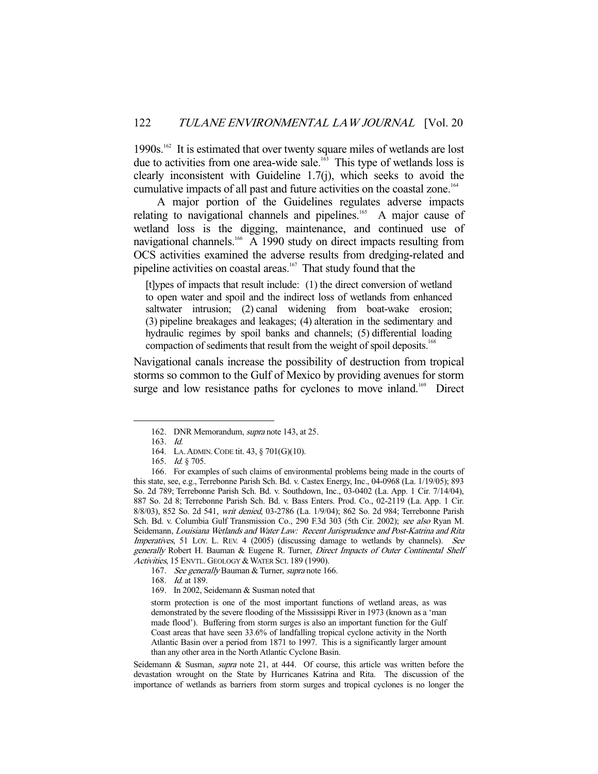1990s.162 It is estimated that over twenty square miles of wetlands are lost due to activities from one area-wide sale.<sup>163</sup> This type of wetlands loss is clearly inconsistent with Guideline 1.7(j), which seeks to avoid the cumulative impacts of all past and future activities on the coastal zone.164

 A major portion of the Guidelines regulates adverse impacts relating to navigational channels and pipelines.<sup>165</sup> A major cause of wetland loss is the digging, maintenance, and continued use of navigational channels.<sup>166</sup> A 1990 study on direct impacts resulting from OCS activities examined the adverse results from dredging-related and pipeline activities on coastal areas.<sup>167</sup> That study found that the

[t]ypes of impacts that result include: (1) the direct conversion of wetland to open water and spoil and the indirect loss of wetlands from enhanced saltwater intrusion; (2) canal widening from boat-wake erosion; (3) pipeline breakages and leakages; (4) alteration in the sedimentary and hydraulic regimes by spoil banks and channels; (5) differential loading compaction of sediments that result from the weight of spoil deposits.<sup>168</sup>

Navigational canals increase the possibility of destruction from tropical storms so common to the Gulf of Mexico by providing avenues for storm surge and low resistance paths for cyclones to move inland.<sup>169</sup> Direct

-

Seidemann & Susman, supra note 21, at 444. Of course, this article was written before the devastation wrought on the State by Hurricanes Katrina and Rita. The discussion of the importance of wetlands as barriers from storm surges and tropical cyclones is no longer the

 <sup>162.</sup> DNR Memorandum, supra note 143, at 25.

 <sup>163.</sup> Id.

 <sup>164.</sup> LA.ADMIN.CODE tit. 43, § 701(G)(10).

<sup>165.</sup> *Id.* § 705.

 <sup>166.</sup> For examples of such claims of environmental problems being made in the courts of this state, see, e.g., Terrebonne Parish Sch. Bd. v. Castex Energy, Inc., 04-0968 (La. 1/19/05); 893 So. 2d 789; Terrebonne Parish Sch. Bd. v. Southdown, Inc., 03-0402 (La. App. 1 Cir. 7/14/04), 887 So. 2d 8; Terrebonne Parish Sch. Bd. v. Bass Enters. Prod. Co., 02-2119 (La. App. 1 Cir. 8/8/03), 852 So. 2d 541, writ denied, 03-2786 (La. 1/9/04); 862 So. 2d 984; Terrebonne Parish Sch. Bd. v. Columbia Gulf Transmission Co., 290 F.3d 303 (5th Cir. 2002); see also Ryan M. Seidemann, Louisiana Wetlands and Water Law: Recent Jurisprudence and Post-Katrina and Rita Imperatives, 51 LOY. L. REV. 4 (2005) (discussing damage to wetlands by channels). See generally Robert H. Bauman & Eugene R. Turner, Direct Impacts of Outer Continental Shelf Activities, 15 ENVTL. GEOLOGY & WATER SCI. 189 (1990).

<sup>167.</sup> See generally Bauman & Turner, supra note 166.

<sup>168.</sup> *Id.* at 189.

 <sup>169.</sup> In 2002, Seidemann & Susman noted that

storm protection is one of the most important functions of wetland areas, as was demonstrated by the severe flooding of the Mississippi River in 1973 (known as a 'man made flood'). Buffering from storm surges is also an important function for the Gulf Coast areas that have seen 33.6% of landfalling tropical cyclone activity in the North Atlantic Basin over a period from 1871 to 1997. This is a significantly larger amount than any other area in the North Atlantic Cyclone Basin.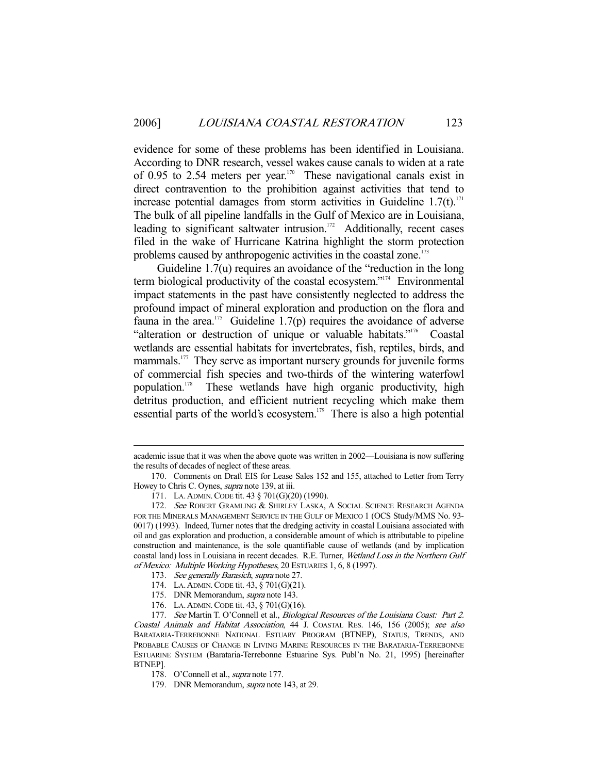evidence for some of these problems has been identified in Louisiana. According to DNR research, vessel wakes cause canals to widen at a rate of 0.95 to 2.54 meters per year.<sup>170</sup> These navigational canals exist in direct contravention to the prohibition against activities that tend to increase potential damages from storm activities in Guideline  $1.7(t)$ .<sup>171</sup> The bulk of all pipeline landfalls in the Gulf of Mexico are in Louisiana, leading to significant saltwater intrusion. $172$  Additionally, recent cases filed in the wake of Hurricane Katrina highlight the storm protection problems caused by anthropogenic activities in the coastal zone.<sup>173</sup>

 Guideline 1.7(u) requires an avoidance of the "reduction in the long term biological productivity of the coastal ecosystem."174 Environmental impact statements in the past have consistently neglected to address the profound impact of mineral exploration and production on the flora and fauna in the area.<sup>175</sup> Guideline 1.7(p) requires the avoidance of adverse "alteration or destruction of unique or valuable habitats."176 Coastal wetlands are essential habitats for invertebrates, fish, reptiles, birds, and mammals.<sup>177</sup> They serve as important nursery grounds for juvenile forms of commercial fish species and two-thirds of the wintering waterfowl population.178 These wetlands have high organic productivity, high detritus production, and efficient nutrient recycling which make them essential parts of the world's ecosystem.<sup>179</sup> There is also a high potential

academic issue that it was when the above quote was written in 2002—Louisiana is now suffering the results of decades of neglect of these areas.

 <sup>170.</sup> Comments on Draft EIS for Lease Sales 152 and 155, attached to Letter from Terry Howey to Chris C. Oynes, *supra* note 139, at iii.

 <sup>171.</sup> LA.ADMIN.CODE tit. 43 § 701(G)(20) (1990).

<sup>172.</sup> See ROBERT GRAMLING & SHIRLEY LASKA, A SOCIAL SCIENCE RESEARCH AGENDA FOR THE MINERALS MANAGEMENT SERVICE IN THE GULF OF MEXICO 1 (OCS Study/MMS No. 93- 0017) (1993). Indeed, Turner notes that the dredging activity in coastal Louisiana associated with oil and gas exploration and production, a considerable amount of which is attributable to pipeline construction and maintenance, is the sole quantifiable cause of wetlands (and by implication coastal land) loss in Louisiana in recent decades. R.E. Turner, Wetland Loss in the Northern Gulf of Mexico: Multiple Working Hypotheses, 20 ESTUARIES 1, 6, 8 (1997).

<sup>173.</sup> See generally Barasich, supra note 27.

 <sup>174.</sup> LA.ADMIN.CODE tit. 43, § 701(G)(21).

 <sup>175.</sup> DNR Memorandum, supra note 143.

 <sup>176.</sup> LA.ADMIN.CODE tit. 43, § 701(G)(16).

<sup>177.</sup> See Martin T. O'Connell et al., Biological Resources of the Louisiana Coast: Part 2. Coastal Animals and Habitat Association, 44 J. COASTAL RES. 146, 156 (2005); see also BARATARIA-TERREBONNE NATIONAL ESTUARY PROGRAM (BTNEP), STATUS, TRENDS, AND PROBABLE CAUSES OF CHANGE IN LIVING MARINE RESOURCES IN THE BARATARIA-TERREBONNE ESTUARINE SYSTEM (Barataria-Terrebonne Estuarine Sys. Publ'n No. 21, 1995) [hereinafter BTNEP].

 <sup>178.</sup> O'Connell et al., supra note 177.

 <sup>179.</sup> DNR Memorandum, supra note 143, at 29.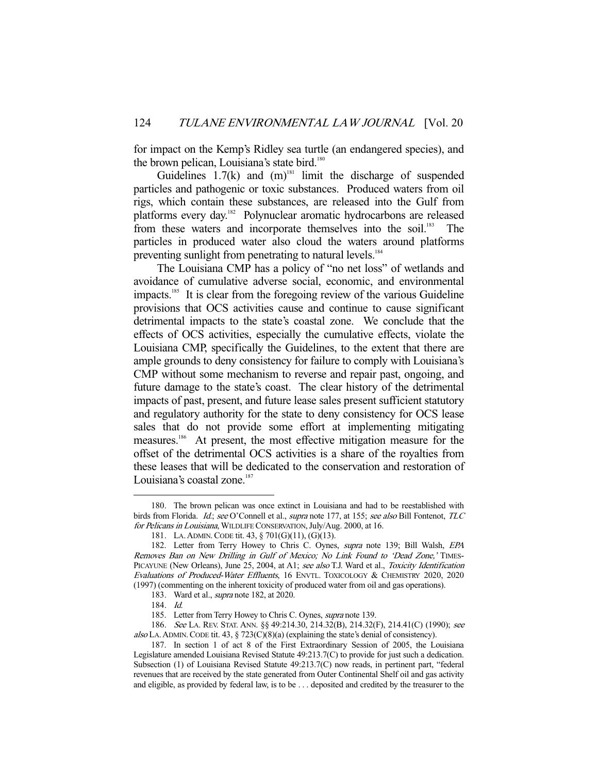for impact on the Kemp's Ridley sea turtle (an endangered species), and the brown pelican, Louisiana's state bird.<sup>180</sup>

Guidelines  $1.7(k)$  and  $(m)$ <sup>181</sup> limit the discharge of suspended particles and pathogenic or toxic substances. Produced waters from oil rigs, which contain these substances, are released into the Gulf from platforms every day.<sup>182</sup> Polynuclear aromatic hydrocarbons are released from these waters and incorporate themselves into the soil.<sup>183</sup> The particles in produced water also cloud the waters around platforms preventing sunlight from penetrating to natural levels.<sup>184</sup>

 The Louisiana CMP has a policy of "no net loss" of wetlands and avoidance of cumulative adverse social, economic, and environmental impacts.<sup>185</sup> It is clear from the foregoing review of the various Guideline provisions that OCS activities cause and continue to cause significant detrimental impacts to the state's coastal zone. We conclude that the effects of OCS activities, especially the cumulative effects, violate the Louisiana CMP, specifically the Guidelines, to the extent that there are ample grounds to deny consistency for failure to comply with Louisiana's CMP without some mechanism to reverse and repair past, ongoing, and future damage to the state's coast. The clear history of the detrimental impacts of past, present, and future lease sales present sufficient statutory and regulatory authority for the state to deny consistency for OCS lease sales that do not provide some effort at implementing mitigating measures.186 At present, the most effective mitigation measure for the offset of the detrimental OCS activities is a share of the royalties from these leases that will be dedicated to the conservation and restoration of Louisiana's coastal zone. $187$ 

 <sup>180.</sup> The brown pelican was once extinct in Louisiana and had to be reestablished with birds from Florida. Id.; see O'Connell et al., supra note 177, at 155; see also Bill Fontenot, TLC for Pelicans in Louisiana, WILDLIFE CONSERVATION, July/Aug. 2000, at 16.

 <sup>181.</sup> LA.ADMIN.CODE tit. 43, § 701(G)(11), (G)(13).

<sup>182.</sup> Letter from Terry Howey to Chris C. Oynes, supra note 139; Bill Walsh, EPA Removes Ban on New Drilling in Gulf of Mexico; No Link Found to 'Dead Zone,' TIMES-PICAYUNE (New Orleans), June 25, 2004, at A1; see also T.J. Ward et al., Toxicity Identification Evaluations of Produced-Water Effluents, 16 ENVTL. TOXICOLOGY & CHEMISTRY 2020, 2020 (1997) (commenting on the inherent toxicity of produced water from oil and gas operations).

<sup>183.</sup> Ward et al., *supra* note 182, at 2020.

 <sup>184.</sup> Id.

<sup>185.</sup> Letter from Terry Howey to Chris C. Oynes, *supra* note 139.

 <sup>186.</sup> See LA. REV. STAT. ANN. §§ 49:214.30, 214.32(B), 214.32(F), 214.41(C) (1990); see also LA. ADMIN. CODE tit. 43, § 723(C)(8)(a) (explaining the state's denial of consistency).

 <sup>187.</sup> In section 1 of act 8 of the First Extraordinary Session of 2005, the Louisiana Legislature amended Louisiana Revised Statute 49:213.7(C) to provide for just such a dedication. Subsection (1) of Louisiana Revised Statute 49:213.7(C) now reads, in pertinent part, "federal revenues that are received by the state generated from Outer Continental Shelf oil and gas activity and eligible, as provided by federal law, is to be . . . deposited and credited by the treasurer to the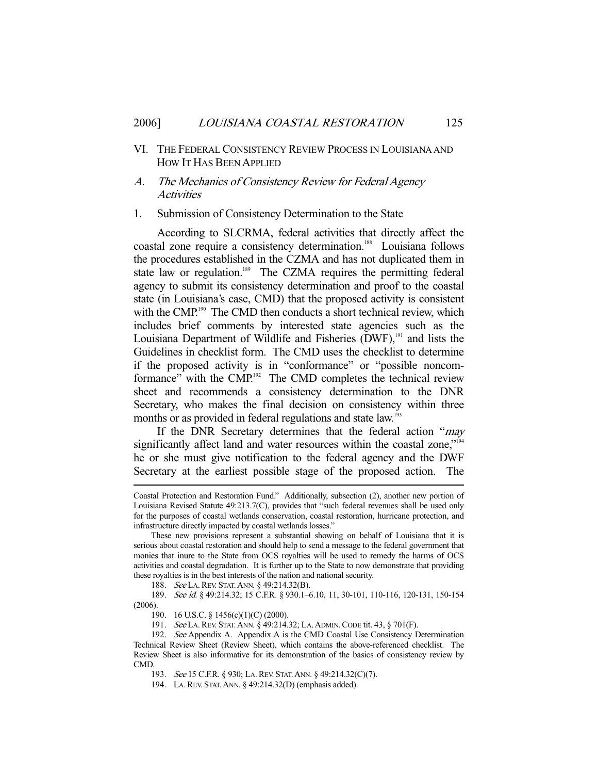# VI. THE FEDERAL CONSISTENCY REVIEW PROCESS IN LOUISIANA AND HOW IT HAS BEEN APPLIED

# A. The Mechanics of Consistency Review for Federal Agency **Activities**

#### 1. Submission of Consistency Determination to the State

 According to SLCRMA, federal activities that directly affect the coastal zone require a consistency determination.<sup>188</sup> Louisiana follows the procedures established in the CZMA and has not duplicated them in state law or regulation.<sup>189</sup> The CZMA requires the permitting federal agency to submit its consistency determination and proof to the coastal state (in Louisiana's case, CMD) that the proposed activity is consistent with the CMP.<sup>190</sup> The CMD then conducts a short technical review, which includes brief comments by interested state agencies such as the Louisiana Department of Wildlife and Fisheries  $(DWF)$ ,<sup>191</sup> and lists the Guidelines in checklist form. The CMD uses the checklist to determine if the proposed activity is in "conformance" or "possible noncomformance" with the CMP.<sup>192</sup> The CMD completes the technical review sheet and recommends a consistency determination to the DNR Secretary, who makes the final decision on consistency within three months or as provided in federal regulations and state law.<sup>193</sup>

If the DNR Secretary determines that the federal action "may significantly affect land and water resources within the coastal zone,"<sup>194</sup> he or she must give notification to the federal agency and the DWF Secretary at the earliest possible stage of the proposed action. The

188. See LA. REV. STAT. ANN. § 49:214.32(B).

189. See id. § 49:214.32; 15 C.F.R. § 930.1-6.10, 11, 30-101, 110-116, 120-131, 150-154 (2006).

190. 16 U.S.C. § 1456(c)(1)(C) (2000).

-

191. See LA.REV. STAT.ANN. § 49:214.32; LA.ADMIN.CODE tit. 43, § 701(F).

193. See 15 C.F.R. § 930; LA.REV. STAT.ANN. § 49:214.32(C)(7).

194. LA.REV. STAT.ANN. § 49:214.32(D) (emphasis added).

Coastal Protection and Restoration Fund." Additionally, subsection (2), another new portion of Louisiana Revised Statute 49:213.7(C), provides that "such federal revenues shall be used only for the purposes of coastal wetlands conservation, coastal restoration, hurricane protection, and infrastructure directly impacted by coastal wetlands losses."

These new provisions represent a substantial showing on behalf of Louisiana that it is serious about coastal restoration and should help to send a message to the federal government that monies that inure to the State from OCS royalties will be used to remedy the harms of OCS activities and coastal degradation. It is further up to the State to now demonstrate that providing these royalties is in the best interests of the nation and national security.

<sup>192.</sup> See Appendix A. Appendix A is the CMD Coastal Use Consistency Determination Technical Review Sheet (Review Sheet), which contains the above-referenced checklist. The Review Sheet is also informative for its demonstration of the basics of consistency review by CMD.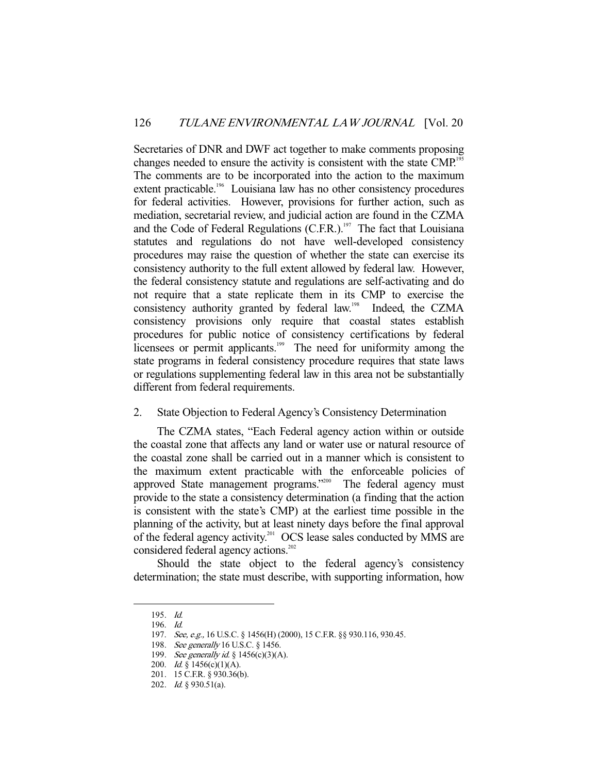Secretaries of DNR and DWF act together to make comments proposing changes needed to ensure the activity is consistent with the state CMP.<sup>195</sup> The comments are to be incorporated into the action to the maximum extent practicable.<sup>196</sup> Louisiana law has no other consistency procedures for federal activities. However, provisions for further action, such as mediation, secretarial review, and judicial action are found in the CZMA and the Code of Federal Regulations  $(C.F.R.)$ <sup>197</sup> The fact that Louisiana statutes and regulations do not have well-developed consistency procedures may raise the question of whether the state can exercise its consistency authority to the full extent allowed by federal law. However, the federal consistency statute and regulations are self-activating and do not require that a state replicate them in its CMP to exercise the consistency authority granted by federal law.198 Indeed, the CZMA consistency provisions only require that coastal states establish procedures for public notice of consistency certifications by federal licensees or permit applicants.<sup>199</sup> The need for uniformity among the state programs in federal consistency procedure requires that state laws or regulations supplementing federal law in this area not be substantially different from federal requirements.

#### 2. State Objection to Federal Agency's Consistency Determination

 The CZMA states, "Each Federal agency action within or outside the coastal zone that affects any land or water use or natural resource of the coastal zone shall be carried out in a manner which is consistent to the maximum extent practicable with the enforceable policies of approved State management programs."<sup>200</sup> The federal agency must provide to the state a consistency determination (a finding that the action is consistent with the state's CMP) at the earliest time possible in the planning of the activity, but at least ninety days before the final approval of the federal agency activity.<sup>201</sup> OCS lease sales conducted by MMS are considered federal agency actions.<sup>202</sup>

 Should the state object to the federal agency's consistency determination; the state must describe, with supporting information, how

 <sup>195.</sup> Id.

 <sup>196.</sup> Id.

<sup>197.</sup> See, e.g., 16 U.S.C. § 1456(H) (2000), 15 C.F.R. §§ 930.116, 930.45.

<sup>198.</sup> See generally 16 U.S.C. § 1456.

<sup>199.</sup> See generally id. § 1456(c)(3)(A).

<sup>200.</sup> *Id.* § 1456(c)(1)(A).

 <sup>201. 15</sup> C.F.R. § 930.36(b).

 <sup>202.</sup> Id. § 930.51(a).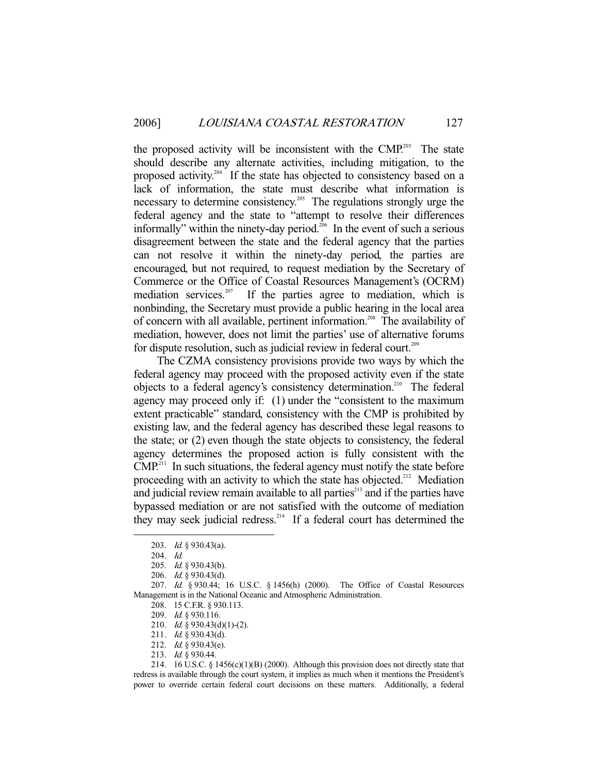the proposed activity will be inconsistent with the CMP.<sup>203</sup> The state should describe any alternate activities, including mitigation, to the proposed activity.<sup>204</sup> If the state has objected to consistency based on a lack of information, the state must describe what information is necessary to determine consistency.<sup>205</sup> The regulations strongly urge the federal agency and the state to "attempt to resolve their differences informally" within the ninety-day period.<sup>206</sup> In the event of such a serious disagreement between the state and the federal agency that the parties can not resolve it within the ninety-day period, the parties are encouraged, but not required, to request mediation by the Secretary of Commerce or the Office of Coastal Resources Management's (OCRM) mediation services.<sup>207</sup> If the parties agree to mediation, which is nonbinding, the Secretary must provide a public hearing in the local area of concern with all available, pertinent information.<sup>208</sup> The availability of mediation, however, does not limit the parties' use of alternative forums for dispute resolution, such as judicial review in federal court.<sup>209</sup>

 The CZMA consistency provisions provide two ways by which the federal agency may proceed with the proposed activity even if the state objects to a federal agency's consistency determination.210 The federal agency may proceed only if: (1) under the "consistent to the maximum extent practicable" standard, consistency with the CMP is prohibited by existing law, and the federal agency has described these legal reasons to the state; or (2) even though the state objects to consistency, the federal agency determines the proposed action is fully consistent with the  $CMP<sup>211</sup>$  In such situations, the federal agency must notify the state before proceeding with an activity to which the state has objected.<sup>212</sup> Mediation and judicial review remain available to all parties<sup>213</sup> and if the parties have bypassed mediation or are not satisfied with the outcome of mediation they may seek judicial redress.<sup>214</sup> If a federal court has determined the

-

 207. Id. § 930.44; 16 U.S.C. § 1456(h) (2000). The Office of Coastal Resources Management is in the National Oceanic and Atmospheric Administration.

213. Id. § 930.44.

 214. 16 U.S.C. § 1456(c)(1)(B) (2000). Although this provision does not directly state that redress is available through the court system, it implies as much when it mentions the President's power to override certain federal court decisions on these matters. Additionally, a federal

 <sup>203.</sup> Id. § 930.43(a).

 <sup>204.</sup> Id.

 <sup>205.</sup> Id. § 930.43(b).

 <sup>206.</sup> Id. § 930.43(d).

 <sup>208. 15</sup> C.F.R. § 930.113.

 <sup>209.</sup> Id. § 930.116.

 <sup>210.</sup> Id. § 930.43(d)(1)-(2).

 <sup>211.</sup> Id. § 930.43(d).

 <sup>212.</sup> Id. § 930.43(e).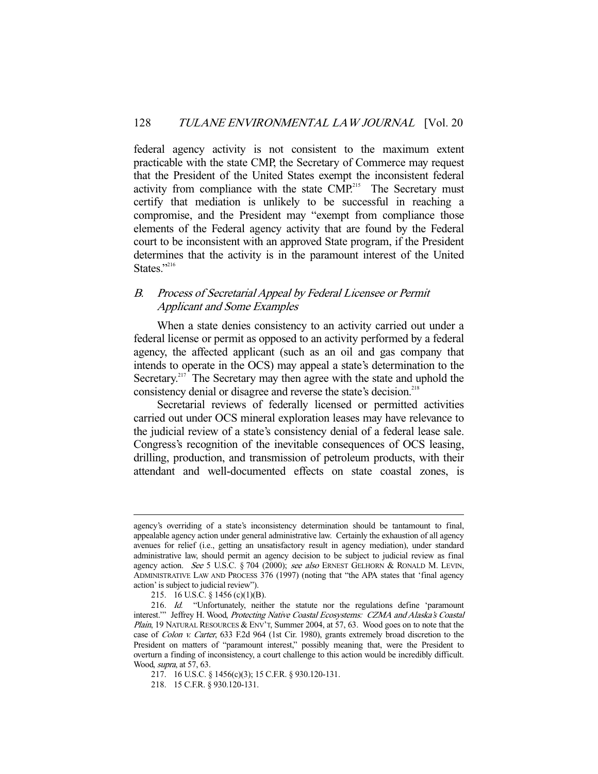federal agency activity is not consistent to the maximum extent practicable with the state CMP, the Secretary of Commerce may request that the President of the United States exempt the inconsistent federal activity from compliance with the state CMP.<sup>215</sup> The Secretary must certify that mediation is unlikely to be successful in reaching a compromise, and the President may "exempt from compliance those elements of the Federal agency activity that are found by the Federal court to be inconsistent with an approved State program, if the President determines that the activity is in the paramount interest of the United States."216

# B. Process of Secretarial Appeal by Federal Licensee or Permit Applicant and Some Examples

 When a state denies consistency to an activity carried out under a federal license or permit as opposed to an activity performed by a federal agency, the affected applicant (such as an oil and gas company that intends to operate in the OCS) may appeal a state's determination to the Secretary.<sup>217</sup> The Secretary may then agree with the state and uphold the consistency denial or disagree and reverse the state's decision.<sup>218</sup>

 Secretarial reviews of federally licensed or permitted activities carried out under OCS mineral exploration leases may have relevance to the judicial review of a state's consistency denial of a federal lease sale. Congress's recognition of the inevitable consequences of OCS leasing, drilling, production, and transmission of petroleum products, with their attendant and well-documented effects on state coastal zones, is

agency's overriding of a state's inconsistency determination should be tantamount to final, appealable agency action under general administrative law. Certainly the exhaustion of all agency avenues for relief (i.e., getting an unsatisfactory result in agency mediation), under standard administrative law, should permit an agency decision to be subject to judicial review as final agency action. See 5 U.S.C. § 704 (2000); see also ERNEST GELHORN & RONALD M. LEVIN, ADMINISTRATIVE LAW AND PROCESS 376 (1997) (noting that "the APA states that 'final agency action' is subject to judicial review").

 <sup>215. 16</sup> U.S.C. § 1456 (c)(1)(B).

<sup>216.</sup> Id. "Unfortunately, neither the statute nor the regulations define 'paramount interest.'" Jeffrey H. Wood, Protecting Native Coastal Ecosystems: CZMA and Alaska's Coastal *Plain*, 19 NATURAL RESOURCES & ENV'T, Summer 2004, at 57, 63. Wood goes on to note that the case of Colon v. Carter, 633 F.2d 964 (1st Cir. 1980), grants extremely broad discretion to the President on matters of "paramount interest," possibly meaning that, were the President to overturn a finding of inconsistency, a court challenge to this action would be incredibly difficult. Wood, supra, at 57, 63.

 <sup>217. 16</sup> U.S.C. § 1456(c)(3); 15 C.F.R. § 930.120-131.

 <sup>218. 15</sup> C.F.R. § 930.120-131.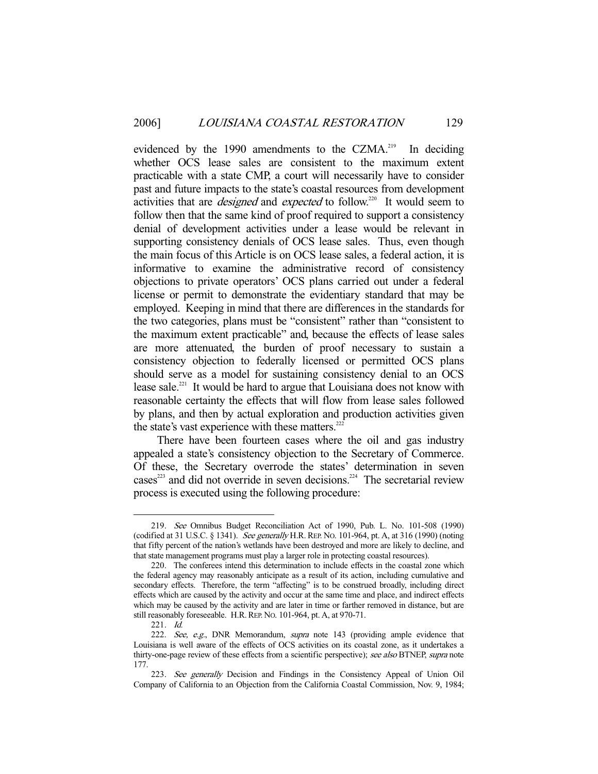evidenced by the 1990 amendments to the CZMA.<sup>219</sup> In deciding whether OCS lease sales are consistent to the maximum extent practicable with a state CMP, a court will necessarily have to consider past and future impacts to the state's coastal resources from development activities that are *designed* and *expected* to follow.<sup>220</sup> It would seem to follow then that the same kind of proof required to support a consistency denial of development activities under a lease would be relevant in supporting consistency denials of OCS lease sales. Thus, even though the main focus of this Article is on OCS lease sales, a federal action, it is informative to examine the administrative record of consistency objections to private operators' OCS plans carried out under a federal license or permit to demonstrate the evidentiary standard that may be employed. Keeping in mind that there are differences in the standards for the two categories, plans must be "consistent" rather than "consistent to the maximum extent practicable" and, because the effects of lease sales are more attenuated, the burden of proof necessary to sustain a consistency objection to federally licensed or permitted OCS plans should serve as a model for sustaining consistency denial to an OCS lease sale.<sup>221</sup> It would be hard to argue that Louisiana does not know with reasonable certainty the effects that will flow from lease sales followed by plans, and then by actual exploration and production activities given the state's vast experience with these matters.<sup>222</sup>

 There have been fourteen cases where the oil and gas industry appealed a state's consistency objection to the Secretary of Commerce. Of these, the Secretary overrode the states' determination in seven cases<sup>223</sup> and did not override in seven decisions.<sup>224</sup> The secretarial review process is executed using the following procedure:

 <sup>219.</sup> See Omnibus Budget Reconciliation Act of 1990, Pub. L. No. 101-508 (1990) (codified at 31 U.S.C. § 1341). See generally H.R. REP. NO. 101-964, pt. A, at 316 (1990) (noting that fifty percent of the nation's wetlands have been destroyed and more are likely to decline, and that state management programs must play a larger role in protecting coastal resources).

 <sup>220.</sup> The conferees intend this determination to include effects in the coastal zone which the federal agency may reasonably anticipate as a result of its action, including cumulative and secondary effects. Therefore, the term "affecting" is to be construed broadly, including direct effects which are caused by the activity and occur at the same time and place, and indirect effects which may be caused by the activity and are later in time or farther removed in distance, but are still reasonably foreseeable. H.R.REP. NO. 101-964, pt. A, at 970-71.

 <sup>221.</sup> Id.

<sup>222.</sup> See, e.g., DNR Memorandum, supra note 143 (providing ample evidence that Louisiana is well aware of the effects of OCS activities on its coastal zone, as it undertakes a thirty-one-page review of these effects from a scientific perspective); see also BTNEP, supra note 177.

 <sup>223.</sup> See generally Decision and Findings in the Consistency Appeal of Union Oil Company of California to an Objection from the California Coastal Commission, Nov. 9, 1984;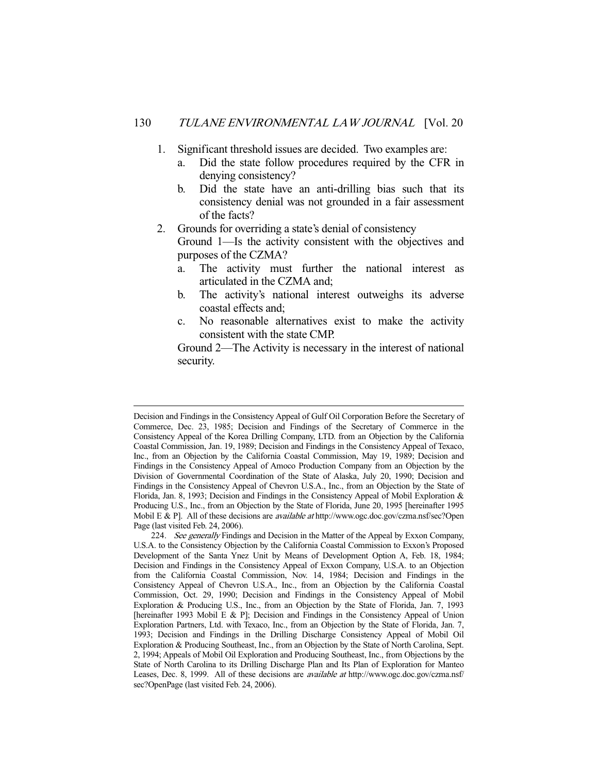- 1. Significant threshold issues are decided. Two examples are:
	- a. Did the state follow procedures required by the CFR in denying consistency?
	- b. Did the state have an anti-drilling bias such that its consistency denial was not grounded in a fair assessment of the facts?
- 2. Grounds for overriding a state's denial of consistency Ground 1—Is the activity consistent with the objectives and purposes of the CZMA?
	- a. The activity must further the national interest as articulated in the CZMA and;
	- b. The activity's national interest outweighs its adverse coastal effects and;
	- c. No reasonable alternatives exist to make the activity consistent with the state CMP.

Ground 2—The Activity is necessary in the interest of national security.

Decision and Findings in the Consistency Appeal of Gulf Oil Corporation Before the Secretary of Commerce, Dec. 23, 1985; Decision and Findings of the Secretary of Commerce in the Consistency Appeal of the Korea Drilling Company, LTD. from an Objection by the California Coastal Commission, Jan. 19, 1989; Decision and Findings in the Consistency Appeal of Texaco, Inc., from an Objection by the California Coastal Commission, May 19, 1989; Decision and Findings in the Consistency Appeal of Amoco Production Company from an Objection by the Division of Governmental Coordination of the State of Alaska, July 20, 1990; Decision and Findings in the Consistency Appeal of Chevron U.S.A., Inc., from an Objection by the State of Florida, Jan. 8, 1993; Decision and Findings in the Consistency Appeal of Mobil Exploration & Producing U.S., Inc., from an Objection by the State of Florida, June 20, 1995 [hereinafter 1995 Mobil E & P]. All of these decisions are *available at* http://www.ogc.doc.gov/czma.nsf/sec?Open Page (last visited Feb. 24, 2006).

<sup>224.</sup> See generally Findings and Decision in the Matter of the Appeal by Exxon Company, U.S.A. to the Consistency Objection by the California Coastal Commission to Exxon's Proposed Development of the Santa Ynez Unit by Means of Development Option A, Feb. 18, 1984; Decision and Findings in the Consistency Appeal of Exxon Company, U.S.A. to an Objection from the California Coastal Commission, Nov. 14, 1984; Decision and Findings in the Consistency Appeal of Chevron U.S.A., Inc., from an Objection by the California Coastal Commission, Oct. 29, 1990; Decision and Findings in the Consistency Appeal of Mobil Exploration & Producing U.S., Inc., from an Objection by the State of Florida, Jan. 7, 1993 [hereinafter 1993 Mobil E & P]; Decision and Findings in the Consistency Appeal of Union Exploration Partners, Ltd. with Texaco, Inc., from an Objection by the State of Florida, Jan. 7, 1993; Decision and Findings in the Drilling Discharge Consistency Appeal of Mobil Oil Exploration & Producing Southeast, Inc., from an Objection by the State of North Carolina, Sept. 2, 1994; Appeals of Mobil Oil Exploration and Producing Southeast, Inc., from Objections by the State of North Carolina to its Drilling Discharge Plan and Its Plan of Exploration for Manteo Leases, Dec. 8, 1999. All of these decisions are *available at* http://www.ogc.doc.gov/czma.nsf/ sec?OpenPage (last visited Feb. 24, 2006).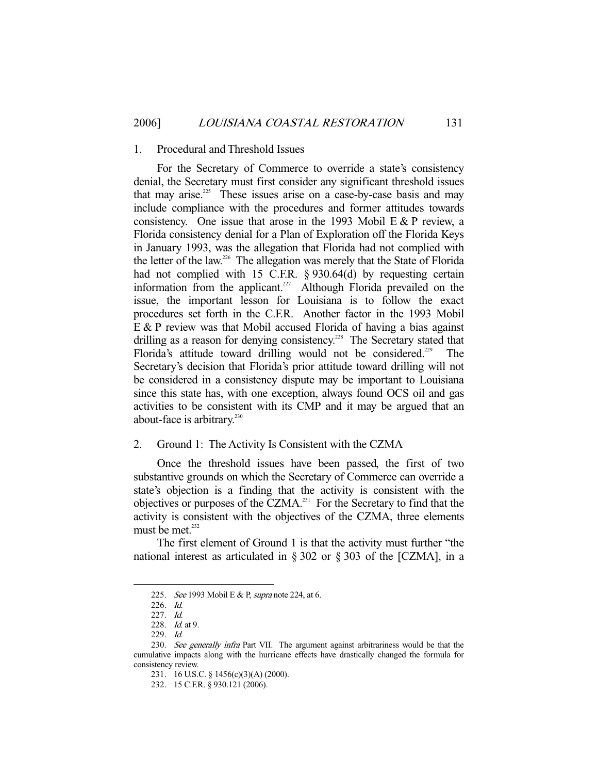#### 1. Procedural and Threshold Issues

 For the Secretary of Commerce to override a state's consistency denial, the Secretary must first consider any significant threshold issues that may arise.<sup>225</sup> These issues arise on a case-by-case basis and may include compliance with the procedures and former attitudes towards consistency. One issue that arose in the 1993 Mobil  $E \& P$  review, a Florida consistency denial for a Plan of Exploration off the Florida Keys in January 1993, was the allegation that Florida had not complied with the letter of the law.<sup>226</sup> The allegation was merely that the State of Florida had not complied with 15 C.F.R. § 930.64(d) by requesting certain information from the applicant.<sup>227</sup> Although Florida prevailed on the issue, the important lesson for Louisiana is to follow the exact procedures set forth in the C.F.R. Another factor in the 1993 Mobil E & P review was that Mobil accused Florida of having a bias against drilling as a reason for denying consistency.<sup>228</sup> The Secretary stated that Florida's attitude toward drilling would not be considered.<sup>229</sup> The Secretary's decision that Florida's prior attitude toward drilling will not be considered in a consistency dispute may be important to Louisiana since this state has, with one exception, always found OCS oil and gas activities to be consistent with its CMP and it may be argued that an about-face is arbitrary.<sup>230</sup>

#### 2. Ground 1: The Activity Is Consistent with the CZMA

 Once the threshold issues have been passed, the first of two substantive grounds on which the Secretary of Commerce can override a state's objection is a finding that the activity is consistent with the objectives or purposes of the CZMA.231 For the Secretary to find that the activity is consistent with the objectives of the CZMA, three elements must be met. $232$ 

 The first element of Ground 1 is that the activity must further "the national interest as articulated in § 302 or § 303 of the [CZMA], in a

<sup>225.</sup> See 1993 Mobil E & P, supra note 224, at 6.

 <sup>226.</sup> Id.

 <sup>227.</sup> Id.

 <sup>228.</sup> Id. at 9.

 <sup>229.</sup> Id.

<sup>230.</sup> See generally infra Part VII. The argument against arbitrariness would be that the cumulative impacts along with the hurricane effects have drastically changed the formula for consistency review.

 <sup>231. 16</sup> U.S.C. § 1456(c)(3)(A) (2000).

 <sup>232. 15</sup> C.F.R. § 930.121 (2006).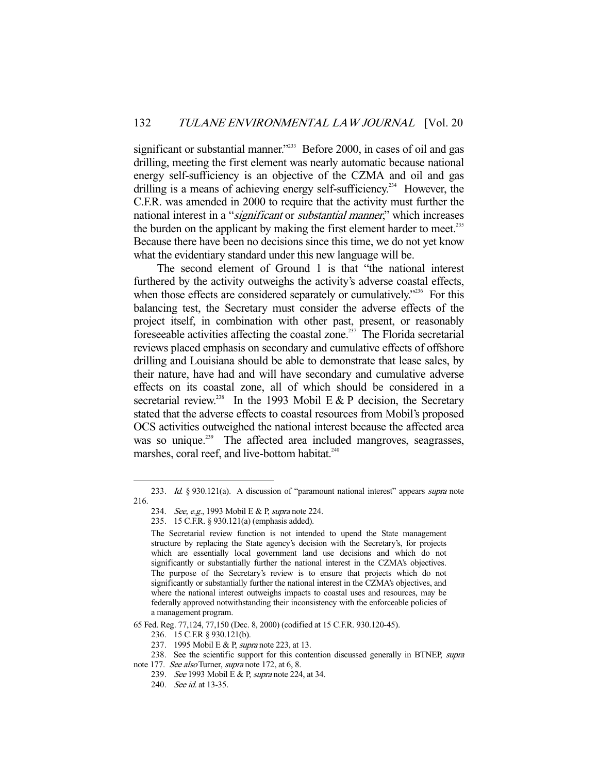significant or substantial manner."<sup>233</sup> Before 2000, in cases of oil and gas drilling, meeting the first element was nearly automatic because national energy self-sufficiency is an objective of the CZMA and oil and gas drilling is a means of achieving energy self-sufficiency.<sup>234</sup> However, the C.F.R. was amended in 2000 to require that the activity must further the national interest in a "*significant* or *substantial manner*," which increases the burden on the applicant by making the first element harder to meet.<sup>235</sup> Because there have been no decisions since this time, we do not yet know what the evidentiary standard under this new language will be.

 The second element of Ground 1 is that "the national interest furthered by the activity outweighs the activity's adverse coastal effects, when those effects are considered separately or cumulatively.<sup>2236</sup> For this balancing test, the Secretary must consider the adverse effects of the project itself, in combination with other past, present, or reasonably foreseeable activities affecting the coastal zone.<sup>237</sup> The Florida secretarial reviews placed emphasis on secondary and cumulative effects of offshore drilling and Louisiana should be able to demonstrate that lease sales, by their nature, have had and will have secondary and cumulative adverse effects on its coastal zone, all of which should be considered in a secretarial review.<sup>238</sup> In the 1993 Mobil E & P decision, the Secretary stated that the adverse effects to coastal resources from Mobil's proposed OCS activities outweighed the national interest because the affected area was so unique.<sup>239</sup> The affected area included mangroves, seagrasses, marshes, coral reef, and live-bottom habitat.<sup>240</sup>

<sup>233.</sup> Id. § 930.121(a). A discussion of "paramount national interest" appears supra note 216.

<sup>234.</sup> See, e.g., 1993 Mobil E & P, supra note 224.

 <sup>235. 15</sup> C.F.R. § 930.121(a) (emphasis added).

The Secretarial review function is not intended to upend the State management structure by replacing the State agency's decision with the Secretary's, for projects which are essentially local government land use decisions and which do not significantly or substantially further the national interest in the CZMA's objectives. The purpose of the Secretary's review is to ensure that projects which do not significantly or substantially further the national interest in the CZMA's objectives, and where the national interest outweighs impacts to coastal uses and resources, may be federally approved notwithstanding their inconsistency with the enforceable policies of a management program.

<sup>65</sup> Fed. Reg. 77,124, 77,150 (Dec. 8, 2000) (codified at 15 C.F.R. 930.120-45).

 <sup>236. 15</sup> C.F.R § 930.121(b).

<sup>237. 1995</sup> Mobil E & P, *supra* note 223, at 13.

<sup>238.</sup> See the scientific support for this contention discussed generally in BTNEP, supra

note 177. See also Turner, supra note 172, at 6, 8.

<sup>239.</sup> See 1993 Mobil E & P, supra note 224, at 34.

<sup>240.</sup> *See id.* at 13-35.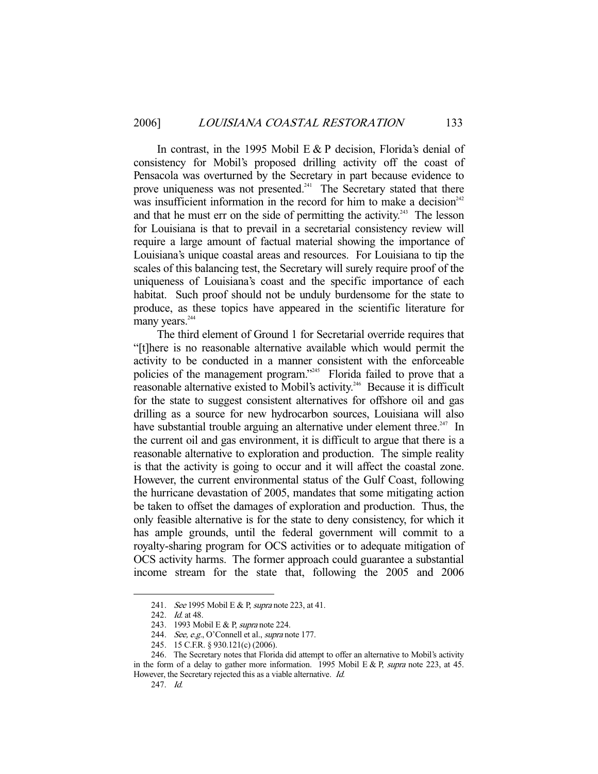In contrast, in the 1995 Mobil  $E \& P$  decision, Florida's denial of consistency for Mobil's proposed drilling activity off the coast of Pensacola was overturned by the Secretary in part because evidence to prove uniqueness was not presented.<sup> $241$ </sup> The Secretary stated that there was insufficient information in the record for him to make a decision $242$ and that he must err on the side of permitting the activity.<sup>243</sup> The lesson for Louisiana is that to prevail in a secretarial consistency review will require a large amount of factual material showing the importance of Louisiana's unique coastal areas and resources. For Louisiana to tip the scales of this balancing test, the Secretary will surely require proof of the uniqueness of Louisiana's coast and the specific importance of each habitat. Such proof should not be unduly burdensome for the state to produce, as these topics have appeared in the scientific literature for many years. $244$ 

 The third element of Ground 1 for Secretarial override requires that "[t]here is no reasonable alternative available which would permit the activity to be conducted in a manner consistent with the enforceable policies of the management program."<sup>245</sup> Florida failed to prove that a reasonable alternative existed to Mobil's activity.<sup>246</sup> Because it is difficult for the state to suggest consistent alternatives for offshore oil and gas drilling as a source for new hydrocarbon sources, Louisiana will also have substantial trouble arguing an alternative under element three.<sup>247</sup> In the current oil and gas environment, it is difficult to argue that there is a reasonable alternative to exploration and production. The simple reality is that the activity is going to occur and it will affect the coastal zone. However, the current environmental status of the Gulf Coast, following the hurricane devastation of 2005, mandates that some mitigating action be taken to offset the damages of exploration and production. Thus, the only feasible alternative is for the state to deny consistency, for which it has ample grounds, until the federal government will commit to a royalty-sharing program for OCS activities or to adequate mitigation of OCS activity harms. The former approach could guarantee a substantial income stream for the state that, following the 2005 and 2006

<sup>241.</sup> See 1995 Mobil E & P, supra note 223, at 41.

 <sup>242.</sup> Id. at 48.

<sup>243. 1993</sup> Mobil E & P, *supra* note 224.

<sup>244.</sup> See, e.g., O'Connell et al., supra note 177.

 <sup>245. 15</sup> C.F.R. § 930.121(c) (2006).

 <sup>246.</sup> The Secretary notes that Florida did attempt to offer an alternative to Mobil's activity in the form of a delay to gather more information. 1995 Mobil E & P, supra note 223, at 45. However, the Secretary rejected this as a viable alternative. Id.

 <sup>247.</sup> Id.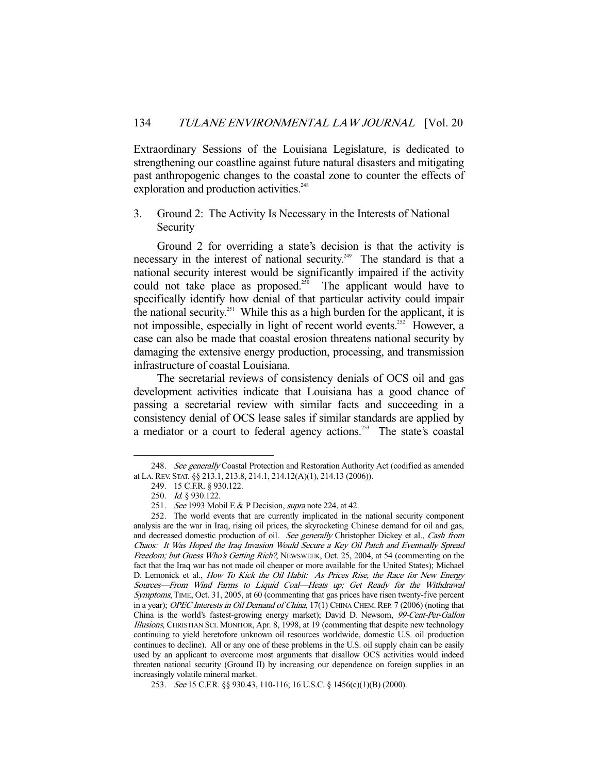Extraordinary Sessions of the Louisiana Legislature, is dedicated to strengthening our coastline against future natural disasters and mitigating past anthropogenic changes to the coastal zone to counter the effects of exploration and production activities.<sup>248</sup>

# 3. Ground 2: The Activity Is Necessary in the Interests of National **Security**

 Ground 2 for overriding a state's decision is that the activity is necessary in the interest of national security.<sup>249</sup> The standard is that a national security interest would be significantly impaired if the activity could not take place as proposed.<sup>250</sup> The applicant would have to specifically identify how denial of that particular activity could impair the national security.<sup>251</sup> While this as a high burden for the applicant, it is not impossible, especially in light of recent world events.<sup>252</sup> However, a case can also be made that coastal erosion threatens national security by damaging the extensive energy production, processing, and transmission infrastructure of coastal Louisiana.

 The secretarial reviews of consistency denials of OCS oil and gas development activities indicate that Louisiana has a good chance of passing a secretarial review with similar facts and succeeding in a consistency denial of OCS lease sales if similar standards are applied by a mediator or a court to federal agency actions.<sup>253</sup> The state's coastal

<sup>248.</sup> See generally Coastal Protection and Restoration Authority Act (codified as amended at LA.REV. STAT. §§ 213.1, 213.8, 214.1, 214.12(A)(1), 214.13 (2006)).

 <sup>249. 15</sup> C.F.R. § 930.122.

 <sup>250.</sup> Id. § 930.122.

<sup>251.</sup> See 1993 Mobil E & P Decision, supra note 224, at 42.

 <sup>252.</sup> The world events that are currently implicated in the national security component analysis are the war in Iraq, rising oil prices, the skyrocketing Chinese demand for oil and gas, and decreased domestic production of oil. See generally Christopher Dickey et al., Cash from Chaos: It Was Hoped the Iraq Invasion Would Secure a Key Oil Patch and Eventually Spread Freedom; but Guess Who's Getting Rich?, NEWSWEEK, Oct. 25, 2004, at 54 (commenting on the fact that the Iraq war has not made oil cheaper or more available for the United States); Michael D. Lemonick et al., How To Kick the Oil Habit: As Prices Rise, the Race for New Energy Sources—From Wind Farms to Liquid Coal—Heats up; Get Ready for the Withdrawal Symptoms, TIME, Oct. 31, 2005, at 60 (commenting that gas prices have risen twenty-five percent in a year); OPEC Interests in Oil Demand of China, 17(1) CHINA CHEM. REP. 7 (2006) (noting that China is the world's fastest-growing energy market); David D. Newsom, 99-Cent-Per-Gallon Illusions, CHRISTIAN SCI. MONITOR, Apr. 8, 1998, at 19 (commenting that despite new technology continuing to yield heretofore unknown oil resources worldwide, domestic U.S. oil production continues to decline). All or any one of these problems in the U.S. oil supply chain can be easily used by an applicant to overcome most arguments that disallow OCS activities would indeed threaten national security (Ground II) by increasing our dependence on foreign supplies in an increasingly volatile mineral market.

 <sup>253.</sup> See 15 C.F.R. §§ 930.43, 110-116; 16 U.S.C. § 1456(c)(1)(B) (2000).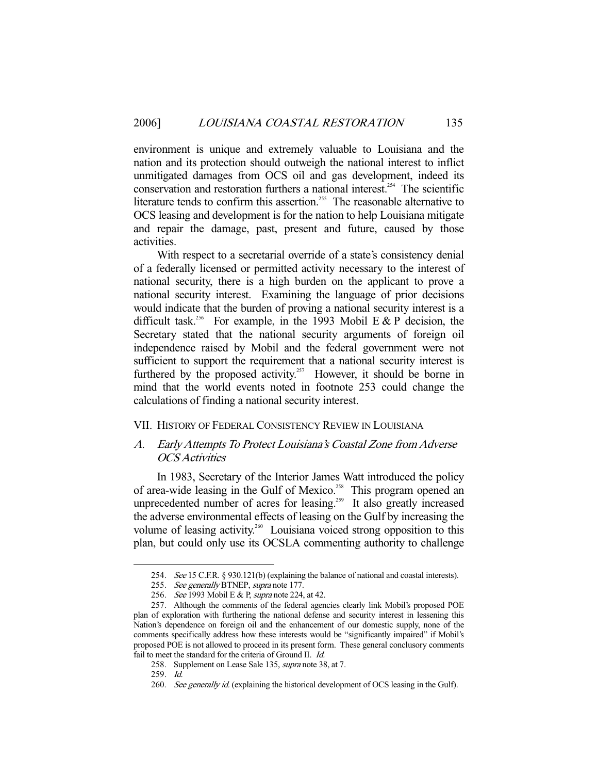environment is unique and extremely valuable to Louisiana and the nation and its protection should outweigh the national interest to inflict unmitigated damages from OCS oil and gas development, indeed its conservation and restoration furthers a national interest.<sup>254</sup> The scientific literature tends to confirm this assertion.<sup>255</sup> The reasonable alternative to OCS leasing and development is for the nation to help Louisiana mitigate and repair the damage, past, present and future, caused by those activities.

 With respect to a secretarial override of a state's consistency denial of a federally licensed or permitted activity necessary to the interest of national security, there is a high burden on the applicant to prove a national security interest. Examining the language of prior decisions would indicate that the burden of proving a national security interest is a difficult task.<sup>256</sup> For example, in the 1993 Mobil E & P decision, the Secretary stated that the national security arguments of foreign oil independence raised by Mobil and the federal government were not sufficient to support the requirement that a national security interest is furthered by the proposed activity.<sup>257</sup> However, it should be borne in mind that the world events noted in footnote 253 could change the calculations of finding a national security interest.

## VII. HISTORY OF FEDERAL CONSISTENCY REVIEW IN LOUISIANA

# A. Early Attempts To Protect Louisiana's Coastal Zone from Adverse OCS Activities

 In 1983, Secretary of the Interior James Watt introduced the policy of area-wide leasing in the Gulf of Mexico.<sup>258</sup> This program opened an unprecedented number of acres for leasing.<sup>259</sup> It also greatly increased the adverse environmental effects of leasing on the Gulf by increasing the volume of leasing activity.<sup>260</sup> Louisiana voiced strong opposition to this plan, but could only use its OCSLA commenting authority to challenge

 <sup>254.</sup> See 15 C.F.R. § 930.121(b) (explaining the balance of national and coastal interests).

<sup>255.</sup> See generally BTNEP, supra note 177.

<sup>256.</sup> See 1993 Mobil E & P, supra note 224, at 42.

 <sup>257.</sup> Although the comments of the federal agencies clearly link Mobil's proposed POE plan of exploration with furthering the national defense and security interest in lessening this Nation's dependence on foreign oil and the enhancement of our domestic supply, none of the comments specifically address how these interests would be "significantly impaired" if Mobil's proposed POE is not allowed to proceed in its present form. These general conclusory comments fail to meet the standard for the criteria of Ground II. Id.

<sup>258.</sup> Supplement on Lease Sale 135, *supra* note 38, at 7.

 <sup>259.</sup> Id.

<sup>260.</sup> See generally id. (explaining the historical development of OCS leasing in the Gulf).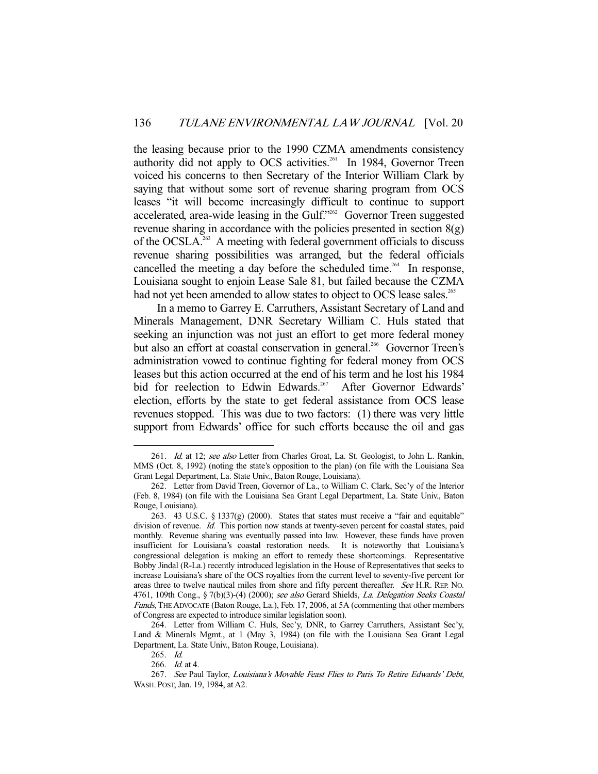the leasing because prior to the 1990 CZMA amendments consistency authority did not apply to OCS activities.<sup>261</sup> In 1984, Governor Treen voiced his concerns to then Secretary of the Interior William Clark by saying that without some sort of revenue sharing program from OCS leases "it will become increasingly difficult to continue to support accelerated, area-wide leasing in the Gulf."262 Governor Treen suggested revenue sharing in accordance with the policies presented in section  $8(g)$ of the OCSLA.<sup>263</sup> A meeting with federal government officials to discuss revenue sharing possibilities was arranged, but the federal officials cancelled the meeting a day before the scheduled time.<sup>264</sup> In response, Louisiana sought to enjoin Lease Sale 81, but failed because the CZMA had not yet been amended to allow states to object to OCS lease sales.<sup>265</sup>

 In a memo to Garrey E. Carruthers, Assistant Secretary of Land and Minerals Management, DNR Secretary William C. Huls stated that seeking an injunction was not just an effort to get more federal money but also an effort at coastal conservation in general.<sup>266</sup> Governor Treen's administration vowed to continue fighting for federal money from OCS leases but this action occurred at the end of his term and he lost his 1984 bid for reelection to Edwin Edwards.<sup>267</sup> After Governor Edwards' election, efforts by the state to get federal assistance from OCS lease revenues stopped. This was due to two factors: (1) there was very little support from Edwards' office for such efforts because the oil and gas

<sup>261.</sup> Id. at 12; see also Letter from Charles Groat, La. St. Geologist, to John L. Rankin, MMS (Oct. 8, 1992) (noting the state's opposition to the plan) (on file with the Louisiana Sea Grant Legal Department, La. State Univ., Baton Rouge, Louisiana).

 <sup>262.</sup> Letter from David Treen, Governor of La., to William C. Clark, Sec'y of the Interior (Feb. 8, 1984) (on file with the Louisiana Sea Grant Legal Department, La. State Univ., Baton Rouge, Louisiana).

 <sup>263. 43</sup> U.S.C. § 1337(g) (2000). States that states must receive a "fair and equitable" division of revenue. Id. This portion now stands at twenty-seven percent for coastal states, paid monthly. Revenue sharing was eventually passed into law. However, these funds have proven insufficient for Louisiana's coastal restoration needs. It is noteworthy that Louisiana's congressional delegation is making an effort to remedy these shortcomings. Representative Bobby Jindal (R-La.) recently introduced legislation in the House of Representatives that seeks to increase Louisiana's share of the OCS royalties from the current level to seventy-five percent for areas three to twelve nautical miles from shore and fifty percent thereafter. See H.R. REP. No. 4761, 109th Cong., § 7(b)(3)-(4) (2000); see also Gerard Shields, La. Delegation Seeks Coastal Funds, THE ADVOCATE (Baton Rouge, La.), Feb. 17, 2006, at 5A (commenting that other members of Congress are expected to introduce similar legislation soon).

 <sup>264.</sup> Letter from William C. Huls, Sec'y, DNR, to Garrey Carruthers, Assistant Sec'y, Land & Minerals Mgmt., at 1 (May 3, 1984) (on file with the Louisiana Sea Grant Legal Department, La. State Univ., Baton Rouge, Louisiana).

 <sup>265.</sup> Id.

 <sup>266.</sup> Id. at 4.

<sup>267.</sup> See Paul Taylor, Louisiana's Movable Feast Flies to Paris To Retire Edwards' Debt, WASH. POST, Jan. 19, 1984, at A2.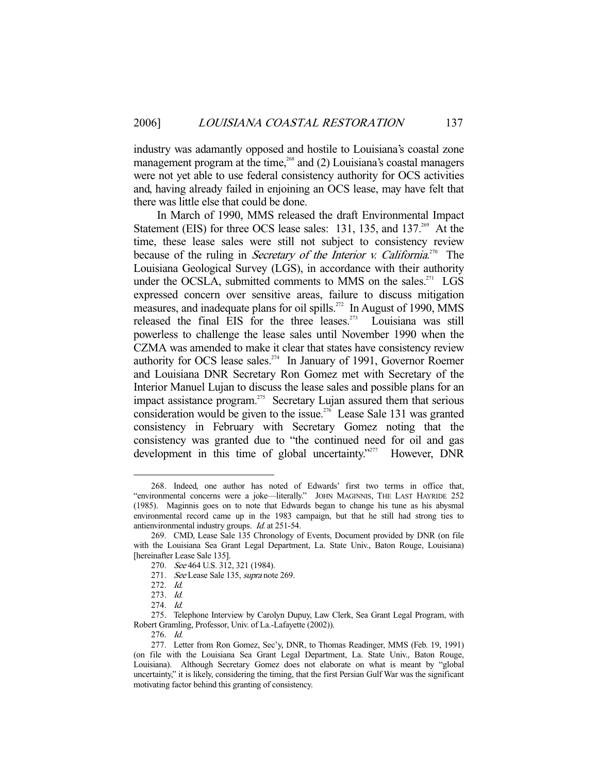industry was adamantly opposed and hostile to Louisiana's coastal zone management program at the time, $268$  and (2) Louisiana's coastal managers were not yet able to use federal consistency authority for OCS activities and, having already failed in enjoining an OCS lease, may have felt that there was little else that could be done.

 In March of 1990, MMS released the draft Environmental Impact Statement (EIS) for three OCS lease sales:  $131$ ,  $135$ , and  $137<sup>269</sup>$  At the time, these lease sales were still not subject to consistency review because of the ruling in *Secretary of the Interior v. California*.<sup>270</sup> The Louisiana Geological Survey (LGS), in accordance with their authority under the OCSLA, submitted comments to MMS on the sales. $271$  LGS expressed concern over sensitive areas, failure to discuss mitigation measures, and inadequate plans for oil spills.<sup>272</sup> In August of 1990, MMS released the final EIS for the three leases. $273$  Louisiana was still powerless to challenge the lease sales until November 1990 when the CZMA was amended to make it clear that states have consistency review authority for OCS lease sales.<sup>274</sup> In January of 1991, Governor Roemer and Louisiana DNR Secretary Ron Gomez met with Secretary of the Interior Manuel Lujan to discuss the lease sales and possible plans for an impact assistance program.275 Secretary Lujan assured them that serious consideration would be given to the issue.<sup>276</sup> Lease Sale 131 was granted consistency in February with Secretary Gomez noting that the consistency was granted due to "the continued need for oil and gas development in this time of global uncertainty."<sup>277</sup> However, DNR

 <sup>268.</sup> Indeed, one author has noted of Edwards' first two terms in office that, "environmental concerns were a joke—literally." JOHN MAGINNIS, THE LAST HAYRIDE 252 (1985). Maginnis goes on to note that Edwards began to change his tune as his abysmal environmental record came up in the 1983 campaign, but that he still had strong ties to antienvironmental industry groups. Id. at 251-54.

 <sup>269.</sup> CMD, Lease Sale 135 Chronology of Events, Document provided by DNR (on file with the Louisiana Sea Grant Legal Department, La. State Univ., Baton Rouge, Louisiana) [hereinafter Lease Sale 135].

 <sup>270.</sup> See 464 U.S. 312, 321 (1984).

<sup>271.</sup> See Lease Sale 135, supra note 269.

 <sup>272.</sup> Id.

 <sup>273.</sup> Id.

 <sup>274.</sup> Id.

 <sup>275.</sup> Telephone Interview by Carolyn Dupuy, Law Clerk, Sea Grant Legal Program, with Robert Gramling, Professor, Univ. of La.-Lafayette (2002)).

 <sup>276.</sup> Id.

 <sup>277.</sup> Letter from Ron Gomez, Sec'y, DNR, to Thomas Readinger, MMS (Feb. 19, 1991) (on file with the Louisiana Sea Grant Legal Department, La. State Univ., Baton Rouge, Louisiana). Although Secretary Gomez does not elaborate on what is meant by "global uncertainty," it is likely, considering the timing, that the first Persian Gulf War was the significant motivating factor behind this granting of consistency.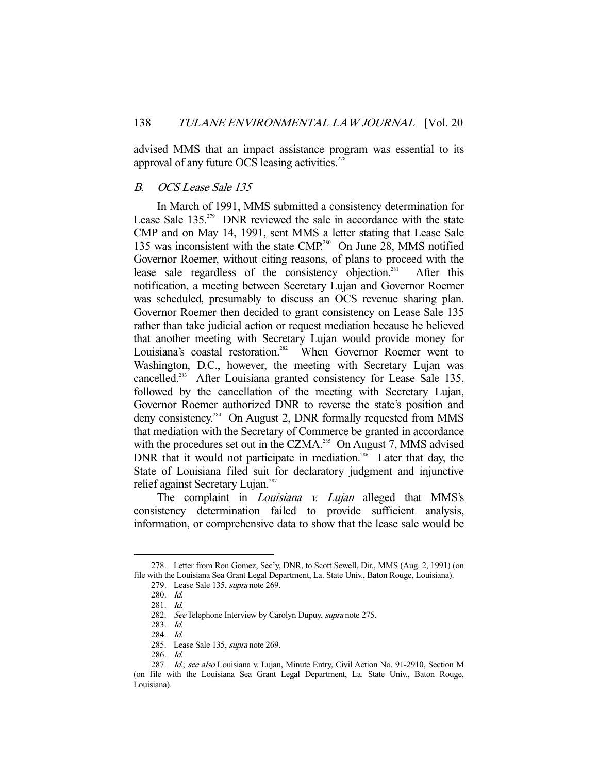advised MMS that an impact assistance program was essential to its approval of any future OCS leasing activities. $278$ 

# B. OCS Lease Sale 135

 In March of 1991, MMS submitted a consistency determination for Lease Sale  $135.^{279}$  DNR reviewed the sale in accordance with the state CMP and on May 14, 1991, sent MMS a letter stating that Lease Sale 135 was inconsistent with the state CMP.<sup>280</sup> On June 28, MMS notified Governor Roemer, without citing reasons, of plans to proceed with the lease sale regardless of the consistency objection.<sup>281</sup> After this notification, a meeting between Secretary Lujan and Governor Roemer was scheduled, presumably to discuss an OCS revenue sharing plan. Governor Roemer then decided to grant consistency on Lease Sale 135 rather than take judicial action or request mediation because he believed that another meeting with Secretary Lujan would provide money for Louisiana's coastal restoration.<sup>282</sup> When Governor Roemer went to Washington, D.C., however, the meeting with Secretary Lujan was cancelled.<sup>283</sup> After Louisiana granted consistency for Lease Sale 135, followed by the cancellation of the meeting with Secretary Lujan, Governor Roemer authorized DNR to reverse the state's position and deny consistency.<sup>284</sup> On August 2, DNR formally requested from MMS that mediation with the Secretary of Commerce be granted in accordance with the procedures set out in the CZMA.<sup>285</sup> On August 7, MMS advised DNR that it would not participate in mediation.<sup>286</sup> Later that day, the State of Louisiana filed suit for declaratory judgment and injunctive relief against Secretary Lujan.<sup>287</sup>

The complaint in *Louisiana v. Lujan* alleged that MMS's consistency determination failed to provide sufficient analysis, information, or comprehensive data to show that the lease sale would be

 <sup>278.</sup> Letter from Ron Gomez, Sec'y, DNR, to Scott Sewell, Dir., MMS (Aug. 2, 1991) (on file with the Louisiana Sea Grant Legal Department, La. State Univ., Baton Rouge, Louisiana).

 <sup>279.</sup> Lease Sale 135, supra note 269.

 <sup>280.</sup> Id.

 <sup>281.</sup> Id.

<sup>282.</sup> See Telephone Interview by Carolyn Dupuy, supra note 275.

 <sup>283.</sup> Id.

 <sup>284.</sup> Id.

<sup>285.</sup> Lease Sale 135, supra note 269.

 <sup>286.</sup> Id.

<sup>287.</sup> Id.; see also Louisiana v. Lujan, Minute Entry, Civil Action No. 91-2910, Section M (on file with the Louisiana Sea Grant Legal Department, La. State Univ., Baton Rouge, Louisiana).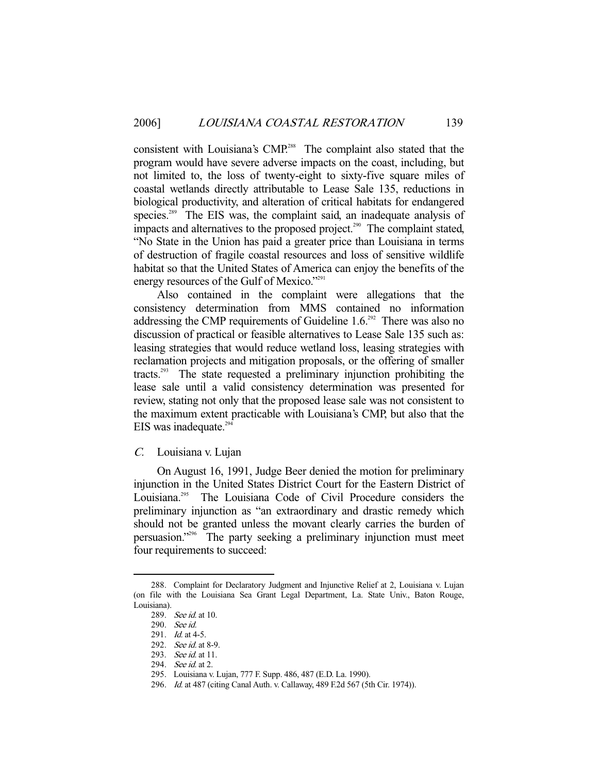consistent with Louisiana's CMP.<sup>288</sup> The complaint also stated that the program would have severe adverse impacts on the coast, including, but not limited to, the loss of twenty-eight to sixty-five square miles of coastal wetlands directly attributable to Lease Sale 135, reductions in biological productivity, and alteration of critical habitats for endangered species.<sup>289</sup> The EIS was, the complaint said, an inadequate analysis of impacts and alternatives to the proposed project.<sup>290</sup> The complaint stated, "No State in the Union has paid a greater price than Louisiana in terms of destruction of fragile coastal resources and loss of sensitive wildlife habitat so that the United States of America can enjoy the benefits of the energy resources of the Gulf of Mexico."<sup>291</sup>

 Also contained in the complaint were allegations that the consistency determination from MMS contained no information addressing the CMP requirements of Guideline  $1.6^{292}$  There was also no discussion of practical or feasible alternatives to Lease Sale 135 such as: leasing strategies that would reduce wetland loss, leasing strategies with reclamation projects and mitigation proposals, or the offering of smaller tracts.293 The state requested a preliminary injunction prohibiting the lease sale until a valid consistency determination was presented for review, stating not only that the proposed lease sale was not consistent to the maximum extent practicable with Louisiana's CMP, but also that the EIS was inadequate. $294$ 

# C. Louisiana v. Lujan

 On August 16, 1991, Judge Beer denied the motion for preliminary injunction in the United States District Court for the Eastern District of Louisiana.<sup>295</sup> The Louisiana Code of Civil Procedure considers the preliminary injunction as "an extraordinary and drastic remedy which should not be granted unless the movant clearly carries the burden of persuasion."296 The party seeking a preliminary injunction must meet four requirements to succeed:

<sup>-</sup> 288. Complaint for Declaratory Judgment and Injunctive Relief at 2, Louisiana v. Lujan (on file with the Louisiana Sea Grant Legal Department, La. State Univ., Baton Rouge, Louisiana).

<sup>289.</sup> See id. at 10.

 <sup>290.</sup> See id.

<sup>291.</sup> *Id.* at 4-5.

<sup>292.</sup> See id. at 8-9.

<sup>293.</sup> See id. at 11.

<sup>294.</sup> See id. at 2.

 <sup>295.</sup> Louisiana v. Lujan, 777 F. Supp. 486, 487 (E.D. La. 1990).

 <sup>296.</sup> Id. at 487 (citing Canal Auth. v. Callaway, 489 F.2d 567 (5th Cir. 1974)).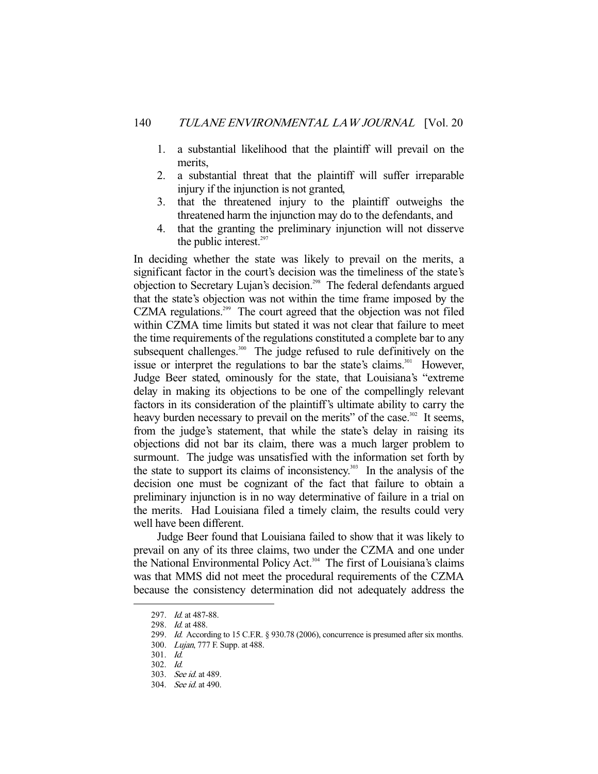- 1. a substantial likelihood that the plaintiff will prevail on the merits,
- 2. a substantial threat that the plaintiff will suffer irreparable injury if the injunction is not granted,
- 3. that the threatened injury to the plaintiff outweighs the threatened harm the injunction may do to the defendants, and
- 4. that the granting the preliminary injunction will not disserve the public interest. $297$

In deciding whether the state was likely to prevail on the merits, a significant factor in the court's decision was the timeliness of the state's objection to Secretary Lujan's decision.<sup>298</sup> The federal defendants argued that the state's objection was not within the time frame imposed by the CZMA regulations.<sup>299</sup> The court agreed that the objection was not filed within CZMA time limits but stated it was not clear that failure to meet the time requirements of the regulations constituted a complete bar to any subsequent challenges.<sup>300</sup> The judge refused to rule definitively on the issue or interpret the regulations to bar the state's claims.<sup>301</sup> However, Judge Beer stated, ominously for the state, that Louisiana's "extreme delay in making its objections to be one of the compellingly relevant factors in its consideration of the plaintiff's ultimate ability to carry the heavy burden necessary to prevail on the merits" of the case.<sup>302</sup> It seems, from the judge's statement, that while the state's delay in raising its objections did not bar its claim, there was a much larger problem to surmount. The judge was unsatisfied with the information set forth by the state to support its claims of inconsistency.<sup>303</sup> In the analysis of the decision one must be cognizant of the fact that failure to obtain a preliminary injunction is in no way determinative of failure in a trial on the merits. Had Louisiana filed a timely claim, the results could very well have been different.

 Judge Beer found that Louisiana failed to show that it was likely to prevail on any of its three claims, two under the CZMA and one under the National Environmental Policy Act.<sup>304</sup> The first of Louisiana's claims was that MMS did not meet the procedural requirements of the CZMA because the consistency determination did not adequately address the

 <sup>297.</sup> Id. at 487-88.

 <sup>298.</sup> Id. at 488.

<sup>299.</sup> Id. According to 15 C.F.R. § 930.78 (2006), concurrence is presumed after six months.

<sup>300.</sup> Lujan, 777 F. Supp. at 488.

 <sup>301.</sup> Id.

 <sup>302.</sup> Id.

 <sup>303.</sup> See id. at 489.

 <sup>304.</sup> See id. at 490.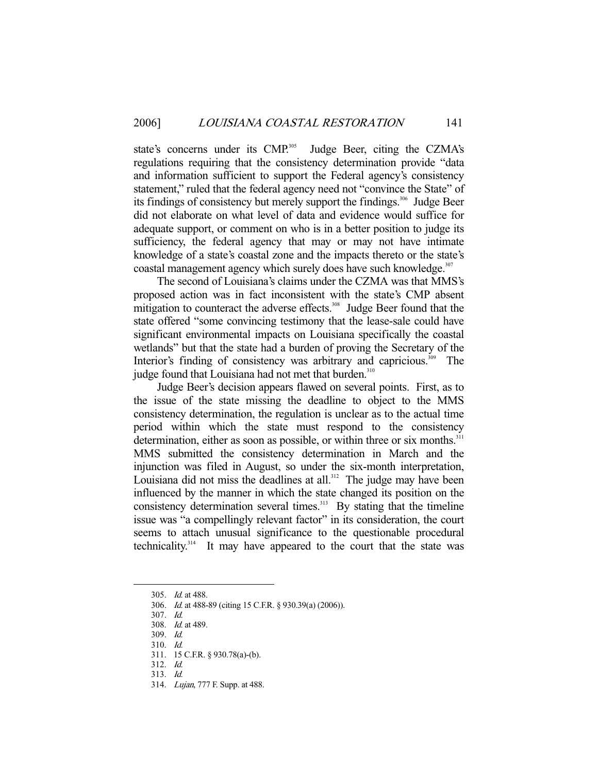state's concerns under its CMP.<sup>305</sup> Judge Beer, citing the CZMA's regulations requiring that the consistency determination provide "data and information sufficient to support the Federal agency's consistency statement," ruled that the federal agency need not "convince the State" of its findings of consistency but merely support the findings.<sup>306</sup> Judge Beer did not elaborate on what level of data and evidence would suffice for adequate support, or comment on who is in a better position to judge its sufficiency, the federal agency that may or may not have intimate knowledge of a state's coastal zone and the impacts thereto or the state's coastal management agency which surely does have such knowledge.<sup>307</sup>

 The second of Louisiana's claims under the CZMA was that MMS's proposed action was in fact inconsistent with the state's CMP absent mitigation to counteract the adverse effects.<sup>308</sup> Judge Beer found that the state offered "some convincing testimony that the lease-sale could have significant environmental impacts on Louisiana specifically the coastal wetlands" but that the state had a burden of proving the Secretary of the Interior's finding of consistency was arbitrary and capricious.<sup>309</sup> The judge found that Louisiana had not met that burden.<sup>310</sup>

 Judge Beer's decision appears flawed on several points. First, as to the issue of the state missing the deadline to object to the MMS consistency determination, the regulation is unclear as to the actual time period within which the state must respond to the consistency determination, either as soon as possible, or within three or six months.<sup>311</sup> MMS submitted the consistency determination in March and the injunction was filed in August, so under the six-month interpretation, Louisiana did not miss the deadlines at all.<sup>312</sup> The judge may have been influenced by the manner in which the state changed its position on the consistency determination several times. $313$  By stating that the timeline issue was "a compellingly relevant factor" in its consideration, the court seems to attach unusual significance to the questionable procedural technicality.314 It may have appeared to the court that the state was

-

314. Lujan, 777 F. Supp. at 488.

<sup>305.</sup> *Id.* at 488.

 <sup>306.</sup> Id. at 488-89 (citing 15 C.F.R. § 930.39(a) (2006)).

 <sup>307.</sup> Id.

 <sup>308.</sup> Id. at 489.

 <sup>309.</sup> Id.

 <sup>310.</sup> Id.

 <sup>311. 15</sup> C.F.R. § 930.78(a)-(b).

 <sup>312.</sup> Id.

 <sup>313.</sup> Id.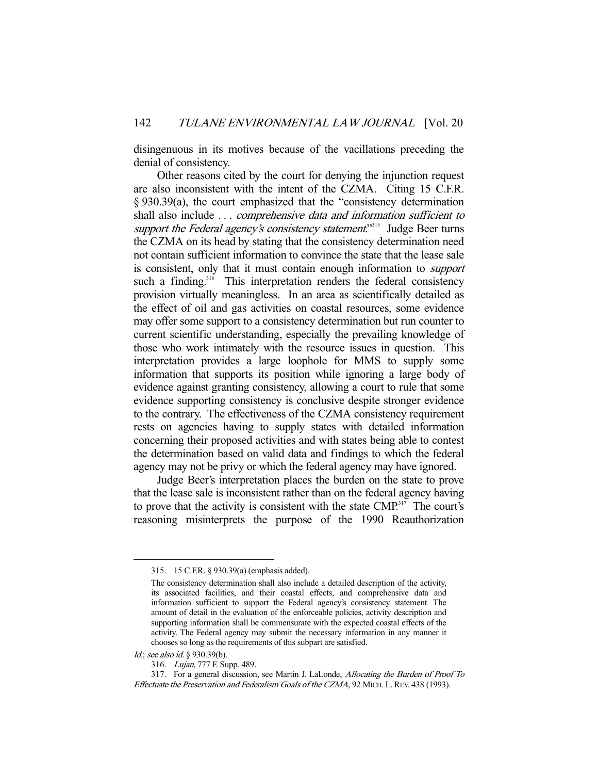disingenuous in its motives because of the vacillations preceding the denial of consistency.

 Other reasons cited by the court for denying the injunction request are also inconsistent with the intent of the CZMA. Citing 15 C.F.R. § 930.39(a), the court emphasized that the "consistency determination shall also include ... *comprehensive data and information sufficient to* support the Federal agency's consistency statement.<sup>3315</sup> Judge Beer turns the CZMA on its head by stating that the consistency determination need not contain sufficient information to convince the state that the lease sale is consistent, only that it must contain enough information to support such a finding. $316$  This interpretation renders the federal consistency provision virtually meaningless. In an area as scientifically detailed as the effect of oil and gas activities on coastal resources, some evidence may offer some support to a consistency determination but run counter to current scientific understanding, especially the prevailing knowledge of those who work intimately with the resource issues in question. This interpretation provides a large loophole for MMS to supply some information that supports its position while ignoring a large body of evidence against granting consistency, allowing a court to rule that some evidence supporting consistency is conclusive despite stronger evidence to the contrary. The effectiveness of the CZMA consistency requirement rests on agencies having to supply states with detailed information concerning their proposed activities and with states being able to contest the determination based on valid data and findings to which the federal agency may not be privy or which the federal agency may have ignored.

 Judge Beer's interpretation places the burden on the state to prove that the lease sale is inconsistent rather than on the federal agency having to prove that the activity is consistent with the state  $CMP<sup>317</sup>$ . The court's reasoning misinterprets the purpose of the 1990 Reauthorization

 <sup>315. 15</sup> C.F.R. § 930.39(a) (emphasis added).

The consistency determination shall also include a detailed description of the activity, its associated facilities, and their coastal effects, and comprehensive data and information sufficient to support the Federal agency's consistency statement. The amount of detail in the evaluation of the enforceable policies, activity description and supporting information shall be commensurate with the expected coastal effects of the activity. The Federal agency may submit the necessary information in any manner it chooses so long as the requirements of this subpart are satisfied.

Id.; see also id. § 930.39(b).

 <sup>316.</sup> Lujan, 777 F. Supp. 489.

 <sup>317.</sup> For a general discussion, see Martin J. LaLonde, Allocating the Burden of Proof To Effectuate the Preservation and Federalism Goals of the CZMA, 92 MICH. L.REV. 438 (1993).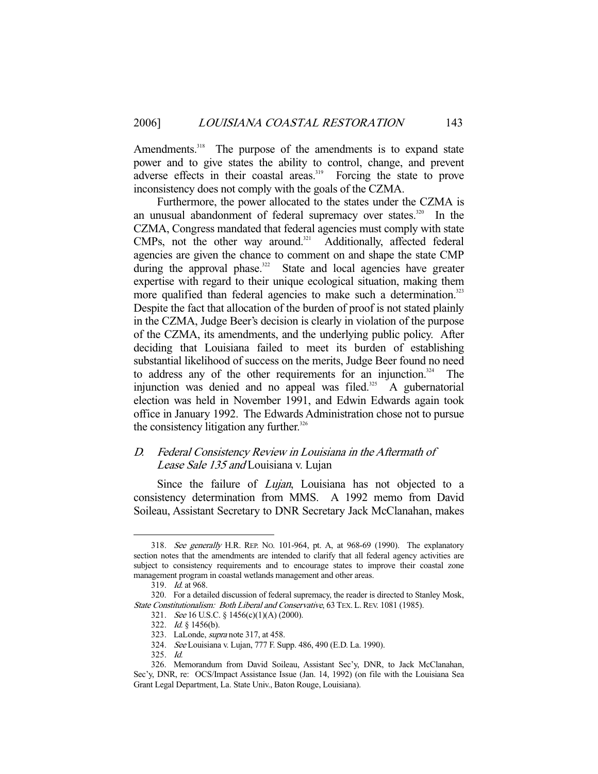Amendments.<sup>318</sup> The purpose of the amendments is to expand state power and to give states the ability to control, change, and prevent adverse effects in their coastal areas.<sup>319</sup> Forcing the state to prove inconsistency does not comply with the goals of the CZMA.

 Furthermore, the power allocated to the states under the CZMA is an unusual abandonment of federal supremacy over states.<sup>320</sup> In the CZMA, Congress mandated that federal agencies must comply with state CMPs, not the other way around.<sup>321</sup> Additionally, affected federal agencies are given the chance to comment on and shape the state CMP during the approval phase.<sup>322</sup> State and local agencies have greater expertise with regard to their unique ecological situation, making them more qualified than federal agencies to make such a determination.<sup>323</sup> Despite the fact that allocation of the burden of proof is not stated plainly in the CZMA, Judge Beer's decision is clearly in violation of the purpose of the CZMA, its amendments, and the underlying public policy. After deciding that Louisiana failed to meet its burden of establishing substantial likelihood of success on the merits, Judge Beer found no need to address any of the other requirements for an injunction. $324$  The injunction was denied and no appeal was filed.<sup>325</sup> A gubernatorial election was held in November 1991, and Edwin Edwards again took office in January 1992. The Edwards Administration chose not to pursue the consistency litigation any further. $326$ 

# D. Federal Consistency Review in Louisiana in the Aftermath of Lease Sale 135 and Louisiana v. Lujan

Since the failure of *Lujan*, Louisiana has not objected to a consistency determination from MMS. A 1992 memo from David Soileau, Assistant Secretary to DNR Secretary Jack McClanahan, makes

 <sup>318.</sup> See generally H.R. REP. NO. 101-964, pt. A, at 968-69 (1990). The explanatory section notes that the amendments are intended to clarify that all federal agency activities are subject to consistency requirements and to encourage states to improve their coastal zone management program in coastal wetlands management and other areas.

 <sup>319.</sup> Id. at 968.

 <sup>320.</sup> For a detailed discussion of federal supremacy, the reader is directed to Stanley Mosk, State Constitutionalism: Both Liberal and Conservative, 63 TEX. L. REV. 1081 (1985).

 <sup>321.</sup> See 16 U.S.C. § 1456(c)(1)(A) (2000).

 <sup>322.</sup> Id. § 1456(b).

 <sup>323.</sup> LaLonde, supra note 317, at 458.

 <sup>324.</sup> See Louisiana v. Lujan, 777 F. Supp. 486, 490 (E.D. La. 1990).

 <sup>325.</sup> Id.

 <sup>326.</sup> Memorandum from David Soileau, Assistant Sec'y, DNR, to Jack McClanahan, Sec'y, DNR, re: OCS/Impact Assistance Issue (Jan. 14, 1992) (on file with the Louisiana Sea Grant Legal Department, La. State Univ., Baton Rouge, Louisiana).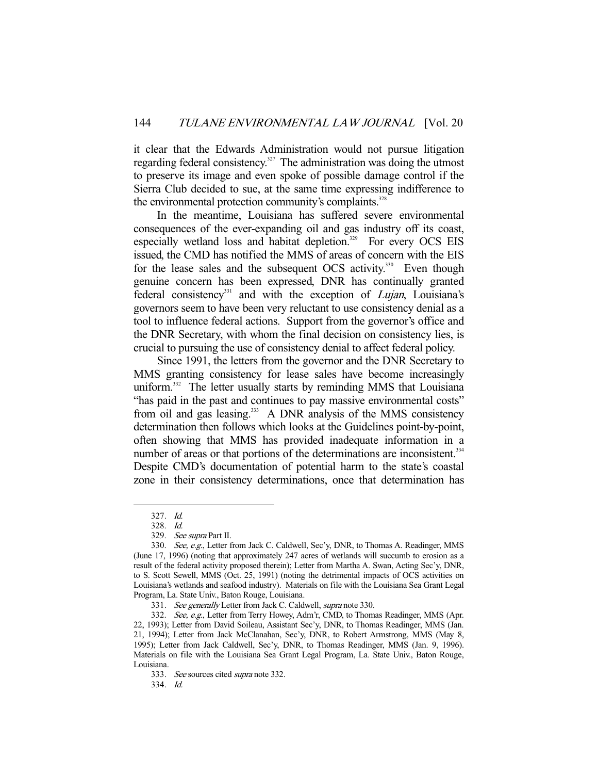it clear that the Edwards Administration would not pursue litigation regarding federal consistency.<sup>327</sup> The administration was doing the utmost to preserve its image and even spoke of possible damage control if the Sierra Club decided to sue, at the same time expressing indifference to the environmental protection community's complaints.<sup>328</sup>

 In the meantime, Louisiana has suffered severe environmental consequences of the ever-expanding oil and gas industry off its coast, especially wetland loss and habitat depletion.<sup>329</sup> For every OCS EIS issued, the CMD has notified the MMS of areas of concern with the EIS for the lease sales and the subsequent OCS activity.<sup>330</sup> Even though genuine concern has been expressed, DNR has continually granted federal consistency<sup>331</sup> and with the exception of *Lujan*, Louisiana's governors seem to have been very reluctant to use consistency denial as a tool to influence federal actions. Support from the governor's office and the DNR Secretary, with whom the final decision on consistency lies, is crucial to pursuing the use of consistency denial to affect federal policy.

 Since 1991, the letters from the governor and the DNR Secretary to MMS granting consistency for lease sales have become increasingly uniform.<sup>332</sup> The letter usually starts by reminding MMS that Louisiana "has paid in the past and continues to pay massive environmental costs" from oil and gas leasing.<sup>333</sup> A DNR analysis of the MMS consistency determination then follows which looks at the Guidelines point-by-point, often showing that MMS has provided inadequate information in a number of areas or that portions of the determinations are inconsistent.<sup>334</sup> Despite CMD's documentation of potential harm to the state's coastal zone in their consistency determinations, once that determination has

 <sup>327.</sup> Id.

 <sup>328.</sup> Id.

 <sup>329.</sup> See supra Part II.

<sup>330.</sup> See, e.g., Letter from Jack C. Caldwell, Sec'y, DNR, to Thomas A. Readinger, MMS (June 17, 1996) (noting that approximately 247 acres of wetlands will succumb to erosion as a result of the federal activity proposed therein); Letter from Martha A. Swan, Acting Sec'y, DNR, to S. Scott Sewell, MMS (Oct. 25, 1991) (noting the detrimental impacts of OCS activities on Louisiana's wetlands and seafood industry). Materials on file with the Louisiana Sea Grant Legal Program, La. State Univ., Baton Rouge, Louisiana.

 <sup>331.</sup> See generally Letter from Jack C. Caldwell, supra note 330.

<sup>332.</sup> See, e.g., Letter from Terry Howey, Adm'r, CMD, to Thomas Readinger, MMS (Apr. 22, 1993); Letter from David Soileau, Assistant Sec'y, DNR, to Thomas Readinger, MMS (Jan. 21, 1994); Letter from Jack McClanahan, Sec'y, DNR, to Robert Armstrong, MMS (May 8, 1995); Letter from Jack Caldwell, Sec'y, DNR, to Thomas Readinger, MMS (Jan. 9, 1996). Materials on file with the Louisiana Sea Grant Legal Program, La. State Univ., Baton Rouge, Louisiana.

 <sup>333.</sup> See sources cited supra note 332.

 <sup>334.</sup> Id.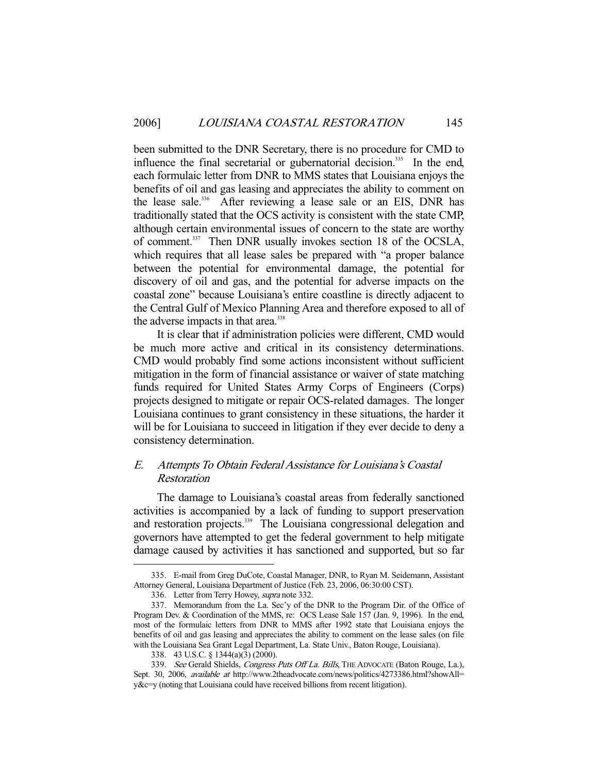been submitted to the DNR Secretary, there is no procedure for CMD to influence the final secretarial or gubernatorial decision.<sup>335</sup> In the end, each formulaic letter from DNR to MMS states that Louisiana enjoys the benefits of oil and gas leasing and appreciates the ability to comment on the lease sale.<sup>336</sup> After reviewing a lease sale or an EIS, DNR has traditionally stated that the OCS activity is consistent with the state CMP, although certain environmental issues of concern to the state are worthy of comment.<sup>337</sup> Then DNR usually invokes section 18 of the OCSLA, which requires that all lease sales be prepared with "a proper balance between the potential for environmental damage, the potential for discovery of oil and gas, and the potential for adverse impacts on the coastal zone" because Louisiana's entire coastline is directly adjacent to the Central Gulf of Mexico Planning Area and therefore exposed to all of the adverse impacts in that area.<sup>338</sup>

 It is clear that if administration policies were different, CMD would be much more active and critical in its consistency determinations. CMD would probably find some actions inconsistent without sufficient mitigation in the form of financial assistance or waiver of state matching funds required for United States Army Corps of Engineers (Corps) projects designed to mitigate or repair OCS-related damages. The longer Louisiana continues to grant consistency in these situations, the harder it will be for Louisiana to succeed in litigation if they ever decide to deny a consistency determination.

# E. Attempts To Obtain Federal Assistance for Louisiana's Coastal Restoration

 The damage to Louisiana's coastal areas from federally sanctioned activities is accompanied by a lack of funding to support preservation and restoration projects.<sup>339</sup> The Louisiana congressional delegation and governors have attempted to get the federal government to help mitigate damage caused by activities it has sanctioned and supported, but so far

 <sup>335.</sup> E-mail from Greg DuCote, Coastal Manager, DNR, to Ryan M. Seidemann, Assistant Attorney General, Louisiana Department of Justice (Feb. 23, 2006, 06:30:00 CST).

 <sup>336.</sup> Letter from Terry Howey, supra note 332.

 <sup>337.</sup> Memorandum from the La. Sec'y of the DNR to the Program Dir. of the Office of Program Dev. & Coordination of the MMS, re: OCS Lease Sale 157 (Jan. 9, 1996). In the end, most of the formulaic letters from DNR to MMS after 1992 state that Louisiana enjoys the benefits of oil and gas leasing and appreciates the ability to comment on the lease sales (on file with the Louisiana Sea Grant Legal Department, La. State Univ., Baton Rouge, Louisiana).

 <sup>338. 43</sup> U.S.C. § 1344(a)(3) (2000).

<sup>339.</sup> See Gerald Shields, Congress Puts Off La. Bills, THE ADVOCATE (Baton Rouge, La.), Sept. 30, 2006, available at http://www.2theadvocate.com/news/politics/4273386.html?showAll= y&c=y (noting that Louisiana could have received billions from recent litigation).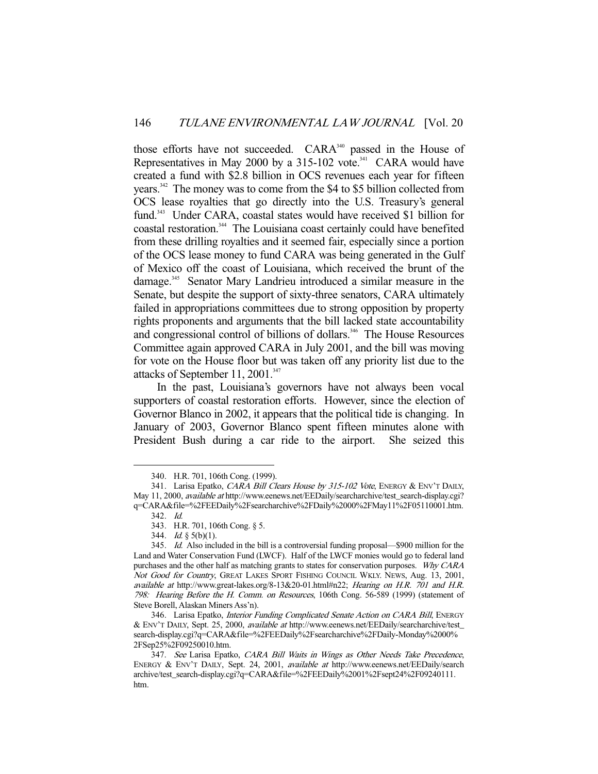those efforts have not succeeded. CARA<sup>340</sup> passed in the House of Representatives in May 2000 by a  $315-102$  vote.<sup>341</sup> CARA would have created a fund with \$2.8 billion in OCS revenues each year for fifteen years.342 The money was to come from the \$4 to \$5 billion collected from OCS lease royalties that go directly into the U.S. Treasury's general fund.<sup>343</sup> Under CARA, coastal states would have received \$1 billion for coastal restoration.<sup>344</sup> The Louisiana coast certainly could have benefited from these drilling royalties and it seemed fair, especially since a portion of the OCS lease money to fund CARA was being generated in the Gulf of Mexico off the coast of Louisiana, which received the brunt of the damage.345 Senator Mary Landrieu introduced a similar measure in the Senate, but despite the support of sixty-three senators, CARA ultimately failed in appropriations committees due to strong opposition by property rights proponents and arguments that the bill lacked state accountability and congressional control of billions of dollars.<sup>346</sup> The House Resources Committee again approved CARA in July 2001, and the bill was moving for vote on the House floor but was taken off any priority list due to the attacks of September 11, 2001.<sup>347</sup>

 In the past, Louisiana's governors have not always been vocal supporters of coastal restoration efforts. However, since the election of Governor Blanco in 2002, it appears that the political tide is changing. In January of 2003, Governor Blanco spent fifteen minutes alone with President Bush during a car ride to the airport. She seized this

 <sup>340.</sup> H.R. 701, 106th Cong. (1999).

<sup>341.</sup> Larisa Epatko, CARA Bill Clears House by 315-102 Vote, ENERGY & ENV'T DAILY, May 11, 2000, *available at* http://www.eenews.net/EEDaily/searcharchive/test\_search-display.cgi? q=CARA&file=%2FEEDaily%2Fsearcharchive%2FDaily%2000%2FMay11%2F05110001.htm.

 <sup>342.</sup> Id.

 <sup>343.</sup> H.R. 701, 106th Cong. § 5.

<sup>344.</sup> *Id.*  $\S$  5(b)(1).

 <sup>345.</sup> Id. Also included in the bill is a controversial funding proposal—\$900 million for the Land and Water Conservation Fund (LWCF). Half of the LWCF monies would go to federal land purchases and the other half as matching grants to states for conservation purposes. Why CARA Not Good for Country, GREAT LAKES SPORT FISHING COUNCIL WKLY. NEWS, Aug. 13, 2001, available at http://www.great-lakes.org/8-13&20-01.html#n22; Hearing on H.R. 701 and H.R. 798: Hearing Before the H. Comm. on Resources, 106th Cong. 56-589 (1999) (statement of Steve Borell, Alaskan Miners Ass'n).

<sup>346.</sup> Larisa Epatko, Interior Funding Complicated Senate Action on CARA Bill, ENERGY & ENV'T DAILY, Sept. 25, 2000, available at http://www.eenews.net/EEDaily/searcharchive/test\_ search-display.cgi?q=CARA&file=%2FEEDaily%2Fsearcharchive%2FDaily-Monday%2000% 2FSep25%2F09250010.htm.

<sup>347.</sup> See Larisa Epatko, CARA Bill Waits in Wings as Other Needs Take Precedence, ENERGY & ENV'T DAILY, Sept. 24, 2001, *available at http://www.eenews.net/EEDaily/search* archive/test\_search-display.cgi?q=CARA&file=%2FEEDaily%2001%2Fsept24%2F09240111. htm.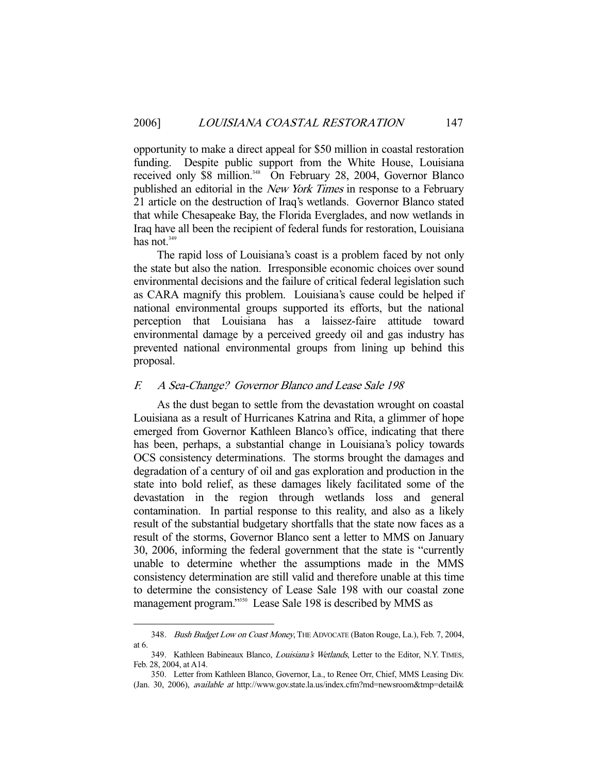opportunity to make a direct appeal for \$50 million in coastal restoration funding. Despite public support from the White House, Louisiana received only \$8 million.<sup>348</sup> On February 28, 2004, Governor Blanco published an editorial in the *New York Times* in response to a February 21 article on the destruction of Iraq's wetlands. Governor Blanco stated that while Chesapeake Bay, the Florida Everglades, and now wetlands in Iraq have all been the recipient of federal funds for restoration, Louisiana has not. $349$ 

 The rapid loss of Louisiana's coast is a problem faced by not only the state but also the nation. Irresponsible economic choices over sound environmental decisions and the failure of critical federal legislation such as CARA magnify this problem. Louisiana's cause could be helped if national environmental groups supported its efforts, but the national perception that Louisiana has a laissez-faire attitude toward environmental damage by a perceived greedy oil and gas industry has prevented national environmental groups from lining up behind this proposal.

## F. A Sea-Change? Governor Blanco and Lease Sale 198

 As the dust began to settle from the devastation wrought on coastal Louisiana as a result of Hurricanes Katrina and Rita, a glimmer of hope emerged from Governor Kathleen Blanco's office, indicating that there has been, perhaps, a substantial change in Louisiana's policy towards OCS consistency determinations. The storms brought the damages and degradation of a century of oil and gas exploration and production in the state into bold relief, as these damages likely facilitated some of the devastation in the region through wetlands loss and general contamination. In partial response to this reality, and also as a likely result of the substantial budgetary shortfalls that the state now faces as a result of the storms, Governor Blanco sent a letter to MMS on January 30, 2006, informing the federal government that the state is "currently unable to determine whether the assumptions made in the MMS consistency determination are still valid and therefore unable at this time to determine the consistency of Lease Sale 198 with our coastal zone management program."350 Lease Sale 198 is described by MMS as

<sup>348.</sup> Bush Budget Low on Coast Money, THE ADVOCATE (Baton Rouge, La.), Feb. 7, 2004, at 6.

<sup>349.</sup> Kathleen Babineaux Blanco, *Louisiana's Wetlands*, Letter to the Editor, N.Y. TIMES, Feb. 28, 2004, at A14.

 <sup>350.</sup> Letter from Kathleen Blanco, Governor, La., to Renee Orr, Chief, MMS Leasing Div. (Jan. 30, 2006), available at http://www.gov.state.la.us/index.cfm?md=newsroom&tmp=detail&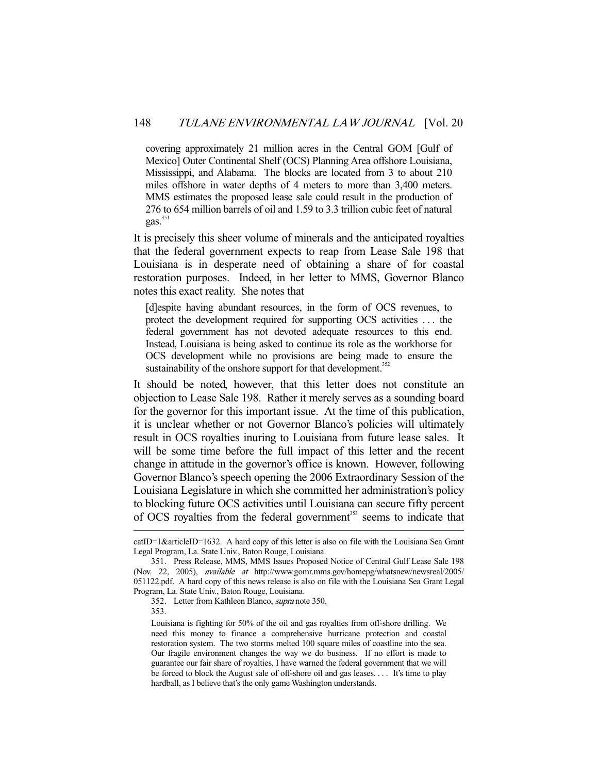covering approximately 21 million acres in the Central GOM [Gulf of Mexico] Outer Continental Shelf (OCS) Planning Area offshore Louisiana, Mississippi, and Alabama. The blocks are located from 3 to about 210 miles offshore in water depths of 4 meters to more than 3,400 meters. MMS estimates the proposed lease sale could result in the production of 276 to 654 million barrels of oil and 1.59 to 3.3 trillion cubic feet of natural gas.<sup>351</sup>

It is precisely this sheer volume of minerals and the anticipated royalties that the federal government expects to reap from Lease Sale 198 that Louisiana is in desperate need of obtaining a share of for coastal restoration purposes. Indeed, in her letter to MMS, Governor Blanco notes this exact reality. She notes that

[d]espite having abundant resources, in the form of OCS revenues, to protect the development required for supporting OCS activities . . . the federal government has not devoted adequate resources to this end. Instead, Louisiana is being asked to continue its role as the workhorse for OCS development while no provisions are being made to ensure the sustainability of the onshore support for that development.<sup>352</sup>

It should be noted, however, that this letter does not constitute an objection to Lease Sale 198. Rather it merely serves as a sounding board for the governor for this important issue. At the time of this publication, it is unclear whether or not Governor Blanco's policies will ultimately result in OCS royalties inuring to Louisiana from future lease sales. It will be some time before the full impact of this letter and the recent change in attitude in the governor's office is known. However, following Governor Blanco's speech opening the 2006 Extraordinary Session of the Louisiana Legislature in which she committed her administration's policy to blocking future OCS activities until Louisiana can secure fifty percent of OCS royalties from the federal government<sup>353</sup> seems to indicate that

353.

catID=1&articleID=1632. A hard copy of this letter is also on file with the Louisiana Sea Grant Legal Program, La. State Univ., Baton Rouge, Louisiana.

 <sup>351.</sup> Press Release, MMS, MMS Issues Proposed Notice of Central Gulf Lease Sale 198 (Nov. 22, 2005), available at http://www.gomr.mms.gov/homepg/whatsnew/newsreal/2005/ 051122.pdf. A hard copy of this news release is also on file with the Louisiana Sea Grant Legal Program, La. State Univ., Baton Rouge, Louisiana.

 <sup>352.</sup> Letter from Kathleen Blanco, supra note 350.

Louisiana is fighting for 50% of the oil and gas royalties from off-shore drilling. We need this money to finance a comprehensive hurricane protection and coastal restoration system. The two storms melted 100 square miles of coastline into the sea. Our fragile environment changes the way we do business. If no effort is made to guarantee our fair share of royalties, I have warned the federal government that we will be forced to block the August sale of off-shore oil and gas leases. . . . It's time to play hardball, as I believe that's the only game Washington understands.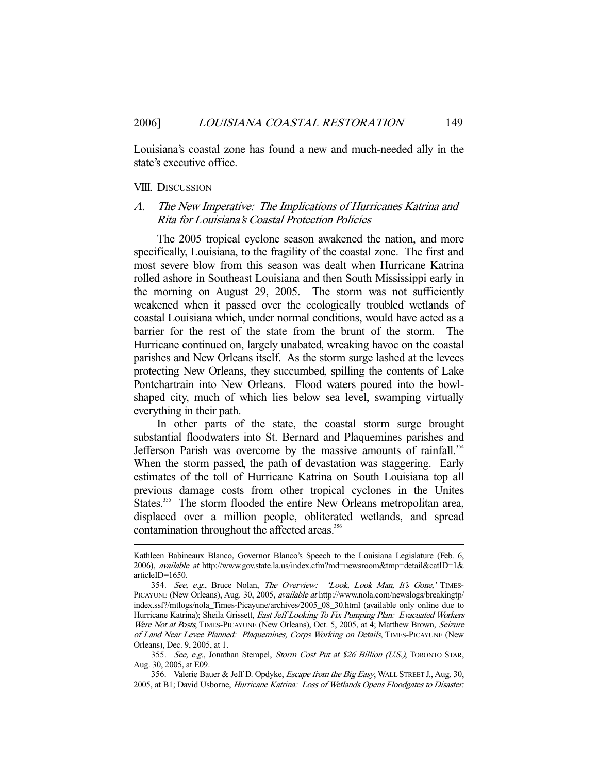Louisiana's coastal zone has found a new and much-needed ally in the state's executive office.

## VIII. DISCUSSION

-

# A. The New Imperative: The Implications of Hurricanes Katrina and Rita for Louisiana's Coastal Protection Policies

 The 2005 tropical cyclone season awakened the nation, and more specifically, Louisiana, to the fragility of the coastal zone. The first and most severe blow from this season was dealt when Hurricane Katrina rolled ashore in Southeast Louisiana and then South Mississippi early in the morning on August 29, 2005. The storm was not sufficiently weakened when it passed over the ecologically troubled wetlands of coastal Louisiana which, under normal conditions, would have acted as a barrier for the rest of the state from the brunt of the storm. The Hurricane continued on, largely unabated, wreaking havoc on the coastal parishes and New Orleans itself. As the storm surge lashed at the levees protecting New Orleans, they succumbed, spilling the contents of Lake Pontchartrain into New Orleans. Flood waters poured into the bowlshaped city, much of which lies below sea level, swamping virtually everything in their path.

 In other parts of the state, the coastal storm surge brought substantial floodwaters into St. Bernard and Plaquemines parishes and Jefferson Parish was overcome by the massive amounts of rainfall.<sup>354</sup> When the storm passed, the path of devastation was staggering. Early estimates of the toll of Hurricane Katrina on South Louisiana top all previous damage costs from other tropical cyclones in the Unites States.<sup>355</sup> The storm flooded the entire New Orleans metropolitan area, displaced over a million people, obliterated wetlands, and spread contamination throughout the affected areas.<sup>356</sup>

Kathleen Babineaux Blanco, Governor Blanco's Speech to the Louisiana Legislature (Feb. 6, 2006), available at http://www.gov.state.la.us/index.cfm?md=newsroom&tmp=detail&catID=1& articleID=1650.

<sup>354.</sup> See, e.g., Bruce Nolan, The Overview: 'Look, Look Man, It's Gone,' TIMES-PICAYUNE (New Orleans), Aug. 30, 2005, available at http://www.nola.com/newslogs/breakingtp/ index.ssf?/mtlogs/nola\_Times-Picayune/archives/2005\_08\_30.html (available only online due to Hurricane Katrina); Sheila Grissett, *East Jeff Looking To Fix Pumping Plan: Evacuated Workers* Were Not at Posts, TIMES-PICAYUNE (New Orleans), Oct. 5, 2005, at 4; Matthew Brown, Seizure of Land Near Levee Planned: Plaquemines, Corps Working on Details, TIMES-PICAYUNE (New Orleans), Dec. 9, 2005, at 1.

<sup>355.</sup> See, e.g., Jonathan Stempel, Storm Cost Put at \$26 Billion (U.S.), TORONTO STAR, Aug. 30, 2005, at E09.

<sup>356.</sup> Valerie Bauer & Jeff D. Opdyke, Escape from the Big Easy, WALL STREET J., Aug. 30, 2005, at B1; David Usborne, Hurricane Katrina: Loss of Wetlands Opens Floodgates to Disaster: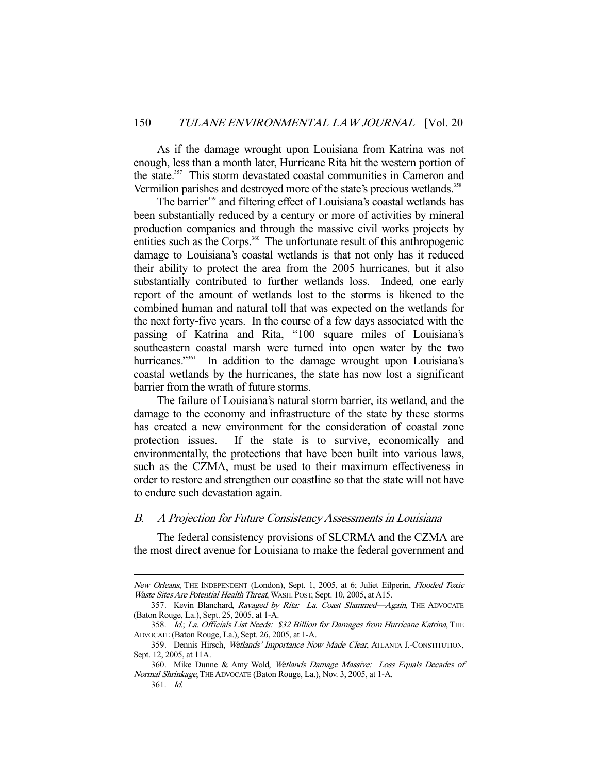As if the damage wrought upon Louisiana from Katrina was not enough, less than a month later, Hurricane Rita hit the western portion of the state.<sup>357</sup> This storm devastated coastal communities in Cameron and Vermilion parishes and destroyed more of the state's precious wetlands.<sup>358</sup>

The barrier<sup>359</sup> and filtering effect of Louisiana's coastal wetlands has been substantially reduced by a century or more of activities by mineral production companies and through the massive civil works projects by entities such as the Corps.<sup>360</sup> The unfortunate result of this anthropogenic damage to Louisiana's coastal wetlands is that not only has it reduced their ability to protect the area from the 2005 hurricanes, but it also substantially contributed to further wetlands loss. Indeed, one early report of the amount of wetlands lost to the storms is likened to the combined human and natural toll that was expected on the wetlands for the next forty-five years. In the course of a few days associated with the passing of Katrina and Rita, "100 square miles of Louisiana's southeastern coastal marsh were turned into open water by the two hurricanes."<sup>361</sup> In addition to the damage wrought upon Louisiana's coastal wetlands by the hurricanes, the state has now lost a significant barrier from the wrath of future storms.

 The failure of Louisiana's natural storm barrier, its wetland, and the damage to the economy and infrastructure of the state by these storms has created a new environment for the consideration of coastal zone protection issues. If the state is to survive, economically and environmentally, the protections that have been built into various laws, such as the CZMA, must be used to their maximum effectiveness in order to restore and strengthen our coastline so that the state will not have to endure such devastation again.

#### B. A Projection for Future Consistency Assessments in Louisiana

 The federal consistency provisions of SLCRMA and the CZMA are the most direct avenue for Louisiana to make the federal government and

New Orleans, THE INDEPENDENT (London), Sept. 1, 2005, at 6; Juliet Eilperin, Flooded Toxic Waste Sites Are Potential Health Threat, WASH. POST, Sept. 10, 2005, at A15.

<sup>357.</sup> Kevin Blanchard, Ravaged by Rita: La. Coast Slammed-Again, THE ADVOCATE (Baton Rouge, La.), Sept. 25, 2005, at 1-A.

<sup>358.</sup> Id.; La. Officials List Needs: \$32 Billion for Damages from Hurricane Katrina, THE ADVOCATE (Baton Rouge, La.), Sept. 26, 2005, at 1-A.

<sup>359.</sup> Dennis Hirsch, Wetlands' Importance Now Made Clear, ATLANTA J.-CONSTITUTION, Sept. 12, 2005, at 11A.

 <sup>360.</sup> Mike Dunne & Amy Wold, Wetlands Damage Massive: Loss Equals Decades of Normal Shrinkage, THE ADVOCATE (Baton Rouge, La.), Nov. 3, 2005, at 1-A.

 <sup>361.</sup> Id.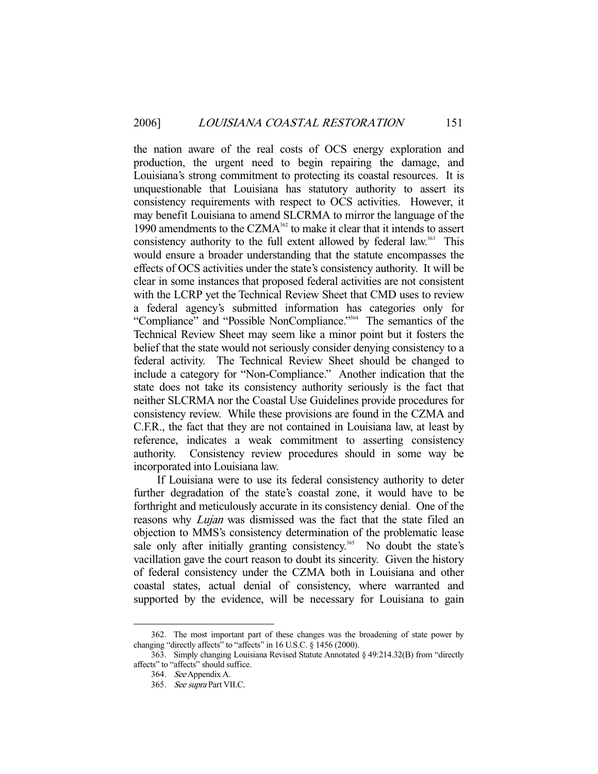the nation aware of the real costs of OCS energy exploration and production, the urgent need to begin repairing the damage, and Louisiana's strong commitment to protecting its coastal resources. It is unquestionable that Louisiana has statutory authority to assert its consistency requirements with respect to OCS activities. However, it may benefit Louisiana to amend SLCRMA to mirror the language of the 1990 amendments to the CZMA<sup>362</sup> to make it clear that it intends to assert consistency authority to the full extent allowed by federal law.<sup>363</sup> This would ensure a broader understanding that the statute encompasses the effects of OCS activities under the state's consistency authority. It will be clear in some instances that proposed federal activities are not consistent with the LCRP yet the Technical Review Sheet that CMD uses to review a federal agency's submitted information has categories only for "Compliance" and "Possible NonCompliance."364 The semantics of the Technical Review Sheet may seem like a minor point but it fosters the belief that the state would not seriously consider denying consistency to a federal activity. The Technical Review Sheet should be changed to include a category for "Non-Compliance." Another indication that the state does not take its consistency authority seriously is the fact that neither SLCRMA nor the Coastal Use Guidelines provide procedures for consistency review. While these provisions are found in the CZMA and C.F.R., the fact that they are not contained in Louisiana law, at least by reference, indicates a weak commitment to asserting consistency authority. Consistency review procedures should in some way be incorporated into Louisiana law.

 If Louisiana were to use its federal consistency authority to deter further degradation of the state's coastal zone, it would have to be forthright and meticulously accurate in its consistency denial. One of the reasons why *Lujan* was dismissed was the fact that the state filed an objection to MMS's consistency determination of the problematic lease sale only after initially granting consistency.<sup>365</sup> No doubt the state's vacillation gave the court reason to doubt its sincerity. Given the history of federal consistency under the CZMA both in Louisiana and other coastal states, actual denial of consistency, where warranted and supported by the evidence, will be necessary for Louisiana to gain

 <sup>362.</sup> The most important part of these changes was the broadening of state power by changing "directly affects" to "affects" in 16 U.S.C. § 1456 (2000).

 <sup>363.</sup> Simply changing Louisiana Revised Statute Annotated § 49:214.32(B) from "directly affects" to "affects" should suffice.

 <sup>364.</sup> See Appendix A.

 <sup>365.</sup> See supra Part VII.C.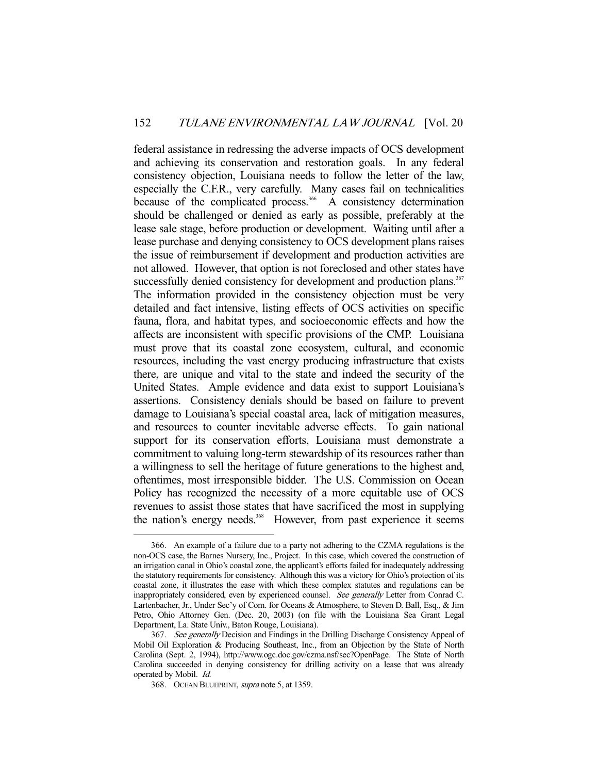federal assistance in redressing the adverse impacts of OCS development and achieving its conservation and restoration goals. In any federal consistency objection, Louisiana needs to follow the letter of the law, especially the C.F.R., very carefully. Many cases fail on technicalities because of the complicated process.<sup>366</sup> A consistency determination should be challenged or denied as early as possible, preferably at the lease sale stage, before production or development. Waiting until after a lease purchase and denying consistency to OCS development plans raises the issue of reimbursement if development and production activities are not allowed. However, that option is not foreclosed and other states have successfully denied consistency for development and production plans.<sup>367</sup> The information provided in the consistency objection must be very detailed and fact intensive, listing effects of OCS activities on specific fauna, flora, and habitat types, and socioeconomic effects and how the affects are inconsistent with specific provisions of the CMP. Louisiana must prove that its coastal zone ecosystem, cultural, and economic resources, including the vast energy producing infrastructure that exists there, are unique and vital to the state and indeed the security of the United States. Ample evidence and data exist to support Louisiana's assertions. Consistency denials should be based on failure to prevent damage to Louisiana's special coastal area, lack of mitigation measures, and resources to counter inevitable adverse effects. To gain national support for its conservation efforts, Louisiana must demonstrate a commitment to valuing long-term stewardship of its resources rather than a willingness to sell the heritage of future generations to the highest and, oftentimes, most irresponsible bidder. The U.S. Commission on Ocean Policy has recognized the necessity of a more equitable use of OCS revenues to assist those states that have sacrificed the most in supplying the nation's energy needs.<sup>368</sup> However, from past experience it seems

 <sup>366.</sup> An example of a failure due to a party not adhering to the CZMA regulations is the non-OCS case, the Barnes Nursery, Inc., Project. In this case, which covered the construction of an irrigation canal in Ohio's coastal zone, the applicant's efforts failed for inadequately addressing the statutory requirements for consistency. Although this was a victory for Ohio's protection of its coastal zone, it illustrates the ease with which these complex statutes and regulations can be inappropriately considered, even by experienced counsel. See generally Letter from Conrad C. Lartenbacher, Jr., Under Sec'y of Com. for Oceans & Atmosphere, to Steven D. Ball, Esq., & Jim Petro, Ohio Attorney Gen. (Dec. 20, 2003) (on file with the Louisiana Sea Grant Legal Department, La. State Univ., Baton Rouge, Louisiana).

<sup>367.</sup> See generally Decision and Findings in the Drilling Discharge Consistency Appeal of Mobil Oil Exploration & Producing Southeast, Inc., from an Objection by the State of North Carolina (Sept. 2, 1994), http://www.ogc.doc.gov/czma.nsf/sec?OpenPage. The State of North Carolina succeeded in denying consistency for drilling activity on a lease that was already operated by Mobil. Id.

 <sup>368.</sup> OCEAN BLUEPRINT, supra note 5, at 1359.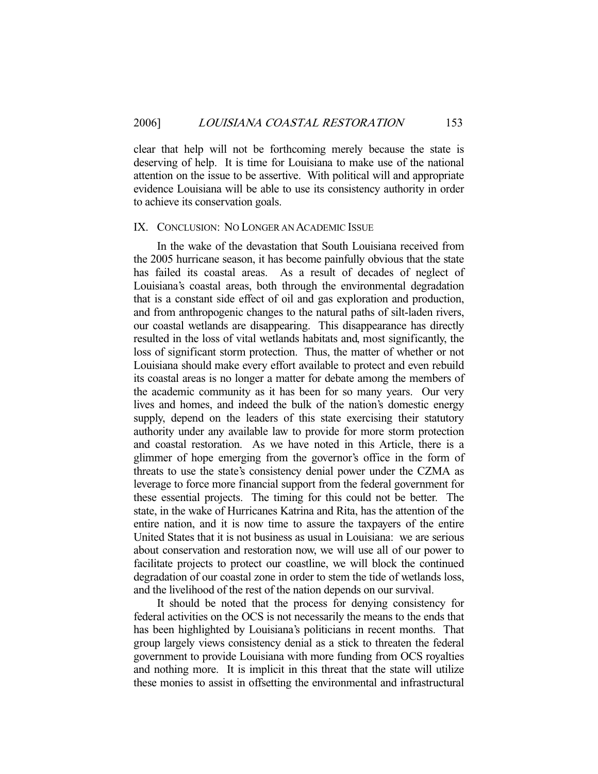clear that help will not be forthcoming merely because the state is deserving of help. It is time for Louisiana to make use of the national attention on the issue to be assertive. With political will and appropriate evidence Louisiana will be able to use its consistency authority in order to achieve its conservation goals.

#### IX. CONCLUSION: NO LONGER AN ACADEMIC ISSUE

 In the wake of the devastation that South Louisiana received from the 2005 hurricane season, it has become painfully obvious that the state has failed its coastal areas. As a result of decades of neglect of Louisiana's coastal areas, both through the environmental degradation that is a constant side effect of oil and gas exploration and production, and from anthropogenic changes to the natural paths of silt-laden rivers, our coastal wetlands are disappearing. This disappearance has directly resulted in the loss of vital wetlands habitats and, most significantly, the loss of significant storm protection. Thus, the matter of whether or not Louisiana should make every effort available to protect and even rebuild its coastal areas is no longer a matter for debate among the members of the academic community as it has been for so many years. Our very lives and homes, and indeed the bulk of the nation's domestic energy supply, depend on the leaders of this state exercising their statutory authority under any available law to provide for more storm protection and coastal restoration. As we have noted in this Article, there is a glimmer of hope emerging from the governor's office in the form of threats to use the state's consistency denial power under the CZMA as leverage to force more financial support from the federal government for these essential projects. The timing for this could not be better. The state, in the wake of Hurricanes Katrina and Rita, has the attention of the entire nation, and it is now time to assure the taxpayers of the entire United States that it is not business as usual in Louisiana: we are serious about conservation and restoration now, we will use all of our power to facilitate projects to protect our coastline, we will block the continued degradation of our coastal zone in order to stem the tide of wetlands loss, and the livelihood of the rest of the nation depends on our survival.

 It should be noted that the process for denying consistency for federal activities on the OCS is not necessarily the means to the ends that has been highlighted by Louisiana's politicians in recent months. That group largely views consistency denial as a stick to threaten the federal government to provide Louisiana with more funding from OCS royalties and nothing more. It is implicit in this threat that the state will utilize these monies to assist in offsetting the environmental and infrastructural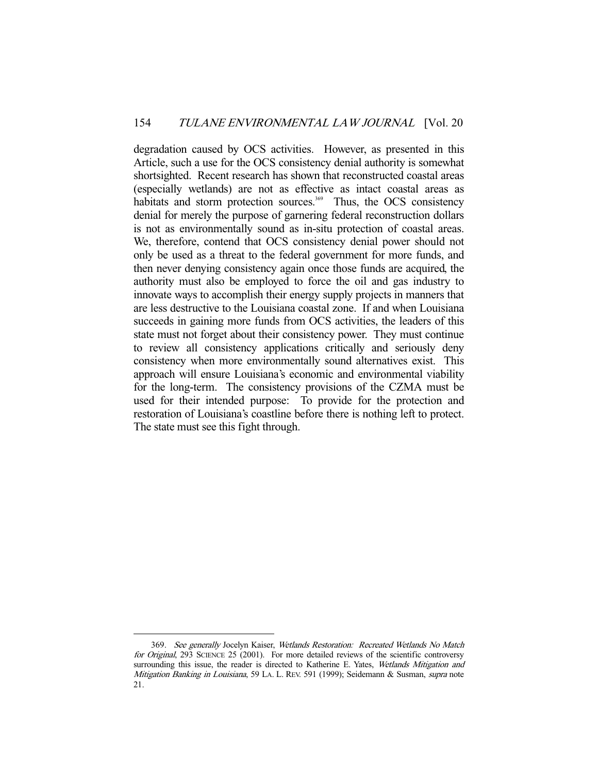degradation caused by OCS activities. However, as presented in this Article, such a use for the OCS consistency denial authority is somewhat shortsighted. Recent research has shown that reconstructed coastal areas (especially wetlands) are not as effective as intact coastal areas as habitats and storm protection sources. $369$  Thus, the OCS consistency denial for merely the purpose of garnering federal reconstruction dollars is not as environmentally sound as in-situ protection of coastal areas. We, therefore, contend that OCS consistency denial power should not only be used as a threat to the federal government for more funds, and then never denying consistency again once those funds are acquired, the authority must also be employed to force the oil and gas industry to innovate ways to accomplish their energy supply projects in manners that are less destructive to the Louisiana coastal zone. If and when Louisiana succeeds in gaining more funds from OCS activities, the leaders of this state must not forget about their consistency power. They must continue to review all consistency applications critically and seriously deny consistency when more environmentally sound alternatives exist. This approach will ensure Louisiana's economic and environmental viability for the long-term. The consistency provisions of the CZMA must be used for their intended purpose: To provide for the protection and restoration of Louisiana's coastline before there is nothing left to protect. The state must see this fight through.

 <sup>369.</sup> See generally Jocelyn Kaiser, Wetlands Restoration: Recreated Wetlands No Match for Original, 293 SCIENCE 25 (2001). For more detailed reviews of the scientific controversy surrounding this issue, the reader is directed to Katherine E. Yates, Wetlands Mitigation and Mitigation Banking in Louisiana, 59 LA. L. REV. 591 (1999); Seidemann & Susman, supra note 21.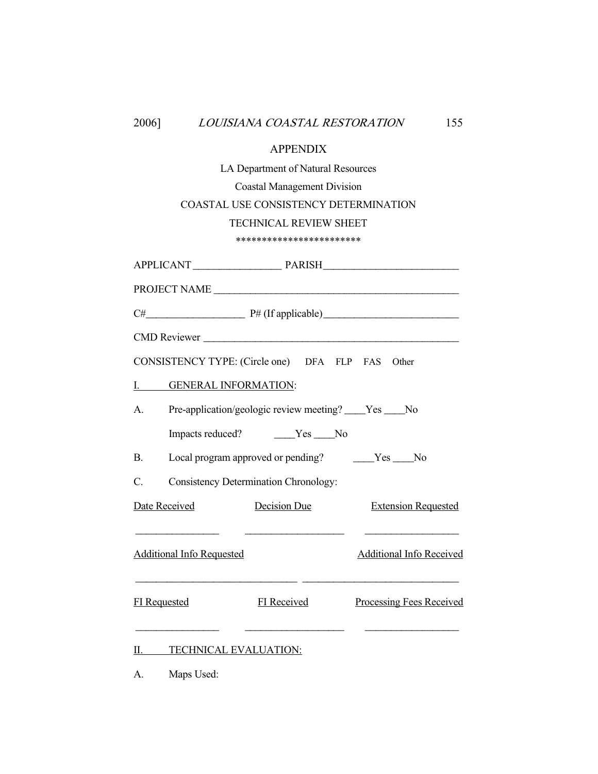| 2006]                                                         |                              | LOUISIANA COASTAL RESTORATION                    | 155                                                                                                                   |  |  |  |  |  |
|---------------------------------------------------------------|------------------------------|--------------------------------------------------|-----------------------------------------------------------------------------------------------------------------------|--|--|--|--|--|
|                                                               |                              | <b>APPENDIX</b>                                  |                                                                                                                       |  |  |  |  |  |
|                                                               |                              | LA Department of Natural Resources               |                                                                                                                       |  |  |  |  |  |
| <b>Coastal Management Division</b>                            |                              |                                                  |                                                                                                                       |  |  |  |  |  |
| COASTAL USE CONSISTENCY DETERMINATION                         |                              |                                                  |                                                                                                                       |  |  |  |  |  |
|                                                               |                              | <b>TECHNICAL REVIEW SHEET</b>                    |                                                                                                                       |  |  |  |  |  |
|                                                               |                              | ************************                         |                                                                                                                       |  |  |  |  |  |
|                                                               |                              |                                                  |                                                                                                                       |  |  |  |  |  |
|                                                               |                              |                                                  | PROJECT NAME                                                                                                          |  |  |  |  |  |
|                                                               |                              |                                                  |                                                                                                                       |  |  |  |  |  |
|                                                               |                              |                                                  |                                                                                                                       |  |  |  |  |  |
|                                                               |                              | CONSISTENCY TYPE: (Circle one) DFA FLP FAS Other |                                                                                                                       |  |  |  |  |  |
|                                                               | I. GENERAL INFORMATION:      |                                                  |                                                                                                                       |  |  |  |  |  |
| Pre-application/geologic review meeting? ____Yes ____No<br>A. |                              |                                                  |                                                                                                                       |  |  |  |  |  |
|                                                               |                              |                                                  |                                                                                                                       |  |  |  |  |  |
| <b>B.</b>                                                     |                              | Local program approved or pending? Ves ______No  |                                                                                                                       |  |  |  |  |  |
| C.                                                            |                              | <b>Consistency Determination Chronology:</b>     |                                                                                                                       |  |  |  |  |  |
| Date Received                                                 |                              | <b>Decision Due</b>                              | <b>Extension Requested</b>                                                                                            |  |  |  |  |  |
|                                                               |                              |                                                  | the contract of the contract of the contract of the contract of<br>Additional Info Requested Additional Info Received |  |  |  |  |  |
| <b>FI</b> Requested                                           |                              | <b>FI</b> Received                               | <b>Processing Fees Received</b>                                                                                       |  |  |  |  |  |
| н                                                             | <b>TECHNICAL EVALUATION:</b> |                                                  |                                                                                                                       |  |  |  |  |  |
| А.                                                            | Maps Used:                   |                                                  |                                                                                                                       |  |  |  |  |  |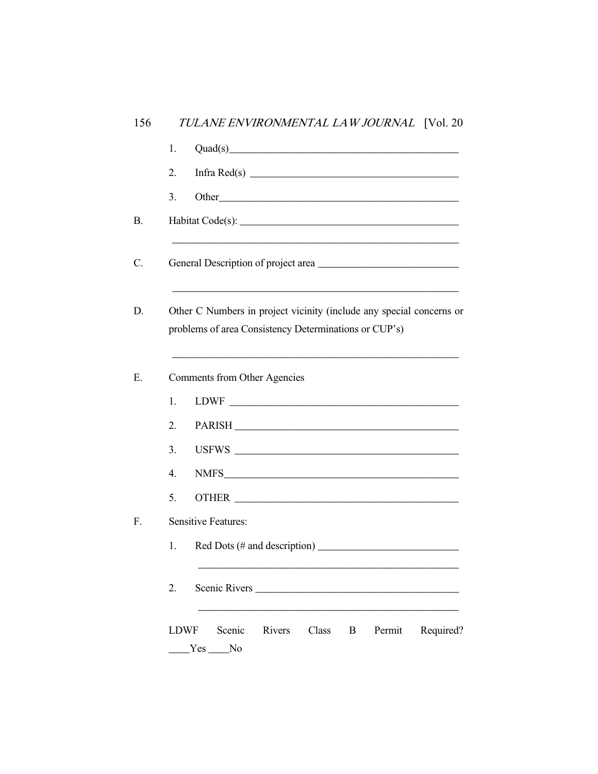| 2.<br>3.         | Infra Red(s) $\frac{1}{2}$                                                                                                    |
|------------------|-------------------------------------------------------------------------------------------------------------------------------|
|                  |                                                                                                                               |
|                  |                                                                                                                               |
|                  |                                                                                                                               |
|                  | General Description of project area                                                                                           |
|                  | Other C Numbers in project vicinity (include any special concerns or<br>problems of area Consistency Determinations or CUP's) |
|                  | Comments from Other Agencies                                                                                                  |
| 1.               |                                                                                                                               |
| 2.               | PARISH                                                                                                                        |
| 3.               |                                                                                                                               |
| $\overline{4}$ . |                                                                                                                               |
| 5.               |                                                                                                                               |
|                  | <b>Sensitive Features:</b>                                                                                                    |
| 1.               |                                                                                                                               |
|                  | Scenic Rivers                                                                                                                 |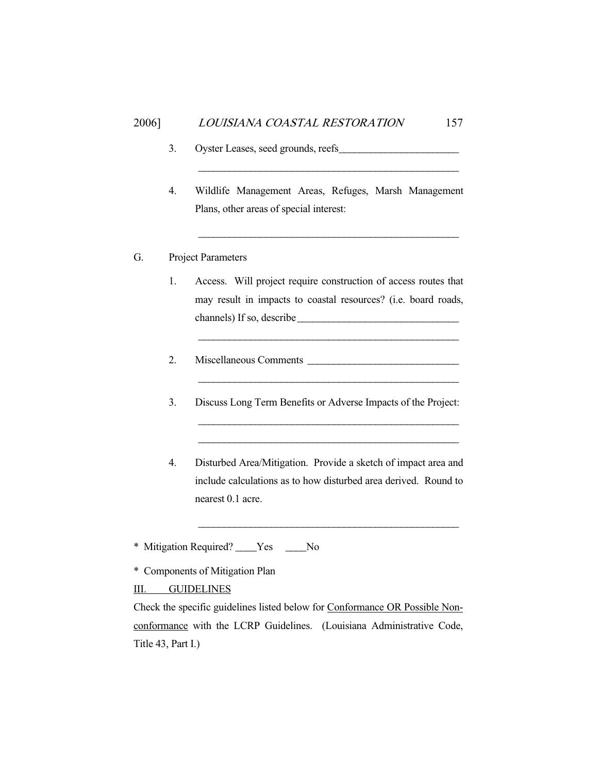- 3. Oyster Leases, seed grounds, reefs\_\_\_\_\_\_\_\_\_\_\_\_\_\_\_\_\_\_\_\_\_\_\_
- 4. Wildlife Management Areas, Refuges, Marsh Management Plans, other areas of special interest:

\_\_\_\_\_\_\_\_\_\_\_\_\_\_\_\_\_\_\_\_\_\_\_\_\_\_\_\_\_\_\_\_\_\_\_\_\_\_\_\_\_\_\_\_\_\_\_\_\_\_

\_\_\_\_\_\_\_\_\_\_\_\_\_\_\_\_\_\_\_\_\_\_\_\_\_\_\_\_\_\_\_\_\_\_\_\_\_\_\_\_\_\_\_\_\_\_\_\_\_\_

# G. Project Parameters

1. Access. Will project require construction of access routes that may result in impacts to coastal resources? (i.e. board roads, channels) If so, describe\_\_\_\_\_\_\_\_\_\_\_\_\_\_\_\_\_\_\_\_\_\_\_\_\_\_\_\_\_\_\_

\_\_\_\_\_\_\_\_\_\_\_\_\_\_\_\_\_\_\_\_\_\_\_\_\_\_\_\_\_\_\_\_\_\_\_\_\_\_\_\_\_\_\_\_\_\_\_\_\_\_

- 2. Miscellaneous Comments \_\_\_\_\_\_\_\_\_\_\_\_\_\_\_\_\_\_\_\_\_\_\_\_\_\_\_\_\_
- 3. Discuss Long Term Benefits or Adverse Impacts of the Project:

\_\_\_\_\_\_\_\_\_\_\_\_\_\_\_\_\_\_\_\_\_\_\_\_\_\_\_\_\_\_\_\_\_\_\_\_\_\_\_\_\_\_\_\_\_\_\_\_\_\_ \_\_\_\_\_\_\_\_\_\_\_\_\_\_\_\_\_\_\_\_\_\_\_\_\_\_\_\_\_\_\_\_\_\_\_\_\_\_\_\_\_\_\_\_\_\_\_\_\_\_

\_\_\_\_\_\_\_\_\_\_\_\_\_\_\_\_\_\_\_\_\_\_\_\_\_\_\_\_\_\_\_\_\_\_\_\_\_\_\_\_\_\_\_\_\_\_\_\_\_\_

4. Disturbed Area/Mitigation. Provide a sketch of impact area and include calculations as to how disturbed area derived. Round to nearest 0.1 acre.

\_\_\_\_\_\_\_\_\_\_\_\_\_\_\_\_\_\_\_\_\_\_\_\_\_\_\_\_\_\_\_\_\_\_\_\_\_\_\_\_\_\_\_\_\_\_\_\_\_\_

\* Mitigation Required? \_\_\_\_Yes \_\_\_\_No

\* Components of Mitigation Plan

III. GUIDELINES

Check the specific guidelines listed below for Conformance OR Possible Nonconformance with the LCRP Guidelines. (Louisiana Administrative Code, Title 43, Part I.)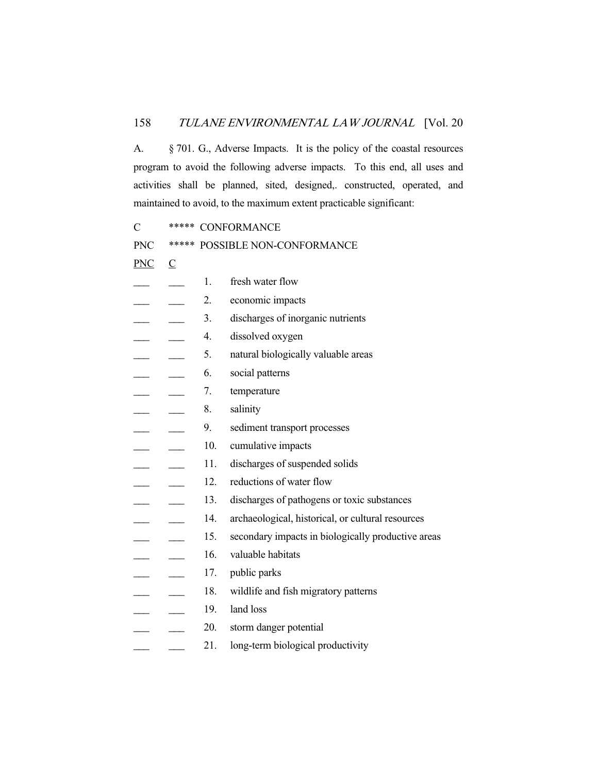A. § 701. G., Adverse Impacts. It is the policy of the coastal resources program to avoid the following adverse impacts. To this end, all uses and activities shall be planned, sited, designed,. constructed, operated, and maintained to avoid, to the maximum extent practicable significant:

C \*\*\*\*\* CONFORMANCE

PNC \*\*\*\*\* POSSIBLE NON-CONFORMANCE

 $PNC \cap C$ 

| <u>FNC</u> | <u>ي</u> |     |                                                    |
|------------|----------|-----|----------------------------------------------------|
|            |          | 1.  | fresh water flow                                   |
|            |          | 2.  | economic impacts                                   |
|            |          | 3.  | discharges of inorganic nutrients                  |
|            |          | 4.  | dissolved oxygen                                   |
|            |          | 5.  | natural biologically valuable areas                |
|            |          | 6.  | social patterns                                    |
|            |          | 7.  | temperature                                        |
|            |          | 8.  | salinity                                           |
|            |          | 9.  | sediment transport processes                       |
|            |          | 10. | cumulative impacts                                 |
|            |          | 11. | discharges of suspended solids                     |
|            |          | 12. | reductions of water flow                           |
|            |          | 13. | discharges of pathogens or toxic substances        |
|            |          | 14. | archaeological, historical, or cultural resources  |
|            |          | 15. | secondary impacts in biologically productive areas |
|            |          | 16. | valuable habitats                                  |
|            |          | 17. | public parks                                       |
|            |          | 18. | wildlife and fish migratory patterns               |
|            |          | 19. | land loss                                          |
|            |          | 20. | storm danger potential                             |
|            |          | 21. | long-term biological productivity                  |
|            |          |     |                                                    |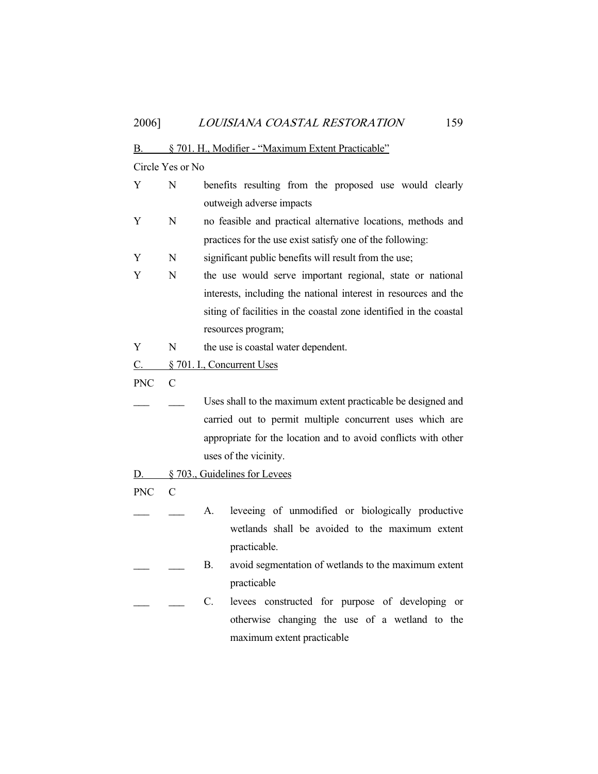#### B. § 701. H., Modifier - "Maximum Extent Practicable"

Circle Yes or No

- Y N benefits resulting from the proposed use would clearly outweigh adverse impacts
- Y N no feasible and practical alternative locations, methods and practices for the use exist satisfy one of the following:
- Y N significant public benefits will result from the use;
- Y N the use would serve important regional, state or national interests, including the national interest in resources and the siting of facilities in the coastal zone identified in the coastal resources program;
- Y N the use is coastal water dependent.
- C. § 701. I., Concurrent Uses
- PNC C
- Uses shall to the maximum extent practicable be designed and carried out to permit multiple concurrent uses which are appropriate for the location and to avoid conflicts with other uses of the vicinity.
- D.  $\&$  703., Guidelines for Levees
- PNC C
- A. leveeing of unmodified or biologically productive wetlands shall be avoided to the maximum extent practicable.
- B. avoid segmentation of wetlands to the maximum extent practicable
- C. levees constructed for purpose of developing or otherwise changing the use of a wetland to the maximum extent practicable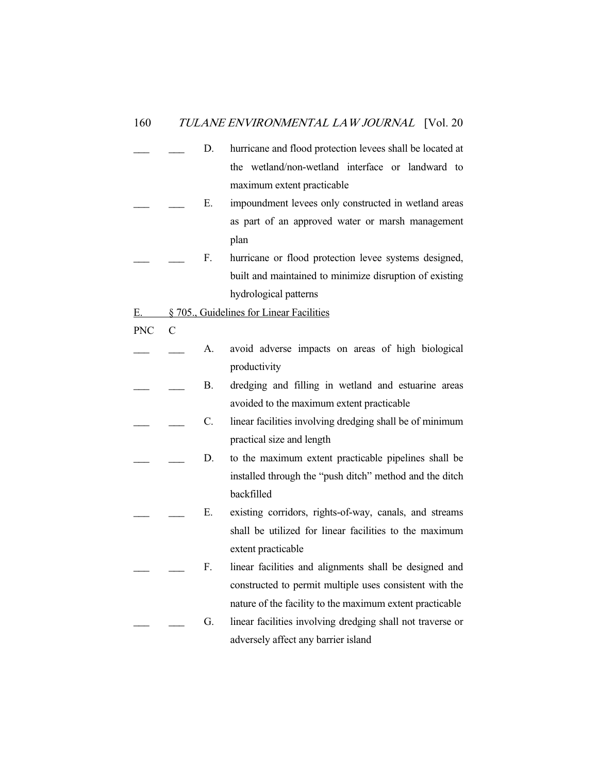- D. hurricane and flood protection levees shall be located at the wetland/non-wetland interface or landward to maximum extent practicable
- E. impoundment levees only constructed in wetland areas as part of an approved water or marsh management plan
- F. hurricane or flood protection levee systems designed, built and maintained to minimize disruption of existing hydrological patterns
- E. § 705., Guidelines for Linear Facilities
- PNC C
- A. avoid adverse impacts on areas of high biological productivity
- B. dredging and filling in wetland and estuarine areas avoided to the maximum extent practicable
- C. linear facilities involving dredging shall be of minimum practical size and length
- D. to the maximum extent practicable pipelines shall be installed through the "push ditch" method and the ditch backfilled
	- E. existing corridors, rights-of-way, canals, and streams shall be utilized for linear facilities to the maximum extent practicable
- F. linear facilities and alignments shall be designed and constructed to permit multiple uses consistent with the nature of the facility to the maximum extent practicable
	- G. linear facilities involving dredging shall not traverse or adversely affect any barrier island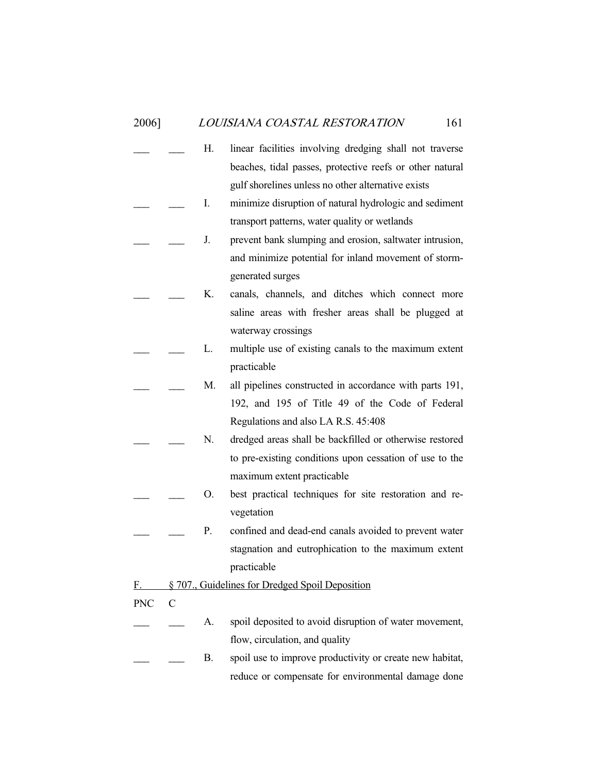- H. linear facilities involving dredging shall not traverse beaches, tidal passes, protective reefs or other natural gulf shorelines unless no other alternative exists
- I. minimize disruption of natural hydrologic and sediment transport patterns, water quality or wetlands
- J. prevent bank slumping and erosion, saltwater intrusion, and minimize potential for inland movement of stormgenerated surges
- K. canals, channels, and ditches which connect more saline areas with fresher areas shall be plugged at waterway crossings
- L. multiple use of existing canals to the maximum extent practicable
- M. all pipelines constructed in accordance with parts 191, 192, and 195 of Title 49 of the Code of Federal Regulations and also LA R.S. 45:408
- N. dredged areas shall be backfilled or otherwise restored to pre-existing conditions upon cessation of use to the maximum extent practicable
- O. best practical techniques for site restoration and revegetation
- P. confined and dead-end canals avoided to prevent water stagnation and eutrophication to the maximum extent practicable
- F. § 707., Guidelines for Dredged Spoil Deposition
- PNC C
	- A. spoil deposited to avoid disruption of water movement, flow, circulation, and quality
	- B. spoil use to improve productivity or create new habitat, reduce or compensate for environmental damage done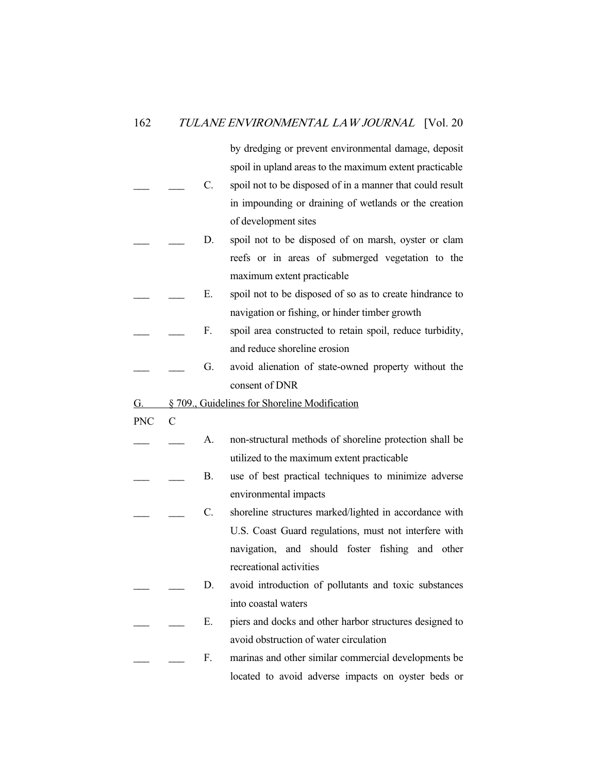by dredging or prevent environmental damage, deposit spoil in upland areas to the maximum extent practicable

- \_\_\_ \_\_\_ C. spoil not to be disposed of in a manner that could result in impounding or draining of wetlands or the creation of development sites
- D. spoil not to be disposed of on marsh, oyster or clam reefs or in areas of submerged vegetation to the maximum extent practicable
- E. spoil not to be disposed of so as to create hindrance to navigation or fishing, or hinder timber growth
- F. spoil area constructed to retain spoil, reduce turbidity, and reduce shoreline erosion
	- G. avoid alienation of state-owned property without the consent of DNR
- G. § 709., Guidelines for Shoreline Modification
- PNC C
- A. non-structural methods of shoreline protection shall be utilized to the maximum extent practicable
- B. use of best practical techniques to minimize adverse environmental impacts
- C. shoreline structures marked/lighted in accordance with U.S. Coast Guard regulations, must not interfere with navigation, and should foster fishing and other recreational activities
- D. avoid introduction of pollutants and toxic substances into coastal waters
- E. piers and docks and other harbor structures designed to avoid obstruction of water circulation
- F. marinas and other similar commercial developments be located to avoid adverse impacts on oyster beds or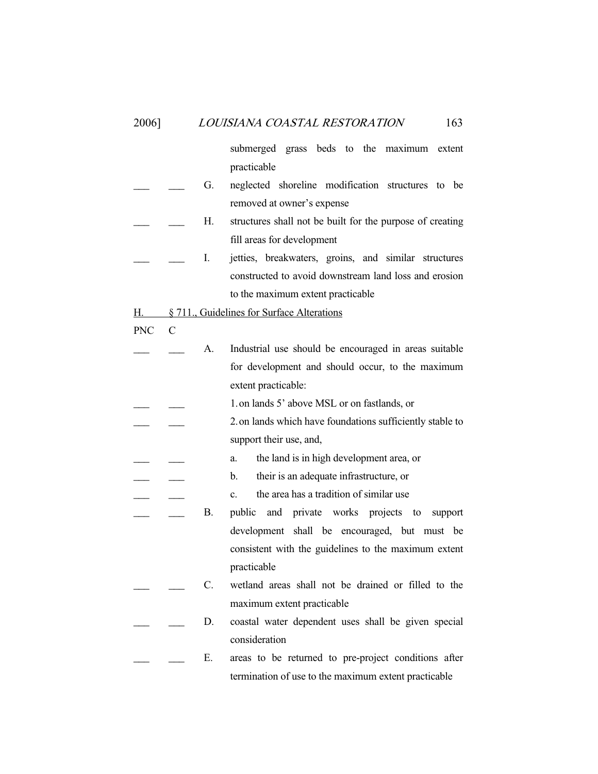submerged grass beds to the maximum extent practicable G. neglected shoreline modification structures to be removed at owner's expense H. structures shall not be built for the purpose of creating fill areas for development I. jetties, breakwaters, groins, and similar structures constructed to avoid downstream land loss and erosion to the maximum extent practicable H. § 711., Guidelines for Surface Alterations PNC C A. Industrial use should be encouraged in areas suitable for development and should occur, to the maximum extent practicable: 1. on lands 5' above MSL or on fastlands, or 2. on lands which have foundations sufficiently stable to support their use, and, a. the land is in high development area, or b. their is an adequate infrastructure, or c. the area has a tradition of similar use B. public and private works projects to support development shall be encouraged, but must be consistent with the guidelines to the maximum extent practicable C. wetland areas shall not be drained or filled to the maximum extent practicable D. coastal water dependent uses shall be given special consideration

E. areas to be returned to pre-project conditions after termination of use to the maximum extent practicable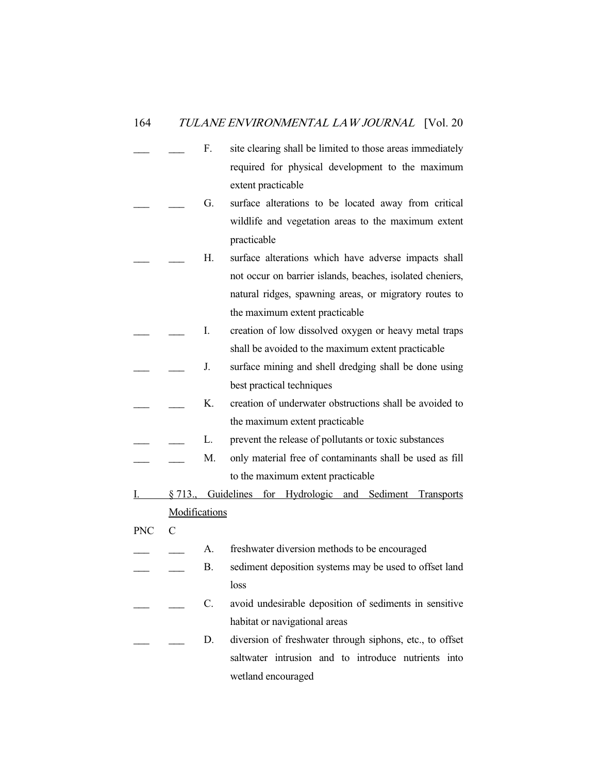- F. site clearing shall be limited to those areas immediately required for physical development to the maximum extent practicable
- G. surface alterations to be located away from critical wildlife and vegetation areas to the maximum extent practicable
- H. surface alterations which have adverse impacts shall not occur on barrier islands, beaches, isolated cheniers, natural ridges, spawning areas, or migratory routes to the maximum extent practicable
- I. creation of low dissolved oxygen or heavy metal traps shall be avoided to the maximum extent practicable
- J. surface mining and shell dredging shall be done using best practical techniques
- K. creation of underwater obstructions shall be avoided to the maximum extent practicable
- L. prevent the release of pollutants or toxic substances
- M. only material free of contaminants shall be used as fill to the maximum extent practicable
- I. § 713., Guidelines for Hydrologic and Sediment Transports Modifications
- PNC C
- A. freshwater diversion methods to be encouraged
- B. sediment deposition systems may be used to offset land loss
- C. avoid undesirable deposition of sediments in sensitive habitat or navigational areas
- D. diversion of freshwater through siphons, etc., to offset saltwater intrusion and to introduce nutrients into wetland encouraged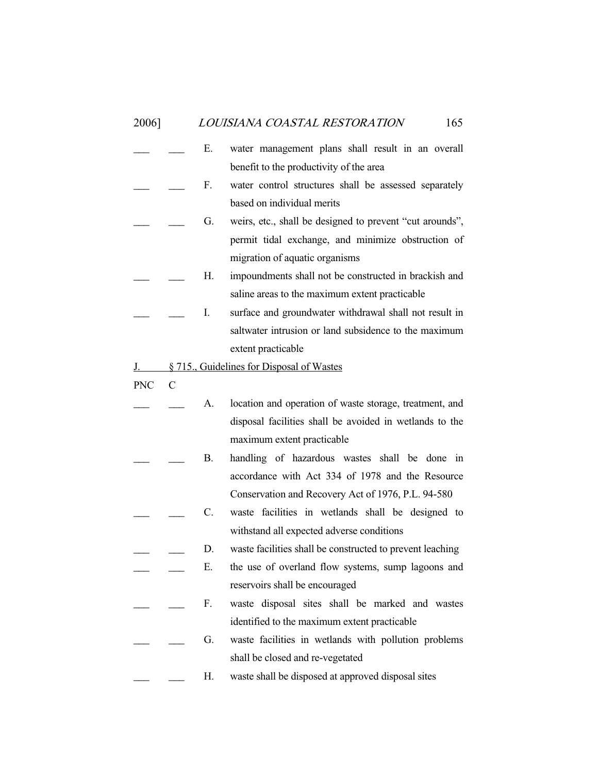- E. water management plans shall result in an overall benefit to the productivity of the area F. water control structures shall be assessed separately based on individual merits G. weirs, etc., shall be designed to prevent "cut arounds", permit tidal exchange, and minimize obstruction of migration of aquatic organisms H. impoundments shall not be constructed in brackish and saline areas to the maximum extent practicable I. surface and groundwater withdrawal shall not result in saltwater intrusion or land subsidence to the maximum extent practicable
- J. § 715., Guidelines for Disposal of Wastes
- PNC C
	- A. location and operation of waste storage, treatment, and disposal facilities shall be avoided in wetlands to the maximum extent practicable
- B. handling of hazardous wastes shall be done in accordance with Act 334 of 1978 and the Resource Conservation and Recovery Act of 1976, P.L. 94-580
- C. waste facilities in wetlands shall be designed to withstand all expected adverse conditions
- D. waste facilities shall be constructed to prevent leaching
- E. the use of overland flow systems, sump lagoons and reservoirs shall be encouraged
- F. waste disposal sites shall be marked and wastes identified to the maximum extent practicable
- G. waste facilities in wetlands with pollution problems shall be closed and re-vegetated
- H. waste shall be disposed at approved disposal sites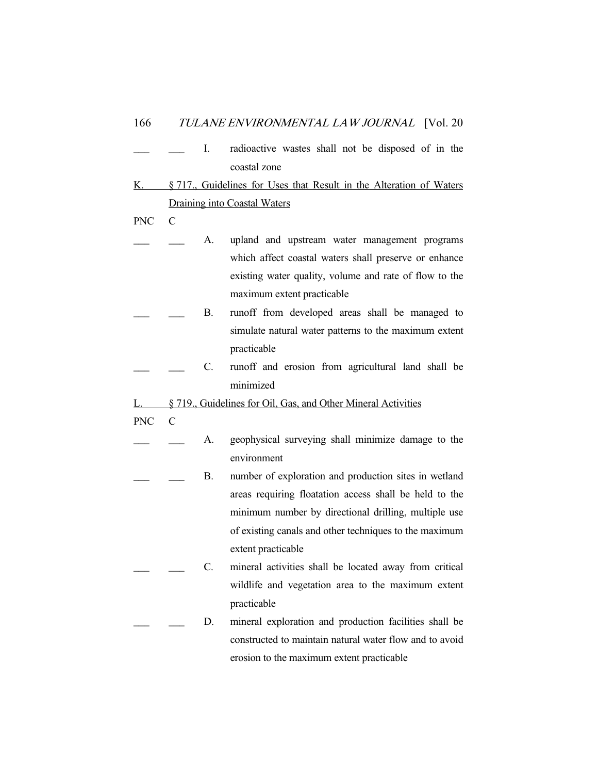|              |  | radioactive wastes shall not be disposed of in the |  |  |  |  |  |
|--------------|--|----------------------------------------------------|--|--|--|--|--|
| coastal zone |  |                                                    |  |  |  |  |  |

- K. § 717., Guidelines for Uses that Result in the Alteration of Waters Draining into Coastal Waters
- PNC C
- A. upland and upstream water management programs which affect coastal waters shall preserve or enhance existing water quality, volume and rate of flow to the maximum extent practicable
- B. runoff from developed areas shall be managed to simulate natural water patterns to the maximum extent practicable
	- C. runoff and erosion from agricultural land shall be minimized
- L. § 719., Guidelines for Oil, Gas, and Other Mineral Activities
- PNC C
- A. geophysical surveying shall minimize damage to the environment
- B. number of exploration and production sites in wetland areas requiring floatation access shall be held to the minimum number by directional drilling, multiple use of existing canals and other techniques to the maximum extent practicable
- C. mineral activities shall be located away from critical wildlife and vegetation area to the maximum extent practicable
	- D. mineral exploration and production facilities shall be constructed to maintain natural water flow and to avoid erosion to the maximum extent practicable